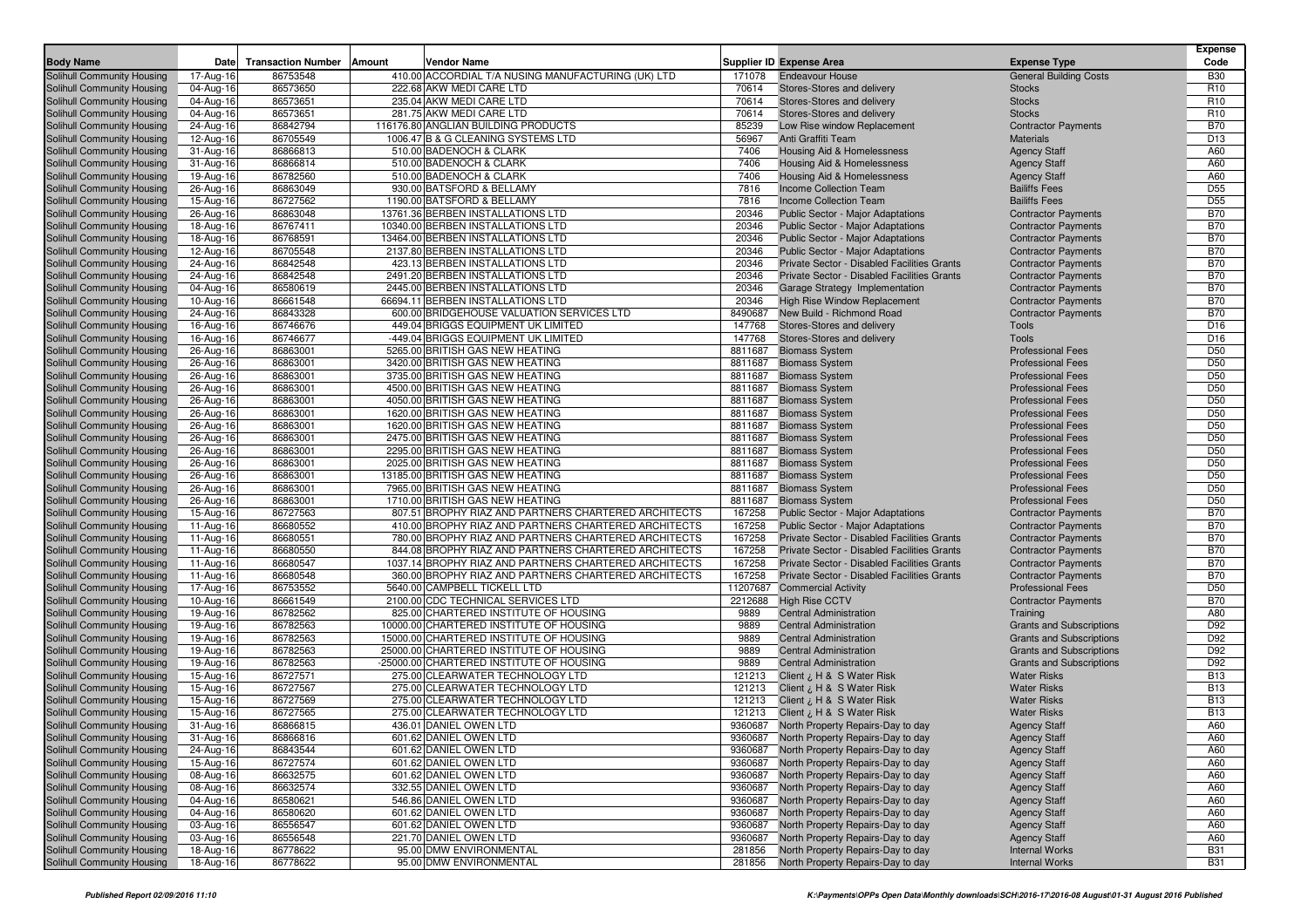| <b>Body Name</b>                  | Date                    | <b>Transaction Number</b> | Amount | <b>Vendor Name</b>                                    |          | <b>Supplier ID Expense Area</b>                           | <b>Expense Type</b>                                      | <b>Expense</b><br>Code |
|-----------------------------------|-------------------------|---------------------------|--------|-------------------------------------------------------|----------|-----------------------------------------------------------|----------------------------------------------------------|------------------------|
| <b>Solihull Community Housing</b> | 17-Aug-16               | 86753548                  |        | 410.00 ACCORDIAL T/A NUSING MANUFACTURING (UK) LTD    | 171078   | <b>Endeavour House</b>                                    | <b>General Building Costs</b>                            | <b>B30</b>             |
| Solihull Community Housing        | 04-Aug-16               | 86573650                  |        | 222.68 AKW MEDI CARE LTD                              | 70614    | Stores-Stores and delivery                                | <b>Stocks</b>                                            | R <sub>10</sub>        |
| Solihull Community Housing        | 04-Aug-16               | 86573651                  |        | 235.04 AKW MEDI CARE LTD                              | 70614    | Stores-Stores and delivery                                | <b>Stocks</b>                                            | R <sub>10</sub>        |
| Solihull Community Housing        | 04-Aug-16               | 86573651                  |        | 281.75 AKW MEDI CARE LTD                              | 70614    | Stores-Stores and delivery                                | <b>Stocks</b>                                            | R <sub>10</sub>        |
| Solihull Community Housing        | 24-Aug-16               | 86842794                  |        | 116176.80 ANGLIAN BUILDING PRODUCTS                   | 85239    | Low Rise window Replacement                               | <b>Contractor Payments</b>                               | <b>B70</b>             |
| Solihull Community Housing        | 12-Aug-16               | 86705549                  |        | 1006.47 B & G CLEANING SYSTEMS LTD                    | 56967    | Anti Graffiti Team                                        | <b>Materials</b>                                         | D <sub>13</sub>        |
| Solihull Community Housing        | 31-Aug-16               | 86866813                  |        | 510.00 BADENOCH & CLARK                               | 7406     | Housing Aid & Homelessness                                | <b>Agency Staff</b>                                      | A60                    |
| Solihull Community Housing        | 31-Aug-16               | 86866814                  |        | 510.00 BADENOCH & CLARK                               | 7406     | Housing Aid & Homelessness                                | <b>Agency Staff</b>                                      | A60                    |
| Solihull Community Housing        | 19-Aug-16               | 86782560                  |        | 510.00 BADENOCH & CLARK                               | 7406     | Housing Aid & Homelessness                                | <b>Agency Staff</b>                                      | A60                    |
| Solihull Community Housing        | 26-Aug-16               | 86863049                  |        | 930.00 BATSFORD & BELLAMY                             | 7816     | Income Collection Team                                    | <b>Bailiffs Fees</b>                                     | D <sub>55</sub>        |
| Solihull Community Housing        | 15-Aug-16               | 86727562                  |        | 1190.00 BATSFORD & BELLAMY                            | 7816     | Income Collection Team                                    | <b>Bailiffs Fees</b>                                     | D <sub>55</sub>        |
| Solihull Community Housing        | 26-Aug-16               | 86863048                  |        | 13761.36 BERBEN INSTALLATIONS LTD                     | 20346    | Public Sector - Major Adaptations                         | <b>Contractor Payments</b>                               | <b>B70</b>             |
| Solihull Community Housing        | 18-Aug-16               | 86767411                  |        | 10340.00 BERBEN INSTALLATIONS LTD                     | 20346    | Public Sector - Major Adaptations                         | <b>Contractor Payments</b>                               | <b>B70</b>             |
| Solihull Community Housing        | 18-Aug-16               | 86768591                  |        | 13464.00 BERBEN INSTALLATIONS LTD                     | 20346    | Public Sector - Major Adaptations                         | <b>Contractor Payments</b>                               | <b>B70</b>             |
| Solihull Community Housing        | 12-Aug-16               | 86705548                  |        | 2137.80 BERBEN INSTALLATIONS LTD                      | 20346    | Public Sector - Major Adaptations                         | <b>Contractor Payments</b>                               | <b>B70</b>             |
| Solihull Community Housing        | 24-Aug-16               | 86842548                  |        | 423.13 BERBEN INSTALLATIONS LTD                       | 20346    | Private Sector - Disabled Facilities Grants               | <b>Contractor Payments</b>                               | <b>B70</b>             |
| Solihull Community Housing        | 24-Aug-16               | 86842548                  |        | 2491.20 BERBEN INSTALLATIONS LTD                      | 20346    | Private Sector - Disabled Facilities Grants               | <b>Contractor Payments</b>                               | <b>B70</b>             |
| Solihull Community Housing        | 04-Aug-16               | 86580619                  |        | 2445.00 BERBEN INSTALLATIONS LTD                      | 20346    |                                                           | <b>Contractor Payments</b>                               | <b>B70</b>             |
|                                   |                         | 86661548                  |        | 66694.11 BERBEN INSTALLATIONS LTD                     | 20346    | Garage Strategy Implementation                            |                                                          | <b>B70</b>             |
| Solihull Community Housing        | 10-Aug-16               | 86843328                  |        | 600.00 BRIDGEHOUSE VALUATION SERVICES LTD             | 8490687  | High Rise Window Replacement<br>New Build - Richmond Road | <b>Contractor Payments</b><br><b>Contractor Payments</b> | <b>B70</b>             |
| Solihull Community Housing        | 24-Aug-16               |                           |        |                                                       |          |                                                           |                                                          |                        |
| Solihull Community Housing        | 16-Aug-16               | 86746676                  |        | 449.04 BRIGGS EQUIPMENT UK LIMITED                    | 147768   | Stores-Stores and delivery                                | Tools                                                    | D <sub>16</sub>        |
| Solihull Community Housing        | 16-Aug-16               | 86746677                  |        | -449.04 BRIGGS EQUIPMENT UK LIMITED                   | 147768   | Stores-Stores and delivery                                | Tools                                                    | D <sub>16</sub>        |
| Solihull Community Housing        | 26-Aug-16               | 86863001                  |        | 5265.00 BRITISH GAS NEW HEATING                       | 8811687  | <b>Biomass System</b>                                     | <b>Professional Fees</b>                                 | D <sub>50</sub>        |
| Solihull Community Housing        | 26-Aug-16               | 86863001                  |        | 3420.00 BRITISH GAS NEW HEATING                       |          | 8811687 Biomass System                                    | <b>Professional Fees</b>                                 | D <sub>50</sub>        |
| Solihull Community Housing        | 26-Aug-16               | 86863001                  |        | 3735.00 BRITISH GAS NEW HEATING                       | 8811687  | <b>Biomass System</b>                                     | <b>Professional Fees</b>                                 | D <sub>50</sub>        |
| Solihull Community Housing        | 26-Aug-16               | 86863001                  |        | 4500.00 BRITISH GAS NEW HEATING                       | 8811687  | <b>Biomass System</b>                                     | <b>Professional Fees</b>                                 | D <sub>50</sub>        |
| Solihull Community Housing        | 26-Aug-16               | 86863001                  |        | 4050.00 BRITISH GAS NEW HEATING                       |          | 8811687 Biomass System                                    | <b>Professional Fees</b>                                 | D <sub>50</sub>        |
| Solihull Community Housing        | 26-Aug-16               | 86863001                  |        | 1620.00 BRITISH GAS NEW HEATING                       | 8811687  | <b>Biomass System</b>                                     | <b>Professional Fees</b>                                 | D <sub>50</sub>        |
| Solihull Community Housing        | 26-Aug-16               | 86863001                  |        | 1620.00 BRITISH GAS NEW HEATING                       | 8811687  | <b>Biomass System</b>                                     | <b>Professional Fees</b>                                 | D <sub>50</sub>        |
| Solihull Community Housing        | 26-Aug-16               | 86863001                  |        | 2475.00 BRITISH GAS NEW HEATING                       |          | 8811687 Biomass System                                    | <b>Professional Fees</b>                                 | D <sub>50</sub>        |
| Solihull Community Housing        | 26-Aug-16               | 86863001                  |        | 2295.00 BRITISH GAS NEW HEATING                       | 8811687  | <b>Biomass System</b>                                     | <b>Professional Fees</b>                                 | D <sub>50</sub>        |
| Solihull Community Housing        | 26-Aug-16               | 86863001                  |        | 2025.00 BRITISH GAS NEW HEATING                       | 8811687  | <b>Biomass System</b>                                     | <b>Professional Fees</b>                                 | D <sub>50</sub>        |
| Solihull Community Housing        | 26-Aug-16               | 86863001                  |        | 13185.00 BRITISH GAS NEW HEATING                      | 8811687  | <b>Biomass System</b>                                     | <b>Professional Fees</b>                                 | D <sub>50</sub>        |
| Solihull Community Housing        | 26-Aug-16               | 86863001                  |        | 7965.00 BRITISH GAS NEW HEATING                       |          | 8811687 Biomass System                                    | <b>Professional Fees</b>                                 | D <sub>50</sub>        |
| Solihull Community Housing        | 26-Aug-16               | 86863001                  |        | 1710.00 BRITISH GAS NEW HEATING                       | 8811687  | <b>Biomass System</b>                                     | <b>Professional Fees</b>                                 | D <sub>50</sub>        |
| Solihull Community Housing        | 15-Aug-16               | 86727563                  |        | 807.51 BROPHY RIAZ AND PARTNERS CHARTERED ARCHITECTS  | 167258   | Public Sector - Major Adaptations                         | <b>Contractor Payments</b>                               | <b>B70</b>             |
| Solihull Community Housing        | 11-Aug-16               | 86680552                  |        | 410.00 BROPHY RIAZ AND PARTNERS CHARTERED ARCHITECTS  | 167258   | <b>Public Sector - Major Adaptations</b>                  | <b>Contractor Payments</b>                               | <b>B70</b>             |
| Solihull Community Housing        | 11-Aug-16               | 86680551                  |        | 780.00 BROPHY RIAZ AND PARTNERS CHARTERED ARCHITECTS  | 167258   | Private Sector - Disabled Facilities Grants               | <b>Contractor Payments</b>                               | <b>B70</b>             |
| Solihull Community Housing        | 11-Aug-16               | 86680550                  |        | 844.08 BROPHY RIAZ AND PARTNERS CHARTERED ARCHITECTS  | 167258   | Private Sector - Disabled Facilities Grants               | <b>Contractor Payments</b>                               | <b>B70</b>             |
| Solihull Community Housing        | 11-Aug-16               | 86680547                  |        | 1037.14 BROPHY RIAZ AND PARTNERS CHARTERED ARCHITECTS | 167258   | Private Sector - Disabled Facilities Grants               | <b>Contractor Payments</b>                               | <b>B70</b>             |
| Solihull Community Housing        | 11-Aug-16               | 86680548                  |        | 360.00 BROPHY RIAZ AND PARTNERS CHARTERED ARCHITECTS  | 167258   | Private Sector - Disabled Facilities Grants               | <b>Contractor Payments</b>                               | <b>B70</b>             |
| Solihull Community Housing        | 17-Aug-16               | 86753552                  |        | 5640.00 CAMPBELL TICKELL LTD                          | 11207687 | <b>Commercial Activity</b>                                | <b>Professional Fees</b>                                 | D <sub>50</sub>        |
| Solihull Community Housing        | 10-Aug-16               | 86661549                  |        | 2100.00 CDC TECHNICAL SERVICES LTD                    | 2212688  | <b>High Rise CCTV</b>                                     | <b>Contractor Payments</b>                               | <b>B70</b>             |
| Solihull Community Housing        | 19-Aug-16               | 86782562                  |        | 825.00 CHARTERED INSTITUTE OF HOUSING                 | 9889     | <b>Central Administration</b>                             | Training                                                 | A80                    |
| Solihull Community Housing        | 19-Aug-16               | 86782563                  |        | 10000.00 CHARTERED INSTITUTE OF HOUSING               | 9889     | <b>Central Administration</b>                             | <b>Grants and Subscriptions</b>                          | D92                    |
| Solihull Community Housing        | 19-Aug-16               | 86782563                  |        | 15000.00 CHARTERED INSTITUTE OF HOUSING               | 9889     | <b>Central Administration</b>                             | <b>Grants and Subscriptions</b>                          | D92                    |
| Solihull Community Housing        | 19-Aug-16               | 86782563                  |        | 25000.00 CHARTERED INSTITUTE OF HOUSING               | 9889     | <b>Central Administration</b>                             | <b>Grants and Subscriptions</b>                          | D92                    |
| Solihull Community Housing        | 19-Aug-16               | 86782563                  |        | -25000.00 CHARTERED INSTITUTE OF HOUSING              | 9889     | <b>Central Administration</b>                             | <b>Grants and Subscriptions</b>                          | D92                    |
| Solihull Community Housing        | 15-Aug-16               | 86727571                  |        | 275.00 CLEARWATER TECHNOLOGY LTD                      | 121213   | Client ¿ H & S Water Risk                                 | <b>Water Risks</b>                                       | <b>B13</b>             |
| Solihull Community Housing        | 15-Aug-16               | 86727567                  |        | 275.00 CLEARWATER TECHNOLOGY LTD                      | 121213   | Client ¿ H & S Water Risk                                 | <b>Water Risks</b>                                       | <b>B13</b>             |
| Solihull Community Housing        | 15-Aug-16               | 86727569                  |        | 275.00 CLEARWATER TECHNOLOGY LTD                      | 121213   | H & S Water Risk ن H & S Water                            | <b>Water Risks</b>                                       | <b>B13</b>             |
| Solihull Community Housing        | 15-Aug-16               | 86727565                  |        | 275.00 CLEARWATER TECHNOLOGY LTD                      | 121213   | Client ¿ H & S Water Risk                                 | <b>Water Risks</b>                                       | <b>B13</b>             |
| Solihull Community Housing        | 31-Aug-16               | 86866815                  |        | 436.01 DANIEL OWEN LTD                                |          | 9360687 North Property Repairs-Day to day                 | <b>Agency Staff</b>                                      | A60                    |
| Solihull Community Housing        | $\overline{31}$ -Aug-16 | 86866816                  |        | 601.62 DANIEL OWEN LTD                                |          | 9360687 North Property Repairs-Day to day                 | <b>Agency Staff</b>                                      | A60                    |
| Solihull Community Housing        | 24-Aug-16               | 86843544                  |        | 601.62 DANIEL OWEN LTD                                |          | 9360687 North Property Repairs-Day to day                 | <b>Agency Staff</b>                                      | A60                    |
| Solihull Community Housing        | 15-Aug-16               | 86727574                  |        | 601.62 DANIEL OWEN LTD                                |          | 9360687 North Property Repairs-Day to day                 | <b>Agency Staff</b>                                      | A60                    |
| Solihull Community Housing        | 08-Aug-16               | 86632575                  |        | 601.62 DANIEL OWEN LTD                                |          | 9360687 North Property Repairs-Day to day                 | <b>Agency Staff</b>                                      | A60                    |
| Solihull Community Housing        | 08-Aug-16               | 86632574                  |        | 332.55 DANIEL OWEN LTD                                |          | 9360687 North Property Repairs-Day to day                 | <b>Agency Staff</b>                                      | A60                    |
| Solihull Community Housing        | 04-Aug-16               | 86580621                  |        | 546.86 DANIEL OWEN LTD                                |          | 9360687 North Property Repairs-Day to day                 | <b>Agency Staff</b>                                      | A60                    |
| Solihull Community Housing        | 04-Aug-16               | 86580620                  |        | 601.62 DANIEL OWEN LTD                                |          | 9360687 North Property Repairs-Day to day                 | <b>Agency Staff</b>                                      | A60                    |
| Solihull Community Housing        | 03-Aug-16               | 86556547                  |        | 601.62 DANIEL OWEN LTD                                |          | 9360687 North Property Repairs-Day to day                 | <b>Agency Staff</b>                                      | A60                    |
| Solihull Community Housing        | 03-Aug-16               | 86556548                  |        | 221.70 DANIEL OWEN LTD                                |          | 9360687 North Property Repairs-Day to day                 | <b>Agency Staff</b>                                      | A60                    |
| Solihull Community Housing        | 18-Aug-16               | 86778622                  |        | 95.00 DMW ENVIRONMENTAL                               | 281856   | North Property Repairs-Day to day                         | <b>Internal Works</b>                                    | <b>B31</b>             |
| Solihull Community Housing        | 18-Aug-16               | 86778622                  |        | 95.00 DMW ENVIRONMENTAL                               |          | 281856 North Property Repairs-Day to day                  | <b>Internal Works</b>                                    | <b>B31</b>             |
|                                   |                         |                           |        |                                                       |          |                                                           |                                                          |                        |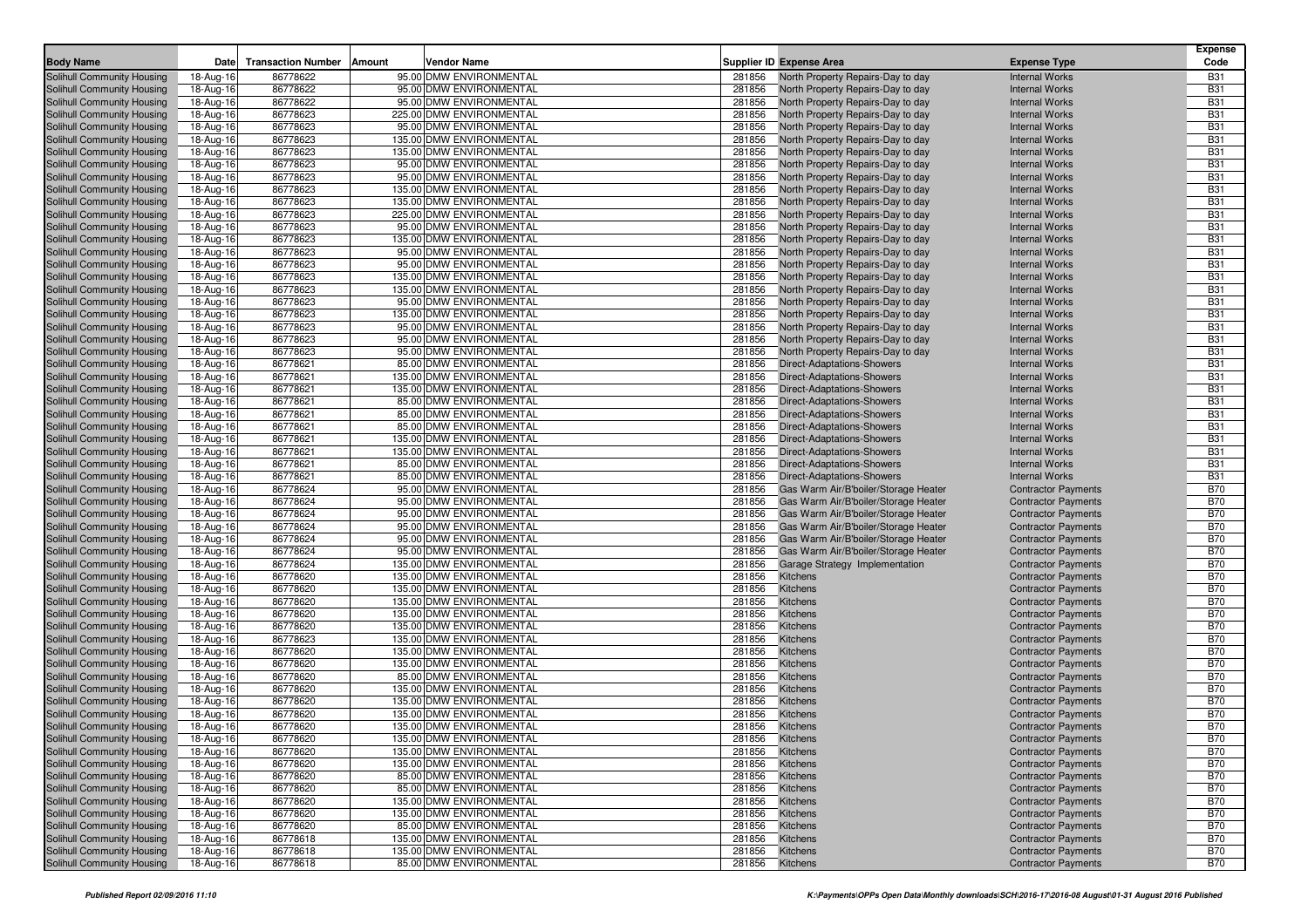| <b>Body Name</b>                                         | Date                   | <b>Transaction Number</b> | Amount | <b>Vendor Name</b>                                   |                  | <b>Supplier ID Expense Area</b>                                        | <b>Expense Type</b>                                      | <b>Expense</b><br>Code   |
|----------------------------------------------------------|------------------------|---------------------------|--------|------------------------------------------------------|------------------|------------------------------------------------------------------------|----------------------------------------------------------|--------------------------|
| Solihull Community Housing                               | 18-Aug-16              | 86778622                  |        | 95.00 DMW ENVIRONMENTAL                              | 281856           | North Property Repairs-Day to day                                      | <b>Internal Works</b>                                    | <b>B31</b>               |
| Solihull Community Housing                               | 18-Aug-16              | 86778622                  |        | 95.00 DMW ENVIRONMENTAL                              | 281856           | North Property Repairs-Day to day                                      | <b>Internal Works</b>                                    | <b>B31</b>               |
| Solihull Community Housing                               | 18-Aug-16              | 86778622                  |        | 95.00 DMW ENVIRONMENTAL                              | 281856           | North Property Repairs-Day to day                                      | <b>Internal Works</b>                                    | <b>B31</b>               |
| Solihull Community Housing                               | 18-Aug-16              | 86778623                  |        | 225.00 DMW ENVIRONMENTAL                             | 281856           | North Property Repairs-Day to day                                      | <b>Internal Works</b>                                    | <b>B31</b>               |
| Solihull Community Housing                               | 18-Aug-16              | 86778623                  |        | 95.00 DMW ENVIRONMENTAL                              | 281856           | North Property Repairs-Day to day                                      | <b>Internal Works</b>                                    | <b>B31</b>               |
| Solihull Community Housing                               | 18-Aug-16              | 86778623                  |        | 135.00 DMW ENVIRONMENTAL                             | 281856           | North Property Repairs-Day to day                                      | <b>Internal Works</b>                                    | <b>B31</b>               |
| Solihull Community Housing                               | 18-Aug-16              | 86778623                  |        | 135.00 DMW ENVIRONMENTAL                             | 281856           | North Property Repairs-Day to day                                      | <b>Internal Works</b>                                    | <b>B31</b>               |
| Solihull Community Housing                               | 18-Aug-16              | 86778623                  |        | 95.00 DMW ENVIRONMENTAL                              | 281856           | North Property Repairs-Day to day                                      | <b>Internal Works</b>                                    | <b>B31</b>               |
| Solihull Community Housing                               | 18-Aug-16              | 86778623                  |        | 95.00 DMW ENVIRONMENTAL                              | 281856           | North Property Repairs-Day to day                                      | <b>Internal Works</b>                                    | <b>B31</b>               |
| Solihull Community Housing                               | 18-Aug-16              | 86778623                  |        | 135.00 DMW ENVIRONMENTAL                             | 281856           | North Property Repairs-Day to day                                      | <b>Internal Works</b>                                    | <b>B31</b>               |
| Solihull Community Housing                               | 18-Aug-16              | 86778623                  |        | 135.00 DMW ENVIRONMENTAL                             | 281856           | North Property Repairs-Day to day                                      | <b>Internal Works</b>                                    | <b>B31</b>               |
| Solihull Community Housing                               | 18-Aug-16              | 86778623                  |        | 225.00 DMW ENVIRONMENTAL                             | 281856           | North Property Repairs-Day to day                                      | <b>Internal Works</b>                                    | <b>B31</b>               |
| Solihull Community Housing                               | 18-Aug-16              | 86778623                  |        | 95.00 DMW ENVIRONMENTAL                              | 281856           | North Property Repairs-Day to day                                      | <b>Internal Works</b>                                    | <b>B31</b>               |
| Solihull Community Housing                               | 18-Aug-16              | 86778623                  |        | 135.00 DMW ENVIRONMENTAL                             | 281856           | North Property Repairs-Day to day                                      | <b>Internal Works</b>                                    | <b>B31</b>               |
| Solihull Community Housing                               | 18-Aug-16              | 86778623                  |        | 95.00 DMW ENVIRONMENTAL                              | 281856           | North Property Repairs-Day to day                                      | <b>Internal Works</b>                                    | <b>B31</b>               |
| Solihull Community Housing                               | 18-Aug-16              | 86778623                  |        | 95.00 DMW ENVIRONMENTAL                              | 281856           | North Property Repairs-Day to day                                      | <b>Internal Works</b>                                    | <b>B31</b>               |
| Solihull Community Housing                               | 18-Aug-16              | 86778623                  |        | 135.00 DMW ENVIRONMENTAL                             | 281856           | North Property Repairs-Day to day                                      | <b>Internal Works</b>                                    | <b>B31</b>               |
| Solihull Community Housing                               | 18-Aug-16              | 86778623                  |        | 135.00 DMW ENVIRONMENTAL                             | 281856           | North Property Repairs-Day to day                                      | <b>Internal Works</b>                                    | <b>B31</b>               |
| Solihull Community Housing                               | 18-Aug-16              | 86778623<br>86778623      |        | 95.00 DMW ENVIRONMENTAL<br>135.00 DMW ENVIRONMENTAL  | 281856<br>281856 | North Property Repairs-Day to day                                      | <b>Internal Works</b><br><b>Internal Works</b>           | <b>B31</b><br><b>B31</b> |
| Solihull Community Housing<br>Solihull Community Housing | 18-Aug-16              | 86778623                  |        | 95.00 DMW ENVIRONMENTAL                              | 281856           | North Property Repairs-Day to day<br>North Property Repairs-Day to day | <b>Internal Works</b>                                    | <b>B31</b>               |
| Solihull Community Housing                               | 18-Aug-16<br>18-Aug-16 | 86778623                  |        | 95.00 DMW ENVIRONMENTAL                              | 281856           | North Property Repairs-Day to day                                      | <b>Internal Works</b>                                    | <b>B31</b>               |
| Solihull Community Housing                               | 18-Aug-16              | 86778623                  |        | 95.00 DMW ENVIRONMENTAL                              | 281856           | North Property Repairs-Day to day                                      | <b>Internal Works</b>                                    | <b>B31</b>               |
| Solihull Community Housing                               | 18-Aug-16              | 86778621                  |        | 85.00 DMW ENVIRONMENTAL                              | 281856           | Direct-Adaptations-Showers                                             | <b>Internal Works</b>                                    | <b>B31</b>               |
| Solihull Community Housing                               | 18-Aug-16              | 86778621                  |        | 135.00 DMW ENVIRONMENTAL                             | 281856           | <b>Direct-Adaptations-Showers</b>                                      | <b>Internal Works</b>                                    | <b>B31</b>               |
| Solihull Community Housing                               | 18-Aug-16              | 86778621                  |        | 135.00 DMW ENVIRONMENTAL                             | 281856           | Direct-Adaptations-Showers                                             | <b>Internal Works</b>                                    | <b>B31</b>               |
| Solihull Community Housing                               | 18-Aug-16              | 86778621                  |        | 85.00 DMW ENVIRONMENTAL                              | 281856           | Direct-Adaptations-Showers                                             | <b>Internal Works</b>                                    | <b>B31</b>               |
| Solihull Community Housing                               | 18-Aug-16              | 86778621                  |        | 85.00 DMW ENVIRONMENTAL                              | 281856           | <b>Direct-Adaptations-Showers</b>                                      | <b>Internal Works</b>                                    | <b>B31</b>               |
| Solihull Community Housing                               | 18-Aug-16              | 86778621                  |        | 85.00 DMW ENVIRONMENTAL                              | 281856           | <b>Direct-Adaptations-Showers</b>                                      | <b>Internal Works</b>                                    | <b>B31</b>               |
| Solihull Community Housing                               | 18-Aug-16              | 86778621                  |        | 135.00 DMW ENVIRONMENTAL                             | 281856           | <b>Direct-Adaptations-Showers</b>                                      | <b>Internal Works</b>                                    | <b>B31</b>               |
| Solihull Community Housing                               | 18-Aug-16              | 86778621                  |        | 135.00 DMW ENVIRONMENTAL                             | 281856           | <b>Direct-Adaptations-Showers</b>                                      | <b>Internal Works</b>                                    | <b>B31</b>               |
| Solihull Community Housing                               | 18-Aug-16              | 86778621                  |        | 85.00 DMW ENVIRONMENTAL                              | 281856           | <b>Direct-Adaptations-Showers</b>                                      | <b>Internal Works</b>                                    | <b>B31</b>               |
| Solihull Community Housing                               | 18-Aug-16              | 86778621                  |        | 85.00 DMW ENVIRONMENTAL                              | 281856           | <b>Direct-Adaptations-Showers</b>                                      | <b>Internal Works</b>                                    | <b>B31</b>               |
| Solihull Community Housing                               | 18-Aug-16              | 86778624                  |        | 95.00 DMW ENVIRONMENTAL                              | 281856           | Gas Warm Air/B'boiler/Storage Heater                                   | <b>Contractor Payments</b>                               | <b>B70</b>               |
| Solihull Community Housing                               | 18-Aug-16              | 86778624                  |        | 95.00 DMW ENVIRONMENTAL                              | 281856           | Gas Warm Air/B'boiler/Storage Heater                                   | <b>Contractor Payments</b>                               | <b>B70</b>               |
| Solihull Community Housing                               | 18-Aug-16              | 86778624                  |        | 95.00 DMW ENVIRONMENTAL                              | 281856           | Gas Warm Air/B'boiler/Storage Heater                                   | <b>Contractor Payments</b>                               | <b>B70</b>               |
| Solihull Community Housing                               | 18-Aug-16              | 86778624                  |        | 95.00 DMW ENVIRONMENTAL                              | 281856           | Gas Warm Air/B'boiler/Storage Heater                                   | <b>Contractor Payments</b>                               | <b>B70</b>               |
| Solihull Community Housing                               | 18-Aug-16              | 86778624                  |        | 95.00 DMW ENVIRONMENTAL                              | 281856           | Gas Warm Air/B'boiler/Storage Heater                                   | <b>Contractor Payments</b>                               | <b>B70</b>               |
| Solihull Community Housing                               | 18-Aug-16              | 86778624                  |        | 95.00 DMW ENVIRONMENTAL                              | 281856           | Gas Warm Air/B'boiler/Storage Heater                                   | <b>Contractor Payments</b>                               | <b>B70</b>               |
| Solihull Community Housing                               | 18-Aug-16              | 86778624                  |        | 135.00 DMW ENVIRONMENTAL                             | 281856           | Garage Strategy Implementation                                         | <b>Contractor Payments</b>                               | <b>B70</b>               |
| Solihull Community Housing                               | 18-Aug-16              | 86778620                  |        | 135.00 DMW ENVIRONMENTAL                             | 281856           | Kitchens                                                               | <b>Contractor Payments</b>                               | <b>B70</b>               |
| Solihull Community Housing                               | 18-Aug-16              | 86778620<br>86778620      |        | 135.00 DMW ENVIRONMENTAL                             | 281856           | Kitchens                                                               | <b>Contractor Payments</b>                               | <b>B70</b><br><b>B70</b> |
| Solihull Community Housing                               | 18-Aug-16              | 86778620                  |        | 135.00 DMW ENVIRONMENTAL<br>135.00 DMW ENVIRONMENTAL | 281856<br>281856 | Kitchens                                                               | <b>Contractor Payments</b>                               | <b>B70</b>               |
| Solihull Community Housing<br>Solihull Community Housing | 18-Aug-16<br>18-Aug-16 | 86778620                  |        | 135.00 DMW ENVIRONMENTAL                             | 281856           | Kitchens<br>Kitchens                                                   | <b>Contractor Payments</b><br><b>Contractor Payments</b> | <b>B70</b>               |
| Solihull Community Housing                               | 18-Aug-16              | 86778623                  |        | 135.00 DMW ENVIRONMENTAL                             | 281856           | Kitchens                                                               | <b>Contractor Payments</b>                               | <b>B70</b>               |
| Solihull Community Housing                               | 18-Aug-16              | 86778620                  |        | 135.00 DMW ENVIRONMENTAL                             | 281856           | Kitchens                                                               | <b>Contractor Payments</b>                               | <b>B70</b>               |
| Solihull Community Housing                               | 18-Aug-16              | 86778620                  |        | 135.00 DMW ENVIRONMENTAL                             | 281856           | Kitchens                                                               | <b>Contractor Payments</b>                               | <b>B70</b>               |
| Solihull Community Housing                               | 18-Aug-16              | 86778620                  |        | 85.00 DMW ENVIRONMENTAL                              | 281856           | Kitchens                                                               | <b>Contractor Payments</b>                               | <b>B70</b>               |
| Solihull Community Housing                               | 18-Aug-16              | 86778620                  |        | 135.00 DMW ENVIRONMENTAL                             | 281856           | Kitchens                                                               | <b>Contractor Payments</b>                               | <b>B70</b>               |
| Solihull Community Housing                               | 18-Aug-16              | 86778620                  |        | 135.00 DMW ENVIRONMENTAL                             | 281856           | Kitchens                                                               | <b>Contractor Payments</b>                               | <b>B70</b>               |
| Solihull Community Housing                               | 18-Aug-16              | 86778620                  |        | 135.00 DMW ENVIRONMENTAL                             | 281856           | Kitchens                                                               | <b>Contractor Payments</b>                               | <b>B70</b>               |
| Solihull Community Housing                               | 18-Aug-16              | 86778620                  |        | 135.00 DMW ENVIRONMENTAL                             | 281856           | <b>Kitchens</b>                                                        | <b>Contractor Payments</b>                               | <b>B70</b>               |
| Solihull Community Housing                               | 18-Aug-16              | 86778620                  |        | 135.00 DMW ENVIRONMENTAL                             | 281856           | Kitchens                                                               | <b>Contractor Payments</b>                               | <b>B70</b>               |
| Solihull Community Housing                               | 18-Aug-16              | 86778620                  |        | 135.00 DMW ENVIRONMENTAL                             | 281856           | <b>Kitchens</b>                                                        | <b>Contractor Payments</b>                               | <b>B70</b>               |
| Solihull Community Housing                               | 18-Aug-16              | 86778620                  |        | 135.00 DMW ENVIRONMENTAL                             | 281856           | <b>Kitchens</b>                                                        | <b>Contractor Payments</b>                               | <b>B70</b>               |
| Solihull Community Housing                               | 18-Aug-16              | 86778620                  |        | 85.00 DMW ENVIRONMENTAL                              | 281856           | Kitchens                                                               | <b>Contractor Payments</b>                               | <b>B70</b>               |
| Solihull Community Housing                               | 18-Aug-16              | 86778620                  |        | 85.00 DMW ENVIRONMENTAL                              | 281856           | Kitchens                                                               | <b>Contractor Payments</b>                               | <b>B70</b>               |
| Solihull Community Housing                               | 18-Aug-16              | 86778620                  |        | 135.00 DMW ENVIRONMENTAL                             | 281856           | Kitchens                                                               | <b>Contractor Payments</b>                               | <b>B70</b>               |
| Solihull Community Housing                               | 18-Aug-16              | 86778620                  |        | 135.00 DMW ENVIRONMENTAL                             | 281856           | Kitchens                                                               | <b>Contractor Payments</b>                               | <b>B70</b>               |
| Solihull Community Housing                               | 18-Aug-16              | 86778620                  |        | 85.00 DMW ENVIRONMENTAL                              | 281856           | Kitchens                                                               | <b>Contractor Payments</b>                               | <b>B70</b>               |
| Solihull Community Housing                               | 18-Aug-16              | 86778618                  |        | 135.00 DMW ENVIRONMENTAL                             | 281856           | Kitchens                                                               | <b>Contractor Payments</b>                               | <b>B70</b>               |
| Solihull Community Housing                               | 18-Aug-16              | 86778618                  |        | 135.00 DMW ENVIRONMENTAL                             | 281856           | Kitchens                                                               | <b>Contractor Payments</b>                               | <b>B70</b>               |
| Solihull Community Housing                               | 18-Aug-16              | 86778618                  |        | 85.00 DMW ENVIRONMENTAL                              | 281856 Kitchens  |                                                                        | <b>Contractor Payments</b>                               | <b>B70</b>               |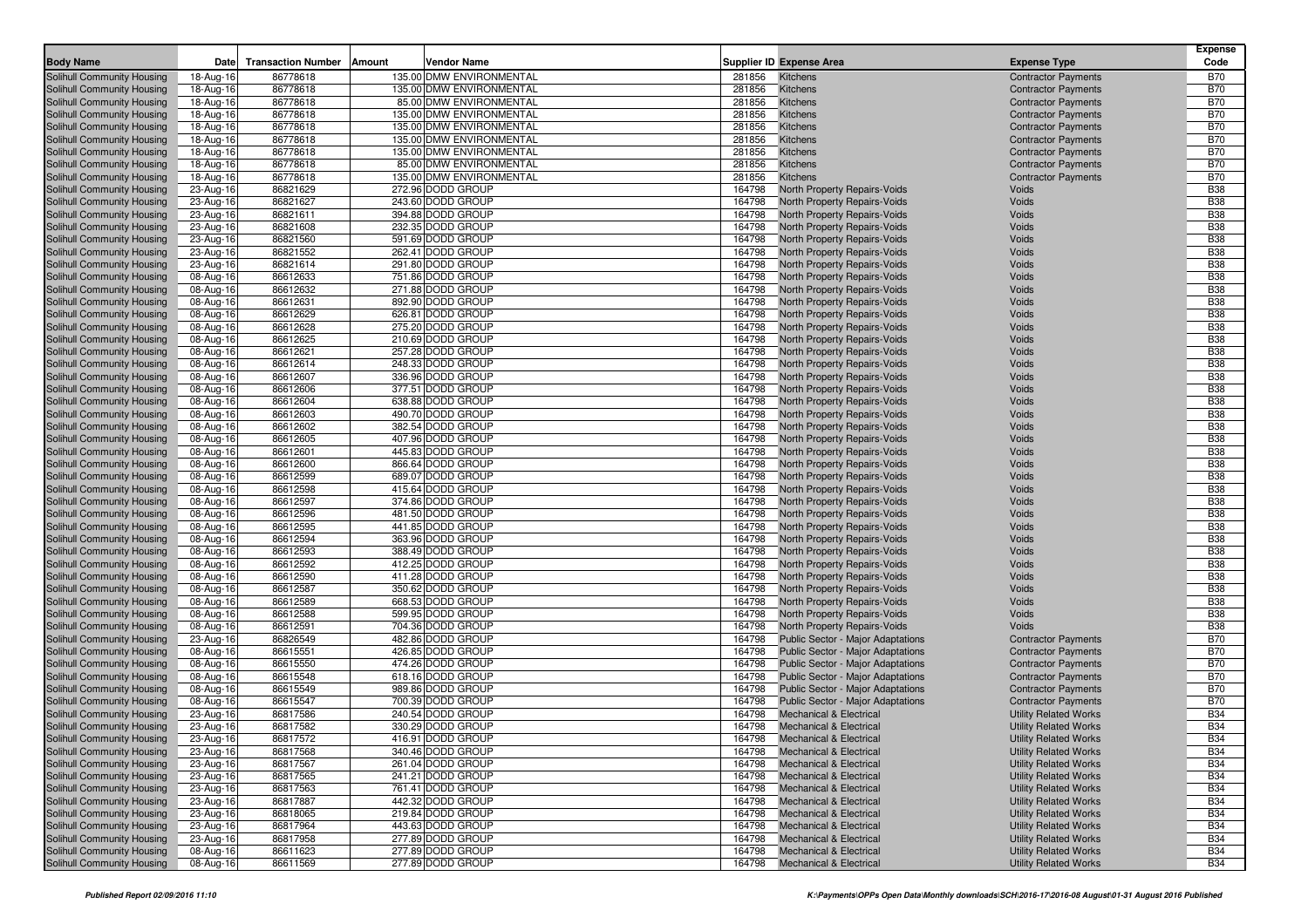| <b>Body Name</b>                                         | Date                   | <b>Transaction Number</b><br>Amount<br>Vendor Name |                  | <b>Supplier ID Expense Area</b>                                          | <b>Expense Type</b>                                          | <b>Expense</b><br>Code   |
|----------------------------------------------------------|------------------------|----------------------------------------------------|------------------|--------------------------------------------------------------------------|--------------------------------------------------------------|--------------------------|
| Solihull Community Housing                               | 18-Aug-16              | 135.00 DMW ENVIRONMENTAL<br>86778618               | 281856           | Kitchens                                                                 | <b>Contractor Payments</b>                                   | <b>B70</b>               |
| Solihull Community Housing                               | 18-Aug-16              | 86778618<br>135.00 DMW ENVIRONMENTAL               | 281856           | Kitchens                                                                 | <b>Contractor Payments</b>                                   | <b>B70</b>               |
| Solihull Community Housing                               | 18-Aug-16              | 86778618<br>85.00 DMW ENVIRONMENTAL                | 281856           | Kitchens                                                                 | <b>Contractor Payments</b>                                   | <b>B70</b>               |
| Solihull Community Housing                               | 18-Aug-16              | 135.00 DMW ENVIRONMENTAL<br>86778618               | 281856           | Kitchens                                                                 | <b>Contractor Payments</b>                                   | <b>B70</b>               |
| Solihull Community Housing                               | 18-Aug-16              | 86778618<br>135.00 DMW ENVIRONMENTAL               | 281856           | Kitchens                                                                 | <b>Contractor Payments</b>                                   | <b>B70</b>               |
| Solihull Community Housing                               | 18-Aug-16              | 86778618<br>135.00 DMW ENVIRONMENTAL               | 281856           | Kitchens                                                                 | <b>Contractor Payments</b>                                   | <b>B70</b>               |
| Solihull Community Housing                               | 18-Aug-16              | 86778618<br>135.00 DMW ENVIRONMENTAL               | 281856           | Kitchens                                                                 | <b>Contractor Payments</b>                                   | <b>B70</b>               |
| Solihull Community Housing                               | 18-Aug-16              | 85.00 DMW ENVIRONMENTAL<br>86778618                | 281856           | Kitchens                                                                 | <b>Contractor Payments</b>                                   | <b>B70</b>               |
| Solihull Community Housing                               | 18-Aug-16              | 135.00 DMW ENVIRONMENTAL<br>86778618               | 281856           | Kitchens                                                                 | <b>Contractor Payments</b>                                   | <b>B70</b>               |
| Solihull Community Housing                               | 23-Aug-16              | 272.96 DODD GROUP<br>86821629                      | 164798           | North Property Repairs-Voids                                             | Voids                                                        | <b>B38</b>               |
| Solihull Community Housing                               | 23-Aug-16              | 86821627<br>243.60 DODD GROUP                      | 164798           | North Property Repairs-Voids                                             | Voids                                                        | <b>B38</b>               |
| Solihull Community Housing                               | 23-Aug-16              | 394.88 DODD GROUP<br>86821611                      | 164798           | North Property Repairs-Voids                                             | Voids                                                        | <b>B38</b>               |
| Solihull Community Housing                               | 23-Aug-16              | 232.35 DODD GROUP<br>86821608                      | 164798           | North Property Repairs-Voids                                             | Voids                                                        | <b>B38</b>               |
| Solihull Community Housing                               | 23-Aug-16              | 86821560<br>591.69 DODD GROUP                      | 164798           | North Property Repairs-Voids                                             | Voids                                                        | <b>B38</b>               |
| Solihull Community Housing<br>Solihull Community Housing | 23-Aug-16              | 86821552<br>262.41 DODD GROUP<br>291.80 DODD GROUP | 164798<br>164798 | <b>North Property Repairs-Voids</b>                                      | Voids<br>Voids                                               | <b>B38</b><br><b>B38</b> |
| Solihull Community Housing                               | 23-Aug-16              | 86821614<br>86612633<br>751.86 DODD GROUP          | 164798           | North Property Repairs-Voids<br>North Property Repairs-Voids             | Voids                                                        | <b>B38</b>               |
| Solihull Community Housing                               | 08-Aug-16<br>08-Aug-16 | 86612632<br>271.88 DODD GROUP                      | 164798           | North Property Repairs-Voids                                             | Voids                                                        | <b>B38</b>               |
| Solihull Community Housing                               | 08-Aug-16              | 86612631<br>892.90 DODD GROUP                      | 164798           | North Property Repairs-Voids                                             | Voids                                                        | <b>B38</b>               |
| Solihull Community Housing                               | 08-Aug-16              | 86612629<br>626.81 DODD GROUP                      | 164798           | North Property Repairs-Voids                                             | Voids                                                        | <b>B38</b>               |
| Solihull Community Housing                               | 08-Aug-16              | 86612628<br>275.20 DODD GROUP                      | 164798           | North Property Repairs-Voids                                             | Voids                                                        | <b>B38</b>               |
| Solihull Community Housing                               | 08-Aug-16              | 86612625<br>210.69 DODD GROUP                      | 164798           | North Property Repairs-Voids                                             | Voids                                                        | <b>B38</b>               |
| Solihull Community Housing                               | 08-Aug-16              | 86612621<br>257.28 DODD GROUP                      | 164798           | North Property Repairs-Voids                                             | Voids                                                        | <b>B38</b>               |
| Solihull Community Housing                               | 08-Aug-16              | 248.33 DODD GROUP<br>86612614                      | 164798           | <b>North Property Repairs-Voids</b>                                      | Voids                                                        | <b>B38</b>               |
| Solihull Community Housing                               | 08-Aug-16              | 86612607<br>336.96 DODD GROUP                      | 164798           | North Property Repairs-Voids                                             | Voids                                                        | <b>B38</b>               |
| Solihull Community Housing                               | 08-Aug-16              | 86612606<br>377.51 DODD GROUP                      | 164798           | <b>North Property Repairs-Voids</b>                                      | Voids                                                        | <b>B38</b>               |
| Solihull Community Housing                               | 08-Aug-16              | 86612604<br>638.88 DODD GROUP                      | 164798           | North Property Repairs-Voids                                             | Voids                                                        | <b>B38</b>               |
| Solihull Community Housing                               | 08-Aug-16              | 86612603<br>490.70 DODD GROUP                      | 164798           | North Property Repairs-Voids                                             | Voids                                                        | <b>B38</b>               |
| Solihull Community Housing                               | 08-Aug-16              | 86612602<br>382.54 DODD GROUP                      | 164798           | North Property Repairs-Voids                                             | Voids                                                        | <b>B38</b>               |
| Solihull Community Housing                               | 08-Aug-16              | 86612605<br>407.96 DODD GROUP                      | 164798           | North Property Repairs-Voids                                             | Voids                                                        | <b>B38</b>               |
| Solihull Community Housing                               | 08-Aug-16              | 86612601<br>445.83 DODD GROUP                      | 164798           | North Property Repairs-Voids                                             | Voids                                                        | <b>B38</b>               |
| Solihull Community Housing                               | 08-Aug-16              | 86612600<br>866.64 DODD GROUP                      | 164798           | North Property Repairs-Voids                                             | Voids                                                        | <b>B38</b>               |
| Solihull Community Housing                               | 08-Aug-16              | 86612599<br>689.07 DODD GROUP                      | 164798           | <b>North Property Repairs-Voids</b>                                      | Voids                                                        | <b>B38</b>               |
| Solihull Community Housing                               | 08-Aug-16              | 86612598<br>415.64 DODD GROUP                      | 164798           | North Property Repairs-Voids                                             | Voids                                                        | <b>B38</b>               |
| Solihull Community Housing                               | 08-Aug-16              | 86612597<br>374.86 DODD GROUP                      | 164798           | North Property Repairs-Voids                                             | Voids                                                        | <b>B38</b>               |
| Solihull Community Housing                               | 08-Aug-16              | 86612596<br>481.50 DODD GROUP<br>441.85 DODD GROUP | 164798           | North Property Repairs-Voids                                             | Voids                                                        | <b>B38</b><br><b>B38</b> |
| Solihull Community Housing<br>Solihull Community Housing | 08-Aug-16<br>08-Aug-16 | 86612595<br>86612594<br>363.96 DODD GROUP          | 164798<br>164798 | North Property Repairs-Voids<br>North Property Repairs-Voids             | Voids<br>Voids                                               | <b>B38</b>               |
| Solihull Community Housing                               | 08-Aug-16              | 86612593<br>388.49 DODD GROUP                      | 164798           | North Property Repairs-Voids                                             | Voids                                                        | <b>B38</b>               |
| Solihull Community Housing                               | 08-Aug-16              | 412.25 DODD GROUP<br>86612592                      | 164798           | North Property Repairs-Voids                                             | Voids                                                        | <b>B38</b>               |
| Solihull Community Housing                               | 08-Aug-16              | 86612590<br>411.28 DODD GROUP                      | 164798           | North Property Repairs-Voids                                             | Voids                                                        | <b>B38</b>               |
| Solihull Community Housing                               | 08-Aug-16              | 86612587<br>350.62 DODD GROUP                      | 164798           | North Property Repairs-Voids                                             | Voids                                                        | <b>B38</b>               |
| Solihull Community Housing                               | 08-Aug-16              | 86612589<br>668.53 DODD GROUP                      | 164798           | North Property Repairs-Voids                                             | Voids                                                        | <b>B38</b>               |
| Solihull Community Housing                               | 08-Aug-16              | 86612588<br>599.95 DODD GROUP                      | 164798           | North Property Repairs-Voids                                             | Voids                                                        | <b>B38</b>               |
| Solihull Community Housing                               | 08-Aug-16              | 86612591<br>704.36 DODD GROUP                      | 164798           | North Property Repairs-Voids                                             | Voids                                                        | <b>B38</b>               |
| Solihull Community Housing                               | 23-Aug-16              | 482.86 DODD GROUP<br>86826549                      | 164798           | Public Sector - Major Adaptations                                        | <b>Contractor Payments</b>                                   | <b>B70</b>               |
| Solihull Community Housing                               | 08-Aug-16              | 86615551<br>426.85 DODD GROUP                      | 164798           | <b>Public Sector - Major Adaptations</b>                                 | <b>Contractor Payments</b>                                   | <b>B70</b>               |
| Solihull Community Housing                               | 08-Aug-16              | 86615550<br>474.26 DODD GROUP                      | 164798           | <b>Public Sector - Major Adaptations</b>                                 | <b>Contractor Payments</b>                                   | <b>B70</b>               |
| Solihull Community Housing                               | 08-Aug-16              | 618.16 DODD GROUP<br>86615548                      | 164798           | <b>Public Sector - Major Adaptations</b>                                 | <b>Contractor Payments</b>                                   | <b>B70</b>               |
| Solihull Community Housing                               | 08-Aug-16              | 86615549<br>989.86 DODD GROUP                      | 164798           | <b>Public Sector - Major Adaptations</b>                                 | <b>Contractor Payments</b>                                   | <b>B70</b>               |
| Solihull Community Housing                               | 08-Aug-16              | 86615547<br>700.39 DODD GROUP                      | 164798           | <b>Public Sector - Major Adaptations</b>                                 | <b>Contractor Payments</b>                                   | <b>B70</b>               |
| Solihull Community Housing                               | 23-Aug-16              | 86817586<br>240.54 DODD GROUP                      | 164798           | <b>Mechanical &amp; Electrical</b>                                       | <b>Utility Related Works</b>                                 | <b>B34</b>               |
| Solihull Community Housing                               | 23-Aug-16              | 86817582<br>330.29 DODD GROUP                      | 164798           | <b>Mechanical &amp; Electrical</b>                                       | <b>Utility Related Works</b>                                 | <b>B34</b>               |
| Solihull Community Housing                               | 23-Aug-16              | 86817572<br>416.91 DODD GROUP                      |                  | 164798 Mechanical & Electrical                                           | <b>Utility Related Works</b>                                 | <b>B34</b>               |
| Solihull Community Housing                               | 23-Aug-16              | 340.46 DODD GROUP<br>86817568                      |                  | 164798 Mechanical & Electrical                                           | <b>Utility Related Works</b>                                 | <b>B34</b>               |
| Solihull Community Housing                               | 23-Aug-16              | 261.04 DODD GROUP<br>86817567<br>241.21 DODD GROUP | 164798           | <b>Mechanical &amp; Electrical</b>                                       | <b>Utility Related Works</b>                                 | <b>B34</b><br><b>B34</b> |
| Solihull Community Housing<br>Solihull Community Housing | 23-Aug-16<br>23-Aug-16 | 86817565<br>761.41 DODD GROUP<br>86817563          | 164798<br>164798 | <b>Mechanical &amp; Electrical</b><br><b>Mechanical &amp; Electrical</b> | <b>Utility Related Works</b><br><b>Utility Related Works</b> | <b>B34</b>               |
| Solihull Community Housing                               | 23-Aug-16              | 442.32 DODD GROUP<br>86817887                      | 164798           | <b>Mechanical &amp; Electrical</b>                                       | <b>Utility Related Works</b>                                 | <b>B34</b>               |
| Solihull Community Housing                               | 23-Aug-16              | 219.84 DODD GROUP<br>86818065                      | 164798           | <b>Mechanical &amp; Electrical</b>                                       | <b>Utility Related Works</b>                                 | <b>B34</b>               |
| Solihull Community Housing                               | 23-Aug-16              | 86817964<br>443.63 DODD GROUP                      | 164798           | <b>Mechanical &amp; Electrical</b>                                       | <b>Utility Related Works</b>                                 | <b>B34</b>               |
| Solihull Community Housing                               | 23-Aug-16              | 277.89 DODD GROUP<br>86817958                      | 164798           | <b>Mechanical &amp; Electrical</b>                                       | <b>Utility Related Works</b>                                 | <b>B34</b>               |
| Solihull Community Housing                               | 08-Aug-16              | 277.89 DODD GROUP<br>86611623                      | 164798           | <b>Mechanical &amp; Electrical</b>                                       | <b>Utility Related Works</b>                                 | <b>B34</b>               |
| Solihull Community Housing                               | 08-Aug-16              | 86611569<br>277.89 DODD GROUP                      |                  | 164798 Mechanical & Electrical                                           | <b>Utility Related Works</b>                                 | <b>B34</b>               |
|                                                          |                        |                                                    |                  |                                                                          |                                                              |                          |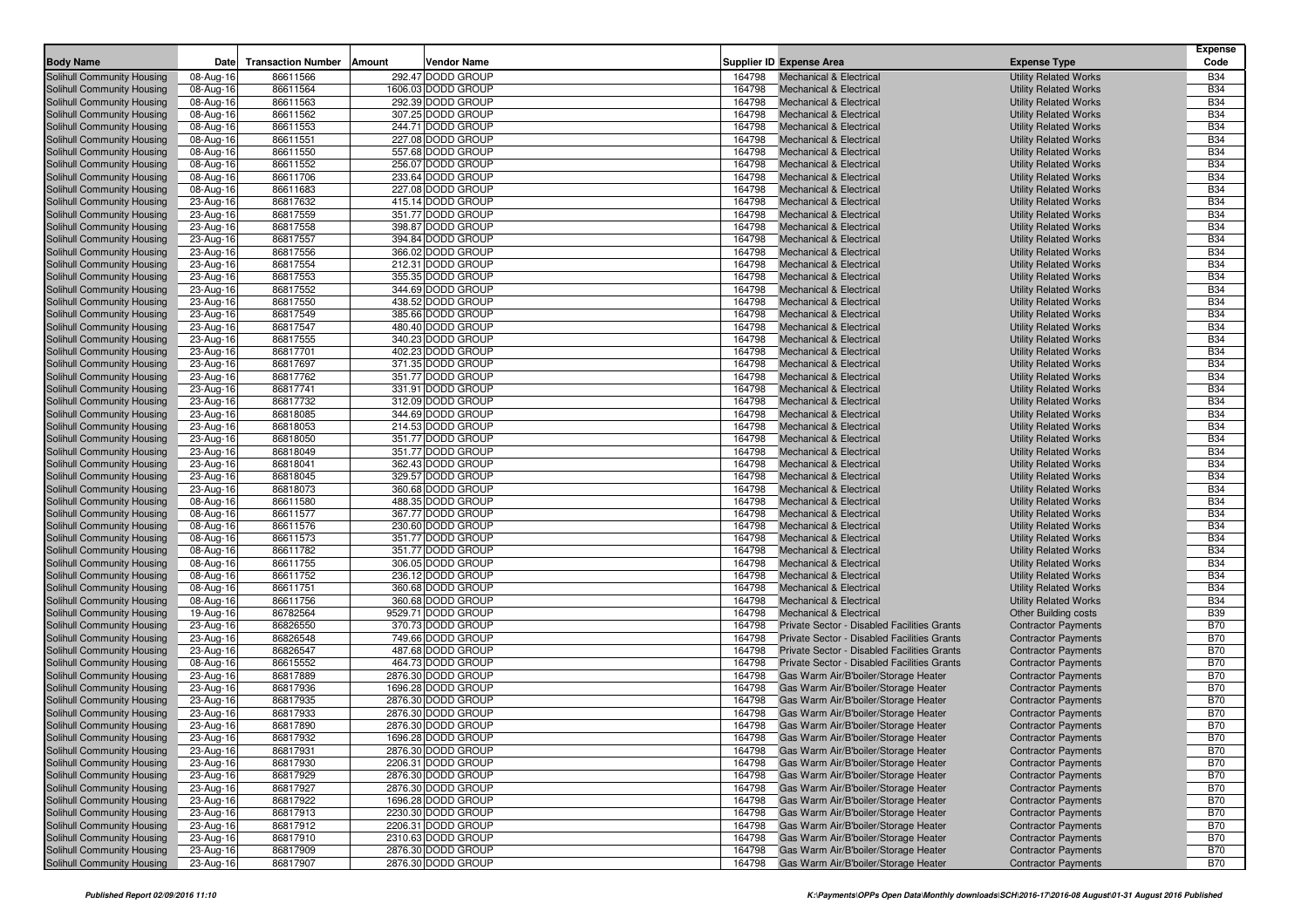| <b>Body Name</b>                                         | Date                   | <b>Transaction Number</b> | <b>Vendor Name</b><br>Amount           |                  | Supplier ID Expense Area                                                 | <b>Expense Type</b>                                          | <b>Expense</b><br>Code   |
|----------------------------------------------------------|------------------------|---------------------------|----------------------------------------|------------------|--------------------------------------------------------------------------|--------------------------------------------------------------|--------------------------|
| Solihull Community Housing                               | 08-Aug-16              | 86611566                  | 292.47 DODD GROUP                      | 164798           | <b>Mechanical &amp; Electrical</b>                                       | <b>Utility Related Works</b>                                 | <b>B34</b>               |
| Solihull Community Housing                               | 08-Aug-16              | 86611564                  | 1606.03 DODD GROUP                     | 164798           | <b>Mechanical &amp; Electrical</b>                                       | <b>Utility Related Works</b>                                 | <b>B34</b>               |
| Solihull Community Housing                               | 08-Aug-16              | 86611563                  | 292.39 DODD GROUP                      | 164798           | <b>Mechanical &amp; Electrical</b>                                       | <b>Utility Related Works</b>                                 | <b>B34</b>               |
| Solihull Community Housing                               | 08-Aug-16              | 86611562                  | 307.25 DODD GROUP                      | 164798           | <b>Mechanical &amp; Electrical</b>                                       | <b>Utility Related Works</b>                                 | <b>B34</b>               |
| Solihull Community Housing                               | 08-Aug-16              | 86611553                  | 244.71 DODD GROUP                      | 164798           | <b>Mechanical &amp; Electrical</b>                                       | <b>Utility Related Works</b>                                 | <b>B34</b>               |
| Solihull Community Housing                               | 08-Aug-16              | 86611551                  | 227.08 DODD GROUP                      | 164798           | <b>Mechanical &amp; Electrical</b>                                       | <b>Utility Related Works</b>                                 | <b>B34</b>               |
| Solihull Community Housing                               | 08-Aug-16              | 86611550                  | 557.68 DODD GROUP                      | 164798           | <b>Mechanical &amp; Electrical</b>                                       | <b>Utility Related Works</b>                                 | <b>B34</b>               |
| Solihull Community Housing                               | 08-Aug-16              | 86611552                  | 256.07 DODD GROUP                      | 164798           | <b>Mechanical &amp; Electrical</b>                                       | <b>Utility Related Works</b>                                 | <b>B34</b>               |
| Solihull Community Housing                               | 08-Aug-16              | 86611706                  | 233.64 DODD GROUP                      | 164798           | <b>Mechanical &amp; Electrical</b>                                       | <b>Utility Related Works</b>                                 | <b>B34</b>               |
| Solihull Community Housing                               | 08-Aug-16              | 86611683                  | 227.08 DODD GROUP                      | 164798           | <b>Mechanical &amp; Electrical</b>                                       | <b>Utility Related Works</b>                                 | <b>B34</b>               |
| Solihull Community Housing                               | 23-Aug-16              | 86817632                  | 415.14 DODD GROUP                      | 164798           | <b>Mechanical &amp; Electrical</b>                                       | <b>Utility Related Works</b>                                 | <b>B34</b>               |
| Solihull Community Housing                               | 23-Aug-16              | 86817559                  | 351.77 DODD GROUP                      | 164798           | <b>Mechanical &amp; Electrical</b>                                       | <b>Utility Related Works</b>                                 | <b>B34</b>               |
| Solihull Community Housing                               | 23-Aug-16              | 86817558                  | 398.87 DODD GROUP                      | 164798           | <b>Mechanical &amp; Electrical</b>                                       | <b>Utility Related Works</b>                                 | <b>B34</b>               |
| Solihull Community Housing                               | 23-Aug-16              | 86817557                  | 394.84 DODD GROUP                      | 164798           | <b>Mechanical &amp; Electrical</b>                                       | <b>Utility Related Works</b>                                 | <b>B34</b>               |
| Solihull Community Housing                               | 23-Aug-16              | 86817556                  | 366.02 DODD GROUP                      | 164798           | <b>Mechanical &amp; Electrical</b>                                       | <b>Utility Related Works</b>                                 | <b>B34</b>               |
| Solihull Community Housing                               | 23-Aug-16              | 86817554                  | 212.31 DODD GROUP                      | 164798           | <b>Mechanical &amp; Electrical</b>                                       | <b>Utility Related Works</b>                                 | <b>B34</b>               |
| Solihull Community Housing                               | 23-Aug-16              | 86817553                  | 355.35 DODD GROUP                      | 164798           | <b>Mechanical &amp; Electrical</b>                                       | <b>Utility Related Works</b>                                 | <b>B34</b>               |
| Solihull Community Housing                               | 23-Aug-16              | 86817552                  | 344.69 DODD GROUP<br>438.52 DODD GROUP | 164798           | <b>Mechanical &amp; Electrical</b>                                       | <b>Utility Related Works</b>                                 | <b>B34</b><br><b>B34</b> |
| Solihull Community Housing<br>Solihull Community Housing | 23-Aug-16<br>23-Aug-16 | 86817550<br>86817549      | 385.66 DODD GROUP                      | 164798<br>164798 | <b>Mechanical &amp; Electrical</b><br><b>Mechanical &amp; Electrical</b> | <b>Utility Related Works</b><br><b>Utility Related Works</b> | <b>B34</b>               |
| Solihull Community Housing                               | 23-Aug-16              | 86817547                  | 480.40 DODD GROUP                      | 164798           | <b>Mechanical &amp; Electrical</b>                                       | <b>Utility Related Works</b>                                 | <b>B34</b>               |
| Solihull Community Housing                               | 23-Aug-16              | 86817555                  | 340.23 DODD GROUP                      | 164798           | <b>Mechanical &amp; Electrical</b>                                       | <b>Utility Related Works</b>                                 | <b>B34</b>               |
| Solihull Community Housing                               | 23-Aug-16              | 86817701                  | 402.23 DODD GROUP                      | 164798           | <b>Mechanical &amp; Electrical</b>                                       | <b>Utility Related Works</b>                                 | <b>B34</b>               |
| Solihull Community Housing                               | 23-Aug-16              | 86817697                  | 371.35 DODD GROUP                      | 164798           | <b>Mechanical &amp; Electrical</b>                                       | <b>Utility Related Works</b>                                 | <b>B34</b>               |
| Solihull Community Housing                               | 23-Aug-16              | 86817762                  | 351.77 DODD GROUP                      | 164798           | <b>Mechanical &amp; Electrical</b>                                       | <b>Utility Related Works</b>                                 | <b>B34</b>               |
| Solihull Community Housing                               | 23-Aug-16              | 86817741                  | 331.91 DODD GROUP                      | 164798           | <b>Mechanical &amp; Electrical</b>                                       | <b>Utility Related Works</b>                                 | <b>B34</b>               |
| Solihull Community Housing                               | 23-Aug-16              | 86817732                  | 312.09 DODD GROUP                      | 164798           | <b>Mechanical &amp; Electrical</b>                                       | <b>Utility Related Works</b>                                 | <b>B34</b>               |
| Solihull Community Housing                               | 23-Aug-16              | 86818085                  | 344.69 DODD GROUP                      | 164798           | <b>Mechanical &amp; Electrical</b>                                       | <b>Utility Related Works</b>                                 | <b>B34</b>               |
| Solihull Community Housing                               | 23-Aug-16              | 86818053                  | 214.53 DODD GROUP                      | 164798           | <b>Mechanical &amp; Electrical</b>                                       | <b>Utility Related Works</b>                                 | <b>B34</b>               |
| Solihull Community Housing                               | 23-Aug-16              | 86818050                  | 351.77 DODD GROUP                      | 164798           | <b>Mechanical &amp; Electrical</b>                                       | <b>Utility Related Works</b>                                 | <b>B34</b>               |
| Solihull Community Housing                               | 23-Aug-16              | 86818049                  | 351.77 DODD GROUP                      | 164798           | <b>Mechanical &amp; Electrical</b>                                       | <b>Utility Related Works</b>                                 | <b>B34</b>               |
| Solihull Community Housing                               | 23-Aug-16              | 86818041                  | 362.43 DODD GROUP                      | 164798           | <b>Mechanical &amp; Electrical</b>                                       | <b>Utility Related Works</b>                                 | <b>B34</b>               |
| Solihull Community Housing                               | 23-Aug-16              | 86818045                  | 329.57 DODD GROUP                      | 164798           | <b>Mechanical &amp; Electrical</b>                                       | <b>Utility Related Works</b>                                 | <b>B34</b>               |
| Solihull Community Housing                               | 23-Aug-16              | 86818073                  | 360.68 DODD GROUP                      | 164798           | <b>Mechanical &amp; Electrical</b>                                       | <b>Utility Related Works</b>                                 | <b>B34</b>               |
| Solihull Community Housing                               | 08-Aug-16              | 86611580                  | 488.35 DODD GROUP                      | 164798           | <b>Mechanical &amp; Electrical</b>                                       | <b>Utility Related Works</b>                                 | <b>B34</b>               |
| Solihull Community Housing                               | 08-Aug-16              | 86611577                  | 367.77 DODD GROUP                      | 164798           | <b>Mechanical &amp; Electrical</b>                                       | <b>Utility Related Works</b>                                 | <b>B34</b>               |
| Solihull Community Housing                               | 08-Aug-16              | 86611576                  | 230.60 DODD GROUP                      | 164798           | <b>Mechanical &amp; Electrical</b>                                       | <b>Utility Related Works</b>                                 | <b>B34</b>               |
| Solihull Community Housing                               | 08-Aug-16              | 86611573                  | 351.77 DODD GROUP                      | 164798           | <b>Mechanical &amp; Electrical</b>                                       | <b>Utility Related Works</b>                                 | <b>B34</b>               |
| Solihull Community Housing                               | 08-Aug-16              | 86611782                  | 351.77 DODD GROUP                      | 164798           | <b>Mechanical &amp; Electrical</b>                                       | <b>Utility Related Works</b>                                 | <b>B34</b>               |
| Solihull Community Housing                               | 08-Aug-16              | 86611755                  | 306.05 DODD GROUP                      | 164798           | <b>Mechanical &amp; Electrical</b>                                       | <b>Utility Related Works</b>                                 | <b>B34</b>               |
| Solihull Community Housing                               | 08-Aug-16              | 86611752                  | 236.12 DODD GROUP                      | 164798           | <b>Mechanical &amp; Electrical</b>                                       | <b>Utility Related Works</b>                                 | <b>B34</b><br><b>B34</b> |
| Solihull Community Housing                               | 08-Aug-16              | 86611751<br>86611756      | 360.68 DODD GROUP<br>360.68 DODD GROUP | 164798<br>164798 | <b>Mechanical &amp; Electrical</b><br><b>Mechanical &amp; Electrical</b> | <b>Utility Related Works</b>                                 | <b>B34</b>               |
| Solihull Community Housing<br>Solihull Community Housing | 08-Aug-16<br>19-Aug-16 | 86782564                  | 9529.71 DODD GROUP                     | 164798           | <b>Mechanical &amp; Electrical</b>                                       | <b>Utility Related Works</b><br><b>Other Building costs</b>  | <b>B39</b>               |
| Solihull Community Housing                               | 23-Aug-16              | 86826550                  | 370.73 DODD GROUP                      | 164798           | Private Sector - Disabled Facilities Grants                              | <b>Contractor Payments</b>                                   | <b>B70</b>               |
| Solihull Community Housing                               | 23-Aug-16              | 86826548                  | 749.66 DODD GROUP                      | 164798           | Private Sector - Disabled Facilities Grants                              | <b>Contractor Payments</b>                                   | <b>B70</b>               |
| Solihull Community Housing                               | 23-Aug-16              | 86826547                  | 487.68 DODD GROUP                      | 164798           | Private Sector - Disabled Facilities Grants                              | <b>Contractor Payments</b>                                   | <b>B70</b>               |
| Solihull Community Housing                               | 08-Aug-16              | 86615552                  | 464.73 DODD GROUP                      | 164798           | Private Sector - Disabled Facilities Grants                              | <b>Contractor Payments</b>                                   | <b>B70</b>               |
| Solihull Community Housing                               | 23-Aug-16              | 86817889                  | 2876.30 DODD GROUP                     | 164798           | Gas Warm Air/B'boiler/Storage Heater                                     | <b>Contractor Payments</b>                                   | <b>B70</b>               |
| Solihull Community Housing                               | 23-Aug-16              | 86817936                  | 1696.28 DODD GROUP                     | 164798           | Gas Warm Air/B'boiler/Storage Heater                                     | <b>Contractor Payments</b>                                   | <b>B70</b>               |
| Solihull Community Housing                               | 23-Aug-16              | 86817935                  | 2876.30 DODD GROUP                     | 164798           | Gas Warm Air/B'boiler/Storage Heater                                     | <b>Contractor Payments</b>                                   | <b>B70</b>               |
| Solihull Community Housing                               | 23-Aug-16              | 86817933                  | 2876.30 DODD GROUP                     | 164798           | Gas Warm Air/B'boiler/Storage Heater                                     | <b>Contractor Payments</b>                                   | <b>B70</b>               |
| Solihull Community Housing                               | 23-Aug-16              | 86817890                  | 2876.30 DODD GROUP                     | 164798           | Gas Warm Air/B'boiler/Storage Heater                                     | <b>Contractor Payments</b>                                   | <b>B70</b>               |
| Solihull Community Housing                               | $23-Aug-16$            | 86817932                  | 1696.28 DODD GROUP                     | 164798           | Gas Warm Air/B'boiler/Storage Heater                                     | <b>Contractor Payments</b>                                   | <b>B70</b>               |
| Solihull Community Housing                               | 23-Aug-16              | 86817931                  | 2876.30 DODD GROUP                     | 164798           | Gas Warm Air/B'boiler/Storage Heater                                     | <b>Contractor Payments</b>                                   | <b>B70</b>               |
| Solihull Community Housing                               | 23-Aug-16              | 86817930                  | 2206.31 DODD GROUP                     | 164798           | Gas Warm Air/B'boiler/Storage Heater                                     | <b>Contractor Payments</b>                                   | <b>B70</b>               |
| <b>Solihull Community Housing</b>                        | 23-Aug-16              | 86817929                  | 2876.30 DODD GROUP                     | 164798           | Gas Warm Air/B'boiler/Storage Heater                                     | <b>Contractor Payments</b>                                   | <b>B70</b>               |
| Solihull Community Housing                               | 23-Aug-16              | 86817927                  | 2876.30 DODD GROUP                     | 164798           | Gas Warm Air/B'boiler/Storage Heater                                     | <b>Contractor Payments</b>                                   | <b>B70</b>               |
| Solihull Community Housing                               | 23-Aug-16              | 86817922                  | 1696.28 DODD GROUP                     | 164798           | Gas Warm Air/B'boiler/Storage Heater                                     | <b>Contractor Payments</b>                                   | <b>B70</b>               |
| Solihull Community Housing                               | 23-Aug-16              | 86817913                  | 2230.30 DODD GROUP                     | 164798           | Gas Warm Air/B'boiler/Storage Heater                                     | <b>Contractor Payments</b>                                   | <b>B70</b>               |
| Solihull Community Housing                               | 23-Aug-16              | 86817912                  | 2206.31 DODD GROUP                     | 164798           | Gas Warm Air/B'boiler/Storage Heater                                     | <b>Contractor Payments</b>                                   | <b>B70</b>               |
| Solihull Community Housing                               | 23-Aug-16              | 86817910                  | 2310.63 DODD GROUP                     | 164798           | Gas Warm Air/B'boiler/Storage Heater                                     | <b>Contractor Payments</b>                                   | <b>B70</b>               |
| Solihull Community Housing                               | 23-Aug-16              | 86817909                  | 2876.30 DODD GROUP                     | 164798           | Gas Warm Air/B'boiler/Storage Heater                                     | <b>Contractor Payments</b>                                   | <b>B70</b>               |
| Solihull Community Housing                               | 23-Aug-16              | 86817907                  | 2876.30 DODD GROUP                     | 164798           | Gas Warm Air/B'boiler/Storage Heater                                     | <b>Contractor Payments</b>                                   | <b>B70</b>               |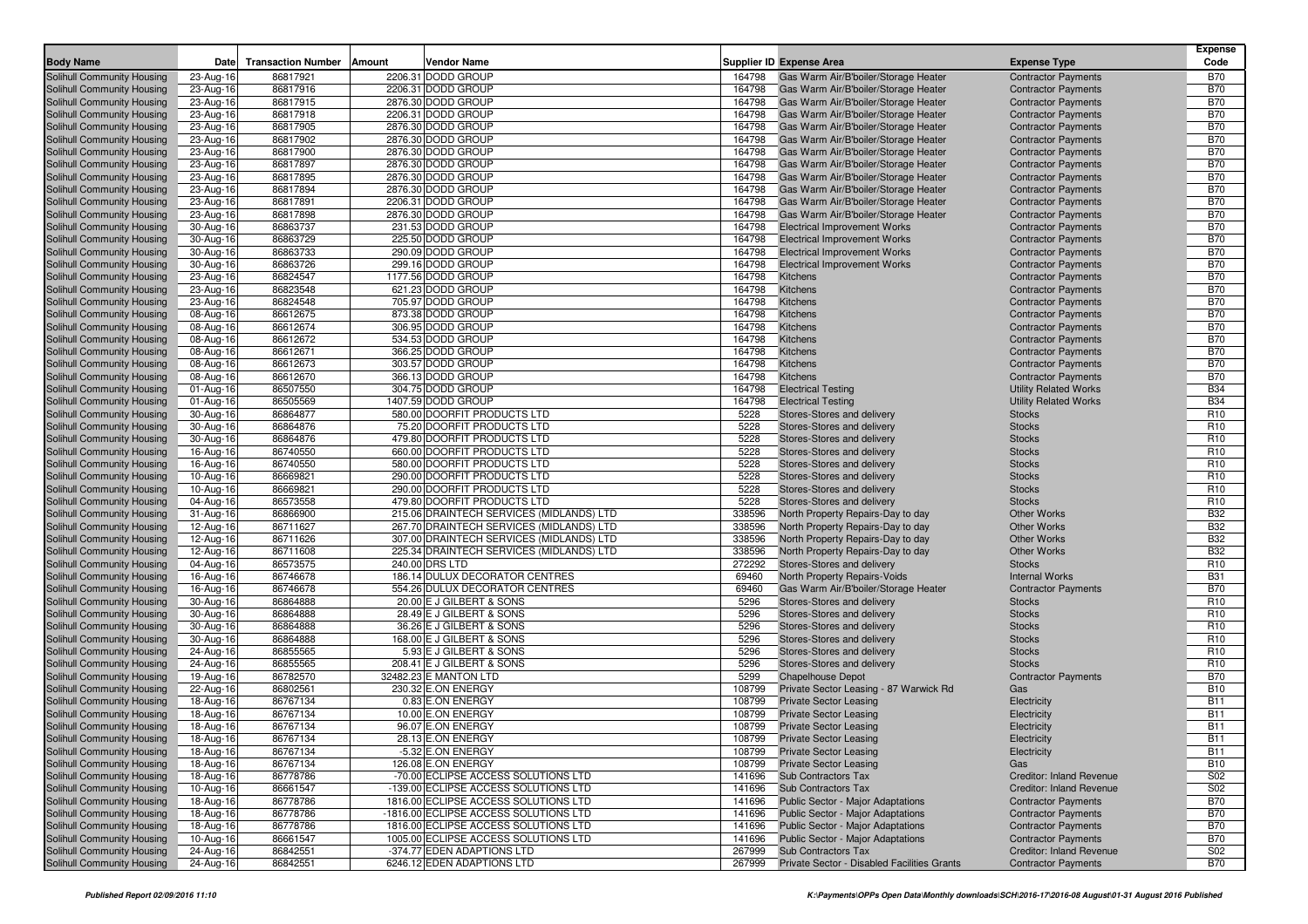| <b>Body Name</b>                                         | Date                   | <b>Transaction Number</b> | Amount | Vendor Name                              |                  | <b>Supplier ID Expense Area</b>                                | <b>Expense Type</b>                                      | <b>Expense</b><br>Code   |
|----------------------------------------------------------|------------------------|---------------------------|--------|------------------------------------------|------------------|----------------------------------------------------------------|----------------------------------------------------------|--------------------------|
| Solihull Community Housing                               | 23-Aug-16              | 86817921                  |        | 2206.31 DODD GROUP                       | 164798           | Gas Warm Air/B'boiler/Storage Heater                           | <b>Contractor Payments</b>                               | <b>B70</b>               |
| Solihull Community Housing                               | 23-Aug-16              | 86817916                  |        | 2206.31 DODD GROUP                       | 164798           | Gas Warm Air/B'boiler/Storage Heater                           | <b>Contractor Payments</b>                               | <b>B70</b>               |
| Solihull Community Housing                               | 23-Aug-16              | 86817915                  |        | 2876.30 DODD GROUP                       | 164798           | Gas Warm Air/B'boiler/Storage Heater                           | <b>Contractor Payments</b>                               | <b>B70</b>               |
| Solihull Community Housing                               | 23-Aug-16              | 86817918                  |        | 2206.31 DODD GROUP                       | 164798           | Gas Warm Air/B'boiler/Storage Heater                           | <b>Contractor Payments</b>                               | <b>B70</b>               |
| Solihull Community Housing                               | 23-Aug-16              | 86817905                  |        | 2876.30 DODD GROUP                       | 164798           | Gas Warm Air/B'boiler/Storage Heater                           | <b>Contractor Payments</b>                               | <b>B70</b>               |
| Solihull Community Housing                               | 23-Aug-16              | 86817902                  |        | 2876.30 DODD GROUP                       | 164798           | Gas Warm Air/B'boiler/Storage Heater                           | <b>Contractor Payments</b>                               | <b>B70</b>               |
| Solihull Community Housing                               | 23-Aug-16              | 86817900                  |        | 2876.30 DODD GROUP                       | 164798           | Gas Warm Air/B'boiler/Storage Heater                           | <b>Contractor Payments</b>                               | <b>B70</b>               |
| Solihull Community Housing                               | 23-Aug-16              | 86817897                  |        | 2876.30 DODD GROUP                       | 164798           | Gas Warm Air/B'boiler/Storage Heater                           | <b>Contractor Payments</b>                               | <b>B70</b>               |
| Solihull Community Housing                               | 23-Aug-16              | 86817895                  |        | 2876.30 DODD GROUP                       | 164798           | Gas Warm Air/B'boiler/Storage Heater                           | <b>Contractor Payments</b>                               | <b>B70</b>               |
| Solihull Community Housing                               | 23-Aug-16              | 86817894                  |        | 2876.30 DODD GROUP                       | 164798           | Gas Warm Air/B'boiler/Storage Heater                           | <b>Contractor Payments</b>                               | <b>B70</b>               |
| Solihull Community Housing                               | 23-Aug-16              | 86817891                  |        | 2206.31 DODD GROUP                       | 164798           | Gas Warm Air/B'boiler/Storage Heater                           | <b>Contractor Payments</b>                               | <b>B70</b>               |
| Solihull Community Housing                               | 23-Aug-16              | 86817898                  |        | 2876.30 DODD GROUP                       | 164798           | Gas Warm Air/B'boiler/Storage Heater                           | <b>Contractor Payments</b>                               | <b>B70</b>               |
| Solihull Community Housing                               | 30-Aug-16              | 86863737                  |        | 231.53 DODD GROUP                        | 164798           | <b>Electrical Improvement Works</b>                            | <b>Contractor Payments</b>                               | <b>B70</b>               |
| Solihull Community Housing                               | 30-Aug-16              | 86863729                  |        | 225.50 DODD GROUP                        | 164798           | <b>Electrical Improvement Works</b>                            | <b>Contractor Payments</b>                               | <b>B70</b>               |
| Solihull Community Housing                               | 30-Aug-16              | 86863733                  |        | 290.09 DODD GROUP                        | 164798           | <b>Electrical Improvement Works</b>                            | <b>Contractor Payments</b>                               | <b>B70</b>               |
| Solihull Community Housing                               | 30-Aug-16              | 86863726                  |        | 299.16 DODD GROUP                        | 164798           | <b>Electrical Improvement Works</b>                            | <b>Contractor Payments</b>                               | <b>B70</b>               |
| Solihull Community Housing                               | 23-Aug-16              | 86824547                  |        | 1177.56 DODD GROUP                       | 164798           | Kitchens                                                       | <b>Contractor Payments</b>                               | <b>B70</b>               |
| Solihull Community Housing                               | 23-Aug-16              | 86823548                  |        | 621.23 DODD GROUP                        | 164798           | Kitchens                                                       | <b>Contractor Payments</b>                               | <b>B70</b>               |
| Solihull Community Housing                               | 23-Aug-16              | 86824548                  |        | 705.97 DODD GROUP                        | 164798           | <b>Kitchens</b>                                                | <b>Contractor Payments</b>                               | <b>B70</b>               |
| Solihull Community Housing                               | 08-Aug-16              | 86612675                  |        | 873.38 DODD GROUP<br>306.95 DODD GROUP   | 164798           | Kitchens                                                       | <b>Contractor Payments</b>                               | <b>B70</b>               |
| Solihull Community Housing                               | 08-Aug-16              | 86612674                  |        |                                          | 164798           | Kitchens                                                       | <b>Contractor Payments</b>                               | <b>B70</b>               |
| Solihull Community Housing<br>Solihull Community Housing | 08-Aug-16              | 86612672<br>86612671      |        | 534.53 DODD GROUP<br>366.25 DODD GROUP   | 164798           | Kitchens<br>Kitchens                                           | <b>Contractor Payments</b>                               | <b>B70</b><br><b>B70</b> |
|                                                          | 08-Aug-16              | 86612673                  |        | 303.57 DODD GROUP                        | 164798<br>164798 | Kitchens                                                       | <b>Contractor Payments</b>                               | <b>B70</b>               |
| Solihull Community Housing<br>Solihull Community Housing | 08-Aug-16              | 86612670                  |        | 366.13 DODD GROUP                        | 164798           | Kitchens                                                       | <b>Contractor Payments</b><br><b>Contractor Payments</b> | <b>B70</b>               |
| Solihull Community Housing                               | 08-Aug-16<br>01-Aug-16 | 86507550                  |        | 304.75 DODD GROUP                        | 164798           | <b>Electrical Testing</b>                                      | <b>Utility Related Works</b>                             | <b>B34</b>               |
| Solihull Community Housing                               | 01-Aug-16              | 86505569                  |        | 1407.59 DODD GROUP                       | 164798           | <b>Electrical Testing</b>                                      | <b>Utility Related Works</b>                             | <b>B34</b>               |
| Solihull Community Housing                               | 30-Aug-16              | 86864877                  |        | 580.00 DOORFIT PRODUCTS LTD              | 5228             | Stores-Stores and delivery                                     | <b>Stocks</b>                                            | R <sub>10</sub>          |
| Solihull Community Housing                               | 30-Aug-16              | 86864876                  |        | 75.20 DOORFIT PRODUCTS LTD               | 5228             | Stores-Stores and delivery                                     | <b>Stocks</b>                                            | R <sub>10</sub>          |
| Solihull Community Housing                               | 30-Aug-16              | 86864876                  |        | 479.80 DOORFIT PRODUCTS LTD              | 5228             | Stores-Stores and delivery                                     | <b>Stocks</b>                                            | R <sub>10</sub>          |
| Solihull Community Housing                               | 16-Aug-16              | 86740550                  |        | 660.00 DOORFIT PRODUCTS LTD              | 5228             | Stores-Stores and delivery                                     | <b>Stocks</b>                                            | R <sub>10</sub>          |
| Solihull Community Housing                               | 16-Aug-16              | 86740550                  |        | 580.00 DOORFIT PRODUCTS LTD              | 5228             | Stores-Stores and delivery                                     | <b>Stocks</b>                                            | R <sub>10</sub>          |
| Solihull Community Housing                               | 10-Aug-16              | 86669821                  |        | 290.00 DOORFIT PRODUCTS LTD              | 5228             | Stores-Stores and delivery                                     | <b>Stocks</b>                                            | R <sub>10</sub>          |
| Solihull Community Housing                               | 10-Aug-16              | 86669821                  |        | 290.00 DOORFIT PRODUCTS LTD              | 5228             | Stores-Stores and delivery                                     | <b>Stocks</b>                                            | R <sub>10</sub>          |
| Solihull Community Housing                               | 04-Aug-16              | 86573558                  |        | 479.80 DOORFIT PRODUCTS LTD              | 5228             | Stores-Stores and delivery                                     | <b>Stocks</b>                                            | R <sub>10</sub>          |
| Solihull Community Housing                               | 31-Aug-16              | 86866900                  |        | 215.06 DRAINTECH SERVICES (MIDLANDS) LTD | 338596           | North Property Repairs-Day to day                              | <b>Other Works</b>                                       | <b>B32</b>               |
| Solihull Community Housing                               | 12-Aug-16              | 86711627                  |        | 267.70 DRAINTECH SERVICES (MIDLANDS) LTD | 338596           | North Property Repairs-Day to day                              | <b>Other Works</b>                                       | <b>B32</b>               |
| Solihull Community Housing                               | 12-Aug-16              | 86711626                  |        | 307.00 DRAINTECH SERVICES (MIDLANDS) LTD | 338596           | North Property Repairs-Day to day                              | <b>Other Works</b>                                       | <b>B32</b>               |
| Solihull Community Housing                               | 12-Aug-16              | 86711608                  |        | 225.34 DRAINTECH SERVICES (MIDLANDS) LTD | 338596           | North Property Repairs-Day to day                              | <b>Other Works</b>                                       | <b>B32</b>               |
| Solihull Community Housing                               | 04-Aug-16              | 86573575                  |        | 240.00 DRS LTD                           | 272292           | Stores-Stores and delivery                                     | <b>Stocks</b>                                            | R <sub>10</sub>          |
| Solihull Community Housing                               | 16-Aug-16              | 86746678                  |        | 186.14 DULUX DECORATOR CENTRES           | 69460            | North Property Repairs-Voids                                   | <b>Internal Works</b>                                    | <b>B31</b>               |
| Solihull Community Housing                               | 16-Aug-16              | 86746678                  |        | 554.26 DULUX DECORATOR CENTRES           | 69460            | Gas Warm Air/B'boiler/Storage Heater                           | <b>Contractor Payments</b>                               | <b>B70</b>               |
| Solihull Community Housing                               | 30-Aug-16              | 86864888                  |        | 20.00 E J GILBERT & SONS                 | 5296             | Stores-Stores and delivery                                     | <b>Stocks</b>                                            | R <sub>10</sub>          |
| Solihull Community Housing                               | 30-Aug-16              | 86864888                  |        | 28.49 E J GILBERT & SONS                 | 5296             | Stores-Stores and delivery                                     | <b>Stocks</b>                                            | R <sub>10</sub>          |
| Solihull Community Housing                               | 30-Aug-16              | 86864888                  |        | 36.26 E J GILBERT & SONS                 | 5296             | Stores-Stores and delivery                                     | <b>Stocks</b>                                            | R <sub>10</sub>          |
| Solihull Community Housing                               | 30-Aug-16              | 86864888                  |        | 168.00 E J GILBERT & SONS                | 5296             | Stores-Stores and delivery                                     | <b>Stocks</b>                                            | R <sub>10</sub>          |
| Solihull Community Housing                               | 24-Aug-16              | 86855565                  |        | 5.93 E J GILBERT & SONS                  | 5296             | Stores-Stores and delivery                                     | <b>Stocks</b>                                            | R <sub>10</sub>          |
| Solihull Community Housing                               | 24-Aug-16              | 86855565                  |        | 208.41 E J GILBERT & SONS                | 5296             | Stores-Stores and delivery                                     | <b>Stocks</b>                                            | R <sub>10</sub>          |
| Solihull Community Housing                               | 19-Aug-16              | 86782570                  |        | 32482.23 E MANTON LTD                    | 5299             | <b>Chapelhouse Depot</b>                                       | <b>Contractor Payments</b>                               | <b>B70</b>               |
| Solihull Community Housing                               | 22-Aug-16              | 86802561                  |        | 230.32 E.ON ENERGY                       | 108799           | Private Sector Leasing - 87 Warwick Rd                         | Gas                                                      | <b>B10</b>               |
| Solihull Community Housing                               | 18-Aug-16              | 86767134                  |        | 0.83 E.ON ENERGY                         | 108799           | <b>Private Sector Leasing</b>                                  | Electricity                                              | <b>B11</b>               |
| Solihull Community Housing<br>Solihull Community Housing | 18-Aug-16              | 86767134                  |        | 10.00 E.ON ENERGY                        | 108799           | <b>Private Sector Leasing</b>                                  | Electricity                                              | <b>B11</b>               |
|                                                          | 18-Aug-16              | 86767134                  |        | 96.07 E.ON ENERGY<br>28.13 E.ON ENERGY   | 108799           | <b>Private Sector Leasing</b>                                  | Electricity                                              | <b>B11</b>               |
| Solihull Community Housing                               | 18-Aug-16              | 86767134                  |        |                                          |                  | 108799 Private Sector Leasing                                  | Electricity                                              | <b>B11</b><br><b>B11</b> |
| Solihull Community Housing<br>Solihull Community Housing | 18-Aug-16<br>18-Aug-16 | 86767134<br>86767134      |        | -5.32 E.ON ENERGY<br>126.08 E.ON ENERGY  | 108799           | 108799 Private Sector Leasing<br><b>Private Sector Leasing</b> | Electricity<br>Gas                                       | <b>B10</b>               |
| Solihull Community Housing                               | 18-Aug-16              | 86778786                  |        | -70.00 ECLIPSE ACCESS SOLUTIONS LTD      | 141696           | Sub Contractors Tax                                            | <b>Creditor: Inland Revenue</b>                          | S02                      |
| Solihull Community Housing                               | 10-Aug-16              | 86661547                  |        | -139.00 ECLIPSE ACCESS SOLUTIONS LTD     | 141696           | Sub Contractors Tax                                            | <b>Creditor: Inland Revenue</b>                          | S02                      |
| Solihull Community Housing                               | 18-Aug-16              | 86778786                  |        | 1816.00 ECLIPSE ACCESS SOLUTIONS LTD     | 141696           | <b>Public Sector - Major Adaptations</b>                       | <b>Contractor Payments</b>                               | <b>B70</b>               |
| Solihull Community Housing                               | 18-Aug-16              | 86778786                  |        | -1816.00 ECLIPSE ACCESS SOLUTIONS LTD    | 141696           | <b>Public Sector - Major Adaptations</b>                       | <b>Contractor Payments</b>                               | <b>B70</b>               |
| Solihull Community Housing                               | 18-Aug-16              | 86778786                  |        | 1816.00 ECLIPSE ACCESS SOLUTIONS LTD     | 141696           | <b>Public Sector - Major Adaptations</b>                       | <b>Contractor Payments</b>                               | <b>B70</b>               |
| Solihull Community Housing                               | 10-Aug-16              | 86661547                  |        | 1005.00 ECLIPSE ACCESS SOLUTIONS LTD     | 141696           | Public Sector - Major Adaptations                              | <b>Contractor Payments</b>                               | <b>B70</b>               |
| Solihull Community Housing                               | 24-Aug-16              | 86842551                  |        | -374.77 EDEN ADAPTIONS LTD               | 267999           | Sub Contractors Tax                                            | <b>Creditor: Inland Revenue</b>                          | S02                      |
| Solihull Community Housing                               | 24-Aug-16              | 86842551                  |        | 6246.12 EDEN ADAPTIONS LTD               | 267999           | Private Sector - Disabled Facilities Grants                    | <b>Contractor Payments</b>                               | <b>B70</b>               |
|                                                          |                        |                           |        |                                          |                  |                                                                |                                                          |                          |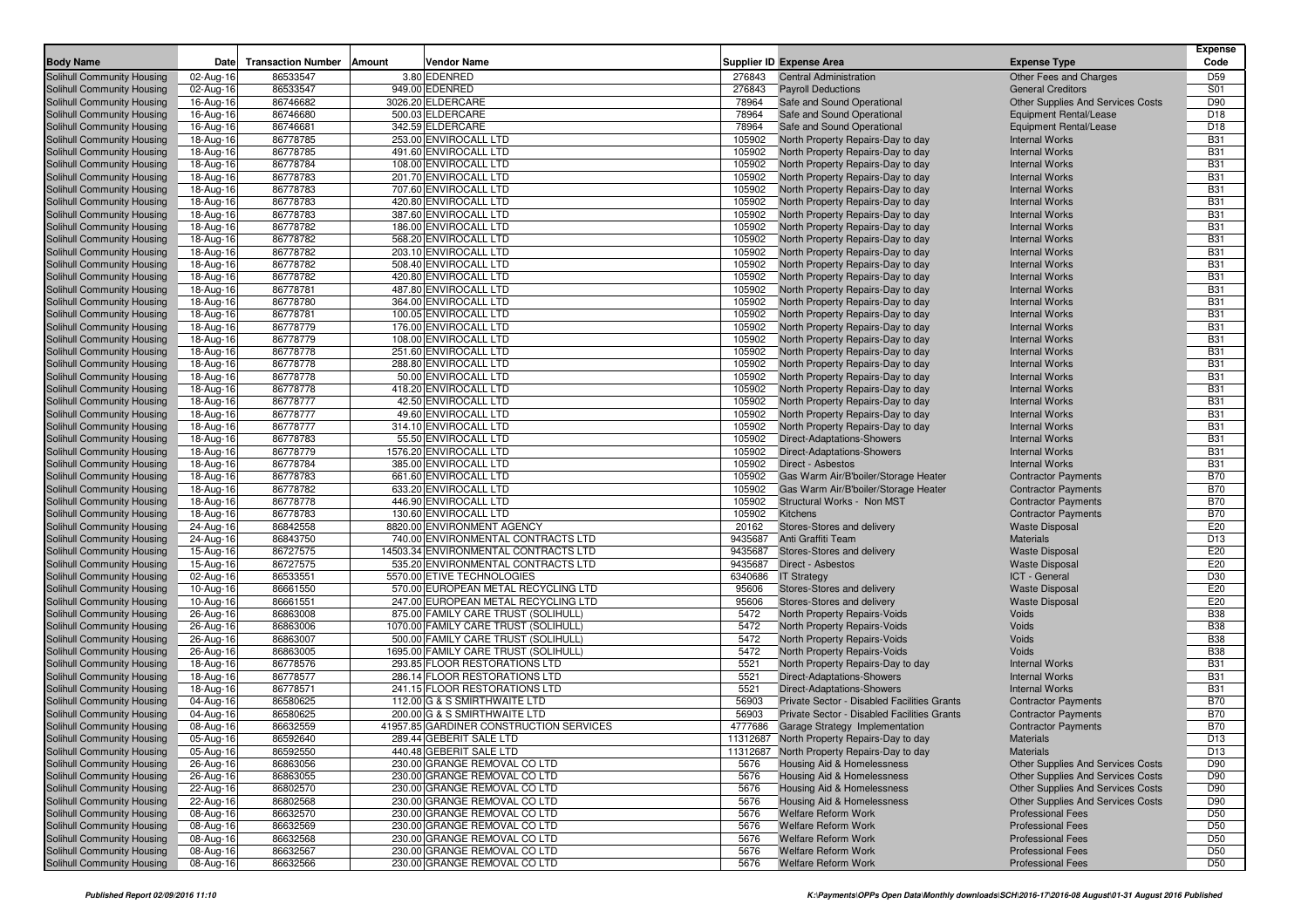| <b>Body Name</b>           | Date      | <b>Transaction Number   Amount</b> | <b>Vendor Name</b>                      |         | <b>Supplier ID Expense Area</b>             | <b>Expense Type</b>                      | <b>Expense</b><br>Code |
|----------------------------|-----------|------------------------------------|-----------------------------------------|---------|---------------------------------------------|------------------------------------------|------------------------|
| Solihull Community Housing | 02-Aug-16 | 86533547                           | 3.80 EDENRED                            | 276843  | <b>Central Administration</b>               | Other Fees and Charges                   | D <sub>59</sub>        |
| Solihull Community Housing | 02-Aug-16 | 86533547                           | 949.00 EDENRED                          | 276843  | <b>Payroll Deductions</b>                   | <b>General Creditors</b>                 | S01                    |
| Solihull Community Housing | 16-Aug-16 | 86746682                           | 3026.20 ELDERCARE                       | 78964   | Safe and Sound Operational                  | <b>Other Supplies And Services Costs</b> | D90                    |
| Solihull Community Housing | 16-Aug-16 | 86746680                           | 500.03 ELDERCARE                        | 78964   | Safe and Sound Operational                  | Equipment Rental/Lease                   | D <sub>18</sub>        |
| Solihull Community Housing | 16-Aug-16 | 86746681                           | 342.59 ELDERCARE                        | 78964   | Safe and Sound Operational                  | Equipment Rental/Lease                   | D <sub>18</sub>        |
| Solihull Community Housing | 18-Aug-16 | 86778785                           | 253.00 ENVIROCALL LTD                   | 105902  | North Property Repairs-Day to day           | <b>Internal Works</b>                    | <b>B31</b>             |
| Solihull Community Housing | 18-Aug-16 | 86778785                           | 491.60 ENVIROCALL LTD                   | 105902  | North Property Repairs-Day to day           | <b>Internal Works</b>                    | <b>B31</b>             |
| Solihull Community Housing | 18-Aug-16 | 86778784                           | 108.00 ENVIROCALL LTD                   | 105902  | North Property Repairs-Day to day           | <b>Internal Works</b>                    | <b>B31</b>             |
| Solihull Community Housing | 18-Aug-16 | 86778783                           | 201.70 ENVIROCALL LTD                   | 105902  | North Property Repairs-Day to day           | <b>Internal Works</b>                    | <b>B31</b>             |
| Solihull Community Housing | 18-Aug-16 | 86778783                           | 707.60 ENVIROCALL LTD                   | 105902  | North Property Repairs-Day to day           | <b>Internal Works</b>                    | <b>B31</b>             |
| Solihull Community Housing | 18-Aug-16 | 86778783                           | 420.80 ENVIROCALL LTD                   | 105902  | North Property Repairs-Day to day           | <b>Internal Works</b>                    | <b>B31</b>             |
| Solihull Community Housing | 18-Aug-16 | 86778783                           | 387.60 ENVIROCALL LTD                   | 105902  | North Property Repairs-Day to day           | <b>Internal Works</b>                    | <b>B31</b>             |
| Solihull Community Housing | 18-Aug-16 | 86778782                           | 186.00 ENVIROCALL LTD                   | 105902  | North Property Repairs-Day to day           | <b>Internal Works</b>                    | <b>B31</b>             |
| Solihull Community Housing | 18-Aug-16 | 86778782                           | 568.20 ENVIROCALL LTD                   | 105902  | North Property Repairs-Day to day           | <b>Internal Works</b>                    | <b>B31</b>             |
| Solihull Community Housing | 18-Aug-16 | 86778782                           | 203.10 ENVIROCALL LTD                   | 105902  | North Property Repairs-Day to day           | <b>Internal Works</b>                    | <b>B31</b>             |
| Solihull Community Housing | 18-Aug-16 | 86778782                           | 508.40 ENVIROCALL LTD                   | 105902  | North Property Repairs-Day to day           | <b>Internal Works</b>                    | <b>B31</b>             |
| Solihull Community Housing | 18-Aug-16 | 86778782                           | 420.80 ENVIROCALL LTD                   | 105902  | North Property Repairs-Day to day           | <b>Internal Works</b>                    | <b>B31</b>             |
| Solihull Community Housing | 18-Aug-16 | 86778781                           | 487.80 ENVIROCALL LTD                   | 105902  | North Property Repairs-Day to day           | <b>Internal Works</b>                    | <b>B31</b>             |
| Solihull Community Housing | 18-Aug-16 | 86778780                           | 364.00 ENVIROCALL LTD                   | 105902  | North Property Repairs-Day to day           | <b>Internal Works</b>                    | <b>B31</b>             |
| Solihull Community Housing | 18-Aug-16 | 86778781                           | 100.05 ENVIROCALL LTD                   | 105902  | North Property Repairs-Day to day           | <b>Internal Works</b>                    | <b>B31</b>             |
| Solihull Community Housing | 18-Aug-16 | 86778779                           | 176.00 ENVIROCALL LTD                   | 105902  | North Property Repairs-Day to day           | <b>Internal Works</b>                    | <b>B31</b>             |
| Solihull Community Housing | 18-Aug-16 | 86778779                           | 108.00 ENVIROCALL LTD                   | 105902  | North Property Repairs-Day to day           | <b>Internal Works</b>                    | <b>B31</b>             |
| Solihull Community Housing | 18-Aug-16 | 86778778                           | 251.60 ENVIROCALL LTD                   | 105902  | North Property Repairs-Day to day           | <b>Internal Works</b>                    | <b>B31</b>             |
| Solihull Community Housing | 18-Aug-16 | 86778778                           | 288.80 ENVIROCALL LTD                   | 105902  | North Property Repairs-Day to day           | <b>Internal Works</b>                    | <b>B31</b>             |
| Solihull Community Housing | 18-Aug-16 | 86778778                           | 50.00 ENVIROCALL LTD                    | 105902  | North Property Repairs-Day to day           | <b>Internal Works</b>                    | <b>B31</b>             |
| Solihull Community Housing | 18-Aug-16 | 86778778                           | 418.20 ENVIROCALL LTD                   | 105902  | North Property Repairs-Day to day           | <b>Internal Works</b>                    | <b>B31</b>             |
| Solihull Community Housing | 18-Aug-16 | 86778777                           | 42.50 ENVIROCALL LTD                    | 105902  | North Property Repairs-Day to day           | <b>Internal Works</b>                    | <b>B31</b>             |
| Solihull Community Housing | 18-Aug-16 | 86778777                           | 49.60 ENVIROCALL LTD                    | 105902  | North Property Repairs-Day to day           | <b>Internal Works</b>                    | <b>B31</b>             |
| Solihull Community Housing | 18-Aug-16 | 86778777                           | 314.10 ENVIROCALL LTD                   | 105902  | North Property Repairs-Day to day           | <b>Internal Works</b>                    | <b>B31</b>             |
| Solihull Community Housing | 18-Aug-16 | 86778783                           | 55.50 ENVIROCALL LTD                    | 105902  | Direct-Adaptations-Showers                  | <b>Internal Works</b>                    | <b>B31</b>             |
| Solihull Community Housing | 18-Aug-16 | 86778779                           | 1576.20 ENVIROCALL LTD                  | 105902  | <b>Direct-Adaptations-Showers</b>           | <b>Internal Works</b>                    | <b>B31</b>             |
| Solihull Community Housing | 18-Aug-16 | 86778784                           | 385.00 ENVIROCALL LTD                   | 105902  | Direct - Asbestos                           | <b>Internal Works</b>                    | <b>B31</b>             |
| Solihull Community Housing | 18-Aug-16 | 86778783                           | 661.60 ENVIROCALL LTD                   | 105902  | Gas Warm Air/B'boiler/Storage Heater        | <b>Contractor Payments</b>               | <b>B70</b>             |
| Solihull Community Housing | 18-Aug-16 | 86778782                           | 633.20 ENVIROCALL LTD                   | 105902  | Gas Warm Air/B'boiler/Storage Heater        | <b>Contractor Payments</b>               | <b>B70</b>             |
| Solihull Community Housing | 18-Aug-16 | 86778778                           | 446.90 ENVIROCALL LTD                   | 105902  | Structural Works - Non MST                  | <b>Contractor Payments</b>               | <b>B70</b>             |
| Solihull Community Housing | 18-Aug-16 | 86778783                           | 130.60 ENVIROCALL LTD                   | 105902  | Kitchens                                    | <b>Contractor Payments</b>               | <b>B70</b>             |
| Solihull Community Housing | 24-Aug-16 | 86842558                           | 8820.00 ENVIRONMENT AGENCY              | 20162   | Stores-Stores and delivery                  | <b>Waste Disposal</b>                    | E20                    |
| Solihull Community Housing | 24-Aug-16 | 86843750                           | 740.00 ENVIRONMENTAL CONTRACTS LTD      | 9435687 | Anti Graffiti Team                          | <b>Materials</b>                         | D <sub>13</sub>        |
| Solihull Community Housing | 15-Aug-16 | 86727575                           | 14503.34 ENVIRONMENTAL CONTRACTS LTD    | 9435687 | Stores-Stores and delivery                  | <b>Waste Disposal</b>                    | E20                    |
| Solihull Community Housing | 15-Aug-16 | 86727575                           | 535.20 ENVIRONMENTAL CONTRACTS LTD      | 9435687 | Direct - Asbestos                           | <b>Waste Disposal</b>                    | E20                    |
| Solihull Community Housing | 02-Aug-16 | 86533551                           | 5570.00 ETIVE TECHNOLOGIES              | 6340686 | <b>IT Strategy</b>                          | ICT - General                            | D30                    |
| Solihull Community Housing | 10-Aug-16 | 86661550                           | 570.00 EUROPEAN METAL RECYCLING LTD     | 95606   | Stores-Stores and delivery                  | <b>Waste Disposal</b>                    | E20                    |
| Solihull Community Housing | 10-Aug-16 | 86661551                           | 247.00 EUROPEAN METAL RECYCLING LTD     | 95606   | Stores-Stores and delivery                  | <b>Waste Disposal</b>                    | E20                    |
| Solihull Community Housing | 26-Aug-16 | 86863008                           | 875.00 FAMILY CARE TRUST (SOLIHULL)     | 5472    | North Property Repairs-Voids                | Voids                                    | <b>B38</b>             |
| Solihull Community Housing | 26-Aug-16 | 86863006                           | 1070.00 FAMILY CARE TRUST (SOLIHULL)    | 5472    | North Property Repairs-Voids                | Voids                                    | <b>B38</b>             |
| Solihull Community Housing | 26-Aug-16 | 86863007                           | 500.00 FAMILY CARE TRUST (SOLIHULL      | 5472    | North Property Repairs-Voids                | Voids                                    | <b>B38</b>             |
| Solihull Community Housing | 26-Aug-16 | 86863005                           | 1695.00 FAMILY CARE TRUST (SOLIHULL)    | 5472    | North Property Repairs-Voids                | Voids                                    | <b>B38</b>             |
| Solihull Community Housing | 18-Aug-16 | 86778576                           | 293.85 FLOOR RESTORATIONS LTD           | 5521    | North Property Repairs-Day to day           | <b>Internal Works</b>                    | <b>B31</b>             |
| Solihull Community Housing | 18-Aug-16 | 86778577                           | 286.14 FLOOR RESTORATIONS LTD           | 5521    | Direct-Adaptations-Showers                  | <b>Internal Works</b>                    | <b>B31</b>             |
| Solihull Community Housing | 18-Aug-16 | 86778571                           | 241.15 FLOOR RESTORATIONS LTD           | 5521    | Direct-Adaptations-Showers                  | <b>Internal Works</b>                    | <b>B31</b>             |
| Solihull Community Housing | 04-Aug-16 | 86580625                           | 112.00 G & S SMIRTHWAITE LTD            | 56903   | Private Sector - Disabled Facilities Grants | <b>Contractor Payments</b>               | <b>B70</b>             |
| Solihull Community Housing | 04-Aug-16 | 86580625                           | 200.00 G & S SMIRTHWAITE LTD            | 56903   | Private Sector - Disabled Facilities Grants | <b>Contractor Payments</b>               | <b>B70</b>             |
| Solihull Community Housing | 08-Aug-16 | 86632559                           | 41957.85 GARDINER CONSTRUCTION SERVICES | 4777686 | Garage Strategy Implementation              | <b>Contractor Payments</b>               | <b>B70</b>             |
| Solihull Community Housing | 05-Aug-16 | 86592640                           | 289.44 GEBERIT SALE LTD                 |         | 11312687 North Property Repairs-Day to day  | Materials                                | D <sub>13</sub>        |
| Solihull Community Housing | 05-Aug-16 | 86592550                           | 440.48 GEBERIT SALE LTD                 |         | 11312687 North Property Repairs-Day to day  | Materials                                | D <sub>13</sub>        |
| Solihull Community Housing | 26-Aug-16 | 86863056                           | 230.00 GRANGE REMOVAL CO LTD            | 5676    | <b>Housing Aid &amp; Homelessness</b>       | Other Supplies And Services Costs        | D90                    |
| Solihull Community Housing | 26-Aug-16 | 86863055                           | 230.00 GRANGE REMOVAL CO LTD            | 5676    | <b>Housing Aid &amp; Homelessness</b>       | Other Supplies And Services Costs        | D90                    |
| Solihull Community Housing | 22-Aug-16 | 86802570                           | 230.00 GRANGE REMOVAL CO LTD            | 5676    | Housing Aid & Homelessness                  | Other Supplies And Services Costs        | D90                    |
| Solihull Community Housing | 22-Aug-16 | 86802568                           | 230.00 GRANGE REMOVAL CO LTD            | 5676    | Housing Aid & Homelessness                  | Other Supplies And Services Costs        | D90                    |
| Solihull Community Housing | 08-Aug-16 | 86632570                           | 230.00 GRANGE REMOVAL CO LTD            | 5676    | <b>Welfare Reform Work</b>                  | <b>Professional Fees</b>                 | D <sub>50</sub>        |
| Solihull Community Housing | 08-Aug-16 | 86632569                           | 230.00 GRANGE REMOVAL CO LTD            | 5676    | Welfare Reform Work                         | <b>Professional Fees</b>                 | D <sub>50</sub>        |
| Solihull Community Housing | 08-Aug-16 | 86632568                           | 230.00 GRANGE REMOVAL CO LTD            | 5676    | Welfare Reform Work                         | <b>Professional Fees</b>                 | D <sub>50</sub>        |
| Solihull Community Housing | 08-Aug-16 | 86632567                           | 230.00 GRANGE REMOVAL CO LTD            | 5676    | <b>Welfare Reform Work</b>                  | <b>Professional Fees</b>                 | D <sub>50</sub>        |
| Solihull Community Housing | 08-Aug-16 | 86632566                           | 230.00 GRANGE REMOVAL CO LTD            | 5676    | Welfare Reform Work                         | <b>Professional Fees</b>                 | <b>D50</b>             |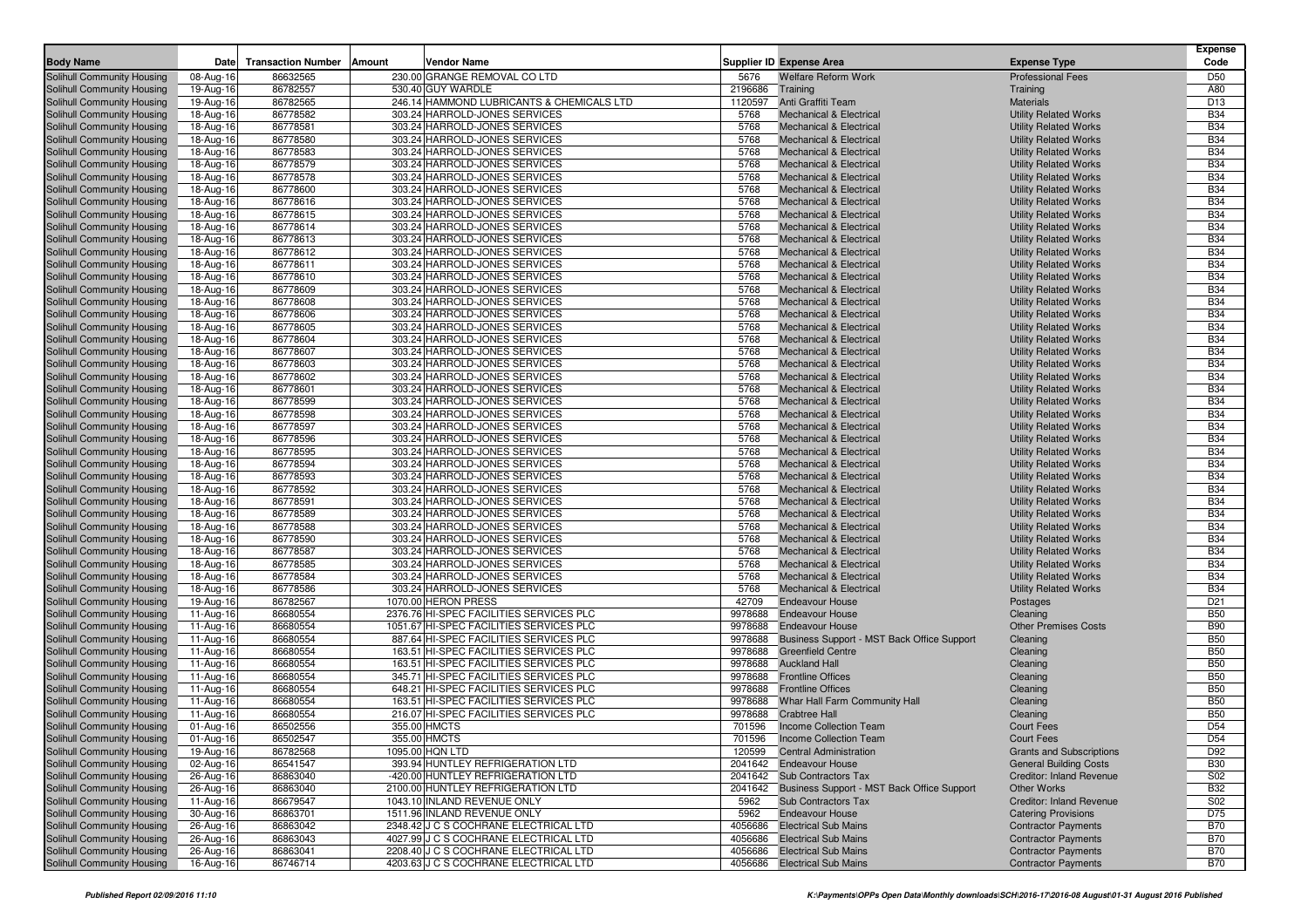| <b>Body Name</b>                                         | <b>Date</b>             | <b>Transaction Number</b> | <b>Vendor Name</b><br>Amount                                         |                 | Supplier ID Expense Area                                                 | <b>Expense Type</b>                                          | <b>Expense</b><br>Code   |
|----------------------------------------------------------|-------------------------|---------------------------|----------------------------------------------------------------------|-----------------|--------------------------------------------------------------------------|--------------------------------------------------------------|--------------------------|
| Solihull Community Housing                               | 08-Aug-16               | 86632565                  | 230.00 GRANGE REMOVAL CO LTD                                         | 5676            | <b>Welfare Reform Work</b>                                               | <b>Professional Fees</b>                                     | D50                      |
| Solihull Community Housing                               | 19-Aug-16               | 86782557                  | 530.40 GUY WARDLE                                                    | 2196686         | Training                                                                 | Training                                                     | A80                      |
| Solihull Community Housing                               | 19-Aug-16               | 86782565                  | 246.14 HAMMOND LUBRICANTS & CHEMICALS LTD                            | 1120597         | Anti Graffiti Team                                                       | <b>Materials</b>                                             | D <sub>13</sub>          |
| Solihull Community Housing                               | 18-Aug-16               | 86778582                  | 303.24 HARROLD-JONES SERVICES                                        | 5768            | <b>Mechanical &amp; Electrical</b>                                       | <b>Utility Related Works</b>                                 | <b>B34</b>               |
| Solihull Community Housing                               | 18-Aug-16               | 86778581                  | 303.24 HARROLD-JONES SERVICES                                        | 5768            | <b>Mechanical &amp; Electrical</b>                                       | <b>Utility Related Works</b>                                 | <b>B34</b>               |
| Solihull Community Housing                               | 18-Aug-16               | 86778580                  | 303.24 HARROLD-JONES SERVICES                                        | 5768            | <b>Mechanical &amp; Electrical</b>                                       | <b>Utility Related Works</b>                                 | <b>B34</b>               |
| Solihull Community Housing                               | 18-Aug-16               | 86778583                  | 303.24 HARROLD-JONES SERVICES                                        | 5768            | <b>Mechanical &amp; Electrical</b>                                       | <b>Utility Related Works</b>                                 | <b>B34</b>               |
| Solihull Community Housing                               | 18-Aug-16               | 86778579                  | 303.24 HARROLD-JONES SERVICES                                        | 5768            | <b>Mechanical &amp; Electrical</b>                                       | <b>Utility Related Works</b>                                 | <b>B34</b>               |
| Solihull Community Housing                               | 18-Aug-16               | 86778578                  | 303.24 HARROLD-JONES SERVICES                                        | 5768            | <b>Mechanical &amp; Electrical</b>                                       | <b>Utility Related Works</b>                                 | <b>B34</b>               |
| Solihull Community Housing                               | 18-Aug-16               | 86778600                  | 303.24 HARROLD-JONES SERVICES                                        | 5768            | <b>Mechanical &amp; Electrical</b>                                       | <b>Utility Related Works</b>                                 | <b>B34</b>               |
| Solihull Community Housing                               | 18-Aug-16               | 86778616                  | 303.24 HARROLD-JONES SERVICES                                        | 5768            | <b>Mechanical &amp; Electrical</b>                                       | <b>Utility Related Works</b>                                 | <b>B34</b>               |
| Solihull Community Housing                               | 18-Aug-16               | 86778615                  | 303.24 HARROLD-JONES SERVICES                                        | 5768            | <b>Mechanical &amp; Electrical</b>                                       | <b>Utility Related Works</b>                                 | <b>B34</b>               |
| Solihull Community Housing                               | 18-Aug-16               | 86778614                  | 303.24 HARROLD-JONES SERVICES                                        | 5768            | <b>Mechanical &amp; Electrical</b>                                       | <b>Utility Related Works</b>                                 | <b>B34</b>               |
| Solihull Community Housing                               | 18-Aug-16               | 86778613                  | 303.24 HARROLD-JONES SERVICES                                        | 5768            | <b>Mechanical &amp; Electrical</b>                                       | <b>Utility Related Works</b>                                 | <b>B34</b>               |
| Solihull Community Housing                               | 18-Aug-16               | 86778612                  | 303.24 HARROLD-JONES SERVICES                                        | 5768            | <b>Mechanical &amp; Electrical</b>                                       | <b>Utility Related Works</b>                                 | <b>B34</b>               |
| Solihull Community Housing                               | 18-Aug-16               | 86778611                  | 303.24 HARROLD-JONES SERVICES                                        | 5768            | <b>Mechanical &amp; Electrical</b>                                       | <b>Utility Related Works</b>                                 | <b>B34</b>               |
| Solihull Community Housing                               | 18-Aug-16               | 86778610                  | 303.24 HARROLD-JONES SERVICES                                        | 5768            | <b>Mechanical &amp; Electrical</b>                                       | <b>Utility Related Works</b>                                 | <b>B34</b>               |
| Solihull Community Housing                               | 18-Aug-16               | 86778609                  | 303.24 HARROLD-JONES SERVICES                                        | 5768            | <b>Mechanical &amp; Electrical</b>                                       | <b>Utility Related Works</b>                                 | <b>B34</b>               |
| Solihull Community Housing                               | 18-Aug-16               | 86778608                  | 303.24 HARROLD-JONES SERVICES                                        | 5768            | <b>Mechanical &amp; Electrical</b>                                       | <b>Utility Related Works</b>                                 | <b>B34</b>               |
| Solihull Community Housing                               | 18-Aug-16               | 86778606                  | 303.24 HARROLD-JONES SERVICES                                        | 5768            | <b>Mechanical &amp; Electrical</b>                                       | <b>Utility Related Works</b>                                 | <b>B34</b>               |
| Solihull Community Housing                               | 18-Aug-16               | 86778605                  | 303.24 HARROLD-JONES SERVICES                                        | 5768            | <b>Mechanical &amp; Electrical</b>                                       | <b>Utility Related Works</b>                                 | <b>B34</b>               |
| Solihull Community Housing                               | 18-Aug-16               | 86778604                  | 303.24 HARROLD-JONES SERVICES                                        | 5768            | <b>Mechanical &amp; Electrical</b>                                       | <b>Utility Related Works</b>                                 | <b>B34</b>               |
| Solihull Community Housing                               | 18-Aug-16               | 86778607                  | 303.24 HARROLD-JONES SERVICES                                        | 5768            | <b>Mechanical &amp; Electrical</b>                                       | <b>Utility Related Works</b>                                 | <b>B34</b>               |
| Solihull Community Housing                               | 18-Aug-16               | 86778603                  | 303.24 HARROLD-JONES SERVICES                                        | 5768            | <b>Mechanical &amp; Electrical</b>                                       | <b>Utility Related Works</b>                                 | <b>B34</b>               |
| Solihull Community Housing                               | 18-Aug-16               | 86778602                  | 303.24 HARROLD-JONES SERVICES                                        | 5768            | <b>Mechanical &amp; Electrical</b>                                       | <b>Utility Related Works</b>                                 | <b>B34</b>               |
| Solihull Community Housing                               | 18-Aug-16               | 86778601                  | 303.24 HARROLD-JONES SERVICES                                        | 5768            | <b>Mechanical &amp; Electrical</b>                                       | <b>Utility Related Works</b>                                 | <b>B34</b>               |
| Solihull Community Housing                               | 18-Aug-16               | 86778599                  | 303.24 HARROLD-JONES SERVICES<br>303.24 HARROLD-JONES SERVICES       | 5768            | <b>Mechanical &amp; Electrical</b>                                       | <b>Utility Related Works</b>                                 | <b>B34</b><br><b>B34</b> |
| Solihull Community Housing                               | 18-Aug-16               | 86778598<br>86778597      | 303.24 HARROLD-JONES SERVICES                                        | 5768<br>5768    | <b>Mechanical &amp; Electrical</b><br><b>Mechanical &amp; Electrical</b> | <b>Utility Related Works</b>                                 | <b>B34</b>               |
| Solihull Community Housing<br>Solihull Community Housing | 18-Aug-16<br>18-Aug-16  | 86778596                  | 303.24 HARROLD-JONES SERVICES                                        | 5768            | <b>Mechanical &amp; Electrical</b>                                       | <b>Utility Related Works</b><br><b>Utility Related Works</b> | <b>B34</b>               |
| Solihull Community Housing                               | 18-Aug-16               | 86778595                  | 303.24 HARROLD-JONES SERVICES                                        | 5768            | <b>Mechanical &amp; Electrical</b>                                       | <b>Utility Related Works</b>                                 | <b>B34</b>               |
| Solihull Community Housing                               | 18-Aug-16               | 86778594                  | 303.24 HARROLD-JONES SERVICES                                        | 5768            | <b>Mechanical &amp; Electrical</b>                                       | <b>Utility Related Works</b>                                 | <b>B34</b>               |
| Solihull Community Housing                               | 18-Aug-16               | 86778593                  | 303.24 HARROLD-JONES SERVICES                                        | 5768            | <b>Mechanical &amp; Electrical</b>                                       | <b>Utility Related Works</b>                                 | <b>B34</b>               |
| Solihull Community Housing                               | 18-Aug-16               | 86778592                  | 303.24 HARROLD-JONES SERVICES                                        | 5768            | <b>Mechanical &amp; Electrical</b>                                       | <b>Utility Related Works</b>                                 | <b>B34</b>               |
| Solihull Community Housing                               | 18-Aug-16               | 86778591                  | 303.24 HARROLD-JONES SERVICES                                        | 5768            | <b>Mechanical &amp; Electrical</b>                                       | <b>Utility Related Works</b>                                 | <b>B34</b>               |
| Solihull Community Housing                               | 18-Aug-16               | 86778589                  | 303.24 HARROLD-JONES SERVICES                                        | 5768            | <b>Mechanical &amp; Electrical</b>                                       | <b>Utility Related Works</b>                                 | <b>B34</b>               |
| Solihull Community Housing                               | 18-Aug-16               | 86778588                  | 303.24 HARROLD-JONES SERVICES                                        | 5768            | <b>Mechanical &amp; Electrical</b>                                       | <b>Utility Related Works</b>                                 | <b>B34</b>               |
| Solihull Community Housing                               | 18-Aug-16               | 86778590                  | 303.24 HARROLD-JONES SERVICES                                        | 5768            | <b>Mechanical &amp; Electrical</b>                                       | <b>Utility Related Works</b>                                 | <b>B34</b>               |
| Solihull Community Housing                               | 18-Aug-16               | 86778587                  | 303.24 HARROLD-JONES SERVICES                                        | 5768            | <b>Mechanical &amp; Electrical</b>                                       | <b>Utility Related Works</b>                                 | <b>B34</b>               |
| Solihull Community Housing                               | 18-Aug-16               | 86778585                  | 303.24 HARROLD-JONES SERVICES                                        | 5768            | <b>Mechanical &amp; Electrical</b>                                       | <b>Utility Related Works</b>                                 | <b>B34</b>               |
| Solihull Community Housing                               | 18-Aug-16               | 86778584                  | 303.24 HARROLD-JONES SERVICES                                        | 5768            | <b>Mechanical &amp; Electrical</b>                                       | <b>Utility Related Works</b>                                 | <b>B34</b>               |
| Solihull Community Housing                               | 18-Aug-16               | 86778586                  | 303.24 HARROLD-JONES SERVICES                                        | 5768            | <b>Mechanical &amp; Electrical</b>                                       | <b>Utility Related Works</b>                                 | <b>B34</b>               |
| Solihull Community Housing                               | 19-Aug-16               | 86782567                  | 1070.00 HERON PRESS                                                  | 42709           | <b>Endeavour House</b>                                                   | Postages                                                     | D <sub>21</sub>          |
| Solihull Community Housing                               | 11-Aug-16               | 86680554                  | 2376.76 HI-SPEC FACILITIES SERVICES PLC                              | 9978688         | <b>Endeavour House</b>                                                   | Cleaning                                                     | <b>B50</b>               |
| Solihull Community Housing                               | 11-Aug-16               | 86680554                  | 1051.67 HI-SPEC FACILITIES SERVICES PLC                              | 9978688         | <b>Endeavour House</b>                                                   | <b>Other Premises Costs</b>                                  | <b>B90</b>               |
| Solihull Community Housing                               | $11-Auq-16$             | 86680554                  | 887.64 HI-SPEC FACILITIES SERVICES PLC                               | 9978688         | Business Support - MST Back Office Support                               | Cleaning                                                     | <b>B50</b>               |
| Solihull Community Housing                               | 11-Aug-16               | 86680554                  | 163.51 HI-SPEC FACILITIES SERVICES PLC                               | 9978688         | <b>Greenfield Centre</b>                                                 | Cleaning                                                     | <b>B50</b>               |
| Solihull Community Housing                               | 11-Aug-16               | 86680554                  | 163.51 HI-SPEC FACILITIES SERVICES PLC                               | 9978688         | <b>Auckland Hall</b>                                                     | Cleaning                                                     | <b>B50</b>               |
| Solihull Community Housing                               | 11-Aug-16               | 86680554                  | 345.71 HI-SPEC FACILITIES SERVICES PLC                               | 9978688         | <b>Frontline Offices</b>                                                 | Cleaning                                                     | <b>B50</b>               |
| Solihull Community Housing                               | 11-Aug-16               | 86680554                  | 648.21 HI-SPEC FACILITIES SERVICES PLC                               | 9978688         | <b>Frontline Offices</b>                                                 | Cleaning                                                     | <b>B50</b>               |
| Solihull Community Housing                               | $11-Auq-16$             | 86680554                  | 163.51 HI-SPEC FACILITIES SERVICES PLC                               | 9978688         | Whar Hall Farm Community Hall                                            | Cleaning                                                     | <b>B50</b>               |
| Solihull Community Housing                               | 11-Aug-16               | 86680554                  | 216.07 HI-SPEC FACILITIES SERVICES PLC                               | 9978688         | <b>Crabtree Hall</b>                                                     | Cleaning                                                     | <b>B50</b>               |
| Solihull Community Housing                               | $01$ -Aug-16            | 86502556                  | 355.00 HMCTS                                                         | 701596          | Income Collection Team                                                   | <b>Court Fees</b>                                            | D <sub>54</sub>          |
| Solihull Community Housing                               | $\overline{01}$ -Aug-16 | 86502547                  | 355.00 HMCTS                                                         |                 | 701596 Income Collection Team                                            | Court Fees                                                   | D <sub>54</sub>          |
| Solihull Community Housing                               | 19-Aug-16               | 86782568                  | 1095.00 HQN LTD                                                      |                 | 120599 Central Administration                                            | <b>Grants and Subscriptions</b>                              | D92                      |
| Solihull Community Housing                               | 02-Aug-16               | 86541547                  | 393.94 HUNTLEY REFRIGERATION LTD                                     |                 | 2041642 Endeavour House                                                  | <b>General Building Costs</b>                                | <b>B30</b>               |
| Solihull Community Housing                               | 26-Aug-16               | 86863040                  | -420.00 HUNTLEY REFRIGERATION LTD                                    |                 | 2041642 Sub Contractors Tax                                              | Creditor: Inland Revenue                                     | S02                      |
| Solihull Community Housing                               | 26-Aug-16               | 86863040                  | 2100.00 HUNTLEY REFRIGERATION LTD                                    |                 | 2041642 Business Support - MST Back Office Support                       | Other Works                                                  | <b>B32</b>               |
| Solihull Community Housing                               | 11-Aug-16               | 86679547                  | 1043.10 INLAND REVENUE ONLY                                          | 5962            | Sub Contractors Tax                                                      | Creditor: Inland Revenue                                     | S02                      |
| Solihull Community Housing<br>Solihull Community Housing | 30-Aug-16               | 86863701<br>86863042      | 1511.96 INLAND REVENUE ONLY<br>2348.42 J C S COCHRANE ELECTRICAL LTD | 5962<br>4056686 | <b>Endeavour House</b><br><b>Electrical Sub Mains</b>                    | <b>Catering Provisions</b><br><b>Contractor Payments</b>     | D75<br><b>B70</b>        |
| Solihull Community Housing                               | 26-Aug-16<br>26-Aug-16  | 86863043                  | 4027.99 J C S COCHRANE ELECTRICAL LTD                                |                 | 4056686 Electrical Sub Mains                                             | <b>Contractor Payments</b>                                   | <b>B70</b>               |
| Solihull Community Housing                               | 26-Aug-16               | 86863041                  | 2208.40 J C S COCHRANE ELECTRICAL LTD                                |                 | 4056686 Electrical Sub Mains                                             | <b>Contractor Payments</b>                                   | <b>B70</b>               |
| Solihull Community Housing                               | 16-Aug-16               | 86746714                  | 4203.63 J C S COCHRANE ELECTRICAL LTD                                |                 | 4056686 Electrical Sub Mains                                             | <b>Contractor Payments</b>                                   | <b>B70</b>               |
|                                                          |                         |                           |                                                                      |                 |                                                                          |                                                              |                          |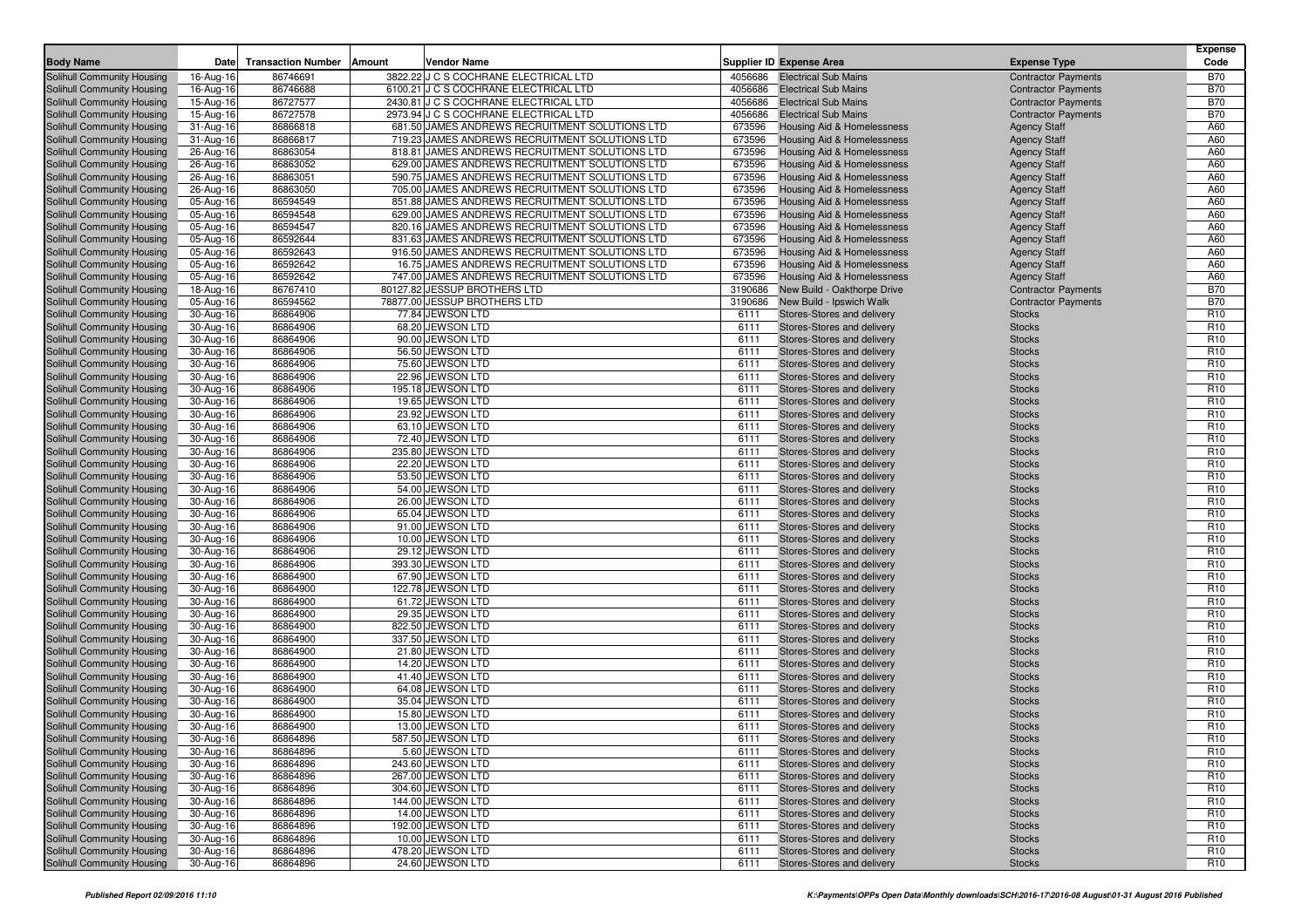| <b>Body Name</b>                                         | Date                   | <b>Transaction Number   Amount</b> | Vendor Name                                    |              | <b>Supplier ID Expense Area</b>                          | <b>Expense Type</b>            | <b>Expense</b><br>Code             |
|----------------------------------------------------------|------------------------|------------------------------------|------------------------------------------------|--------------|----------------------------------------------------------|--------------------------------|------------------------------------|
| Solihull Community Housing                               | 16-Aug-16              | 86746691                           | 3822.22 J C S COCHRANE ELECTRICAL LTD          |              | 4056686 Electrical Sub Mains                             | <b>Contractor Payments</b>     | <b>B70</b>                         |
| Solihull Community Housing                               | 16-Aug-16              | 86746688                           | 6100.21 J C S COCHRANE ELECTRICAL LTD          | 4056686      | <b>Electrical Sub Mains</b>                              | <b>Contractor Payments</b>     | <b>B70</b>                         |
| Solihull Community Housing                               | 15-Aug-16              | 86727577                           | 2430.81 J C S COCHRANE ELECTRICAL LTD          | 4056686      | <b>Electrical Sub Mains</b>                              | <b>Contractor Payments</b>     | <b>B70</b>                         |
| Solihull Community Housing                               | 15-Aug-16              | 86727578                           | 2973.94 J C S COCHRANE ELECTRICAL LTD          | 4056686      | <b>Electrical Sub Mains</b>                              | <b>Contractor Payments</b>     | <b>B70</b>                         |
| Solihull Community Housing                               | 31-Aug-16              | 86866818                           | 681.50 JAMES ANDREWS RECRUITMENT SOLUTIONS LTD | 673596       | Housing Aid & Homelessness                               | <b>Agency Staff</b>            | A60                                |
| Solihull Community Housing                               | 31-Aug-16              | 86866817                           | 719.23 JAMES ANDREWS RECRUITMENT SOLUTIONS LTD | 673596       | <b>Housing Aid &amp; Homelessness</b>                    | <b>Agency Staff</b>            | A60                                |
| Solihull Community Housing                               | 26-Aug-16              | 86863054                           | 818.81 JAMES ANDREWS RECRUITMENT SOLUTIONS LTD | 673596       | Housing Aid & Homelessness                               | <b>Agency Staff</b>            | A60                                |
| Solihull Community Housing                               | 26-Aug-16              | 86863052                           | 629.00 JAMES ANDREWS RECRUITMENT SOLUTIONS LTD | 673596       | <b>Housing Aid &amp; Homelessness</b>                    | <b>Agency Staff</b>            | A60                                |
| Solihull Community Housing                               | 26-Aug-16              | 86863051                           | 590.75 JAMES ANDREWS RECRUITMENT SOLUTIONS LTD | 673596       | Housing Aid & Homelessness                               | <b>Agency Staff</b>            | A60                                |
| Solihull Community Housing                               | 26-Aug-16              | 86863050                           | 705.00 JAMES ANDREWS RECRUITMENT SOLUTIONS LTD | 673596       | <b>Housing Aid &amp; Homelessness</b>                    | <b>Agency Staff</b>            | A60                                |
| Solihull Community Housing                               | 05-Aug-16              | 86594549                           | 851.88 JAMES ANDREWS RECRUITMENT SOLUTIONS LTD | 673596       | Housing Aid & Homelessness                               | <b>Agency Staff</b>            | A60                                |
| Solihull Community Housing                               | 05-Aug-16              | 86594548                           | 629.00 JAMES ANDREWS RECRUITMENT SOLUTIONS LTD | 673596       | Housing Aid & Homelessness                               | <b>Agency Staff</b>            | A60                                |
| <b>Solihull Community Housing</b>                        | 05-Aug-16              | 86594547                           | 820.16 JAMES ANDREWS RECRUITMENT SOLUTIONS LTD | 673596       | Housing Aid & Homelessness                               | <b>Agency Staff</b>            | A60                                |
| Solihull Community Housing                               | 05-Aug-16              | 86592644                           | 831.63 JAMES ANDREWS RECRUITMENT SOLUTIONS LTD | 673596       | Housing Aid & Homelessness                               | <b>Agency Staff</b>            | A60                                |
| Solihull Community Housing                               | 05-Aug-16              | 86592643                           | 916.50 JAMES ANDREWS RECRUITMENT SOLUTIONS LTD | 673596       | Housing Aid & Homelessness                               | <b>Agency Staff</b>            | A60                                |
| Solihull Community Housing                               | 05-Aug-16              | 86592642                           | 16.75 JAMES ANDREWS RECRUITMENT SOLUTIONS LTD  | 673596       | Housing Aid & Homelessness                               | <b>Agency Staff</b>            | A60                                |
| Solihull Community Housing                               | 05-Aug-16              | 86592642                           | 747.00 JAMES ANDREWS RECRUITMENT SOLUTIONS LTD | 673596       | Housing Aid & Homelessness                               | <b>Agency Staff</b>            | A60                                |
| Solihull Community Housing                               | 18-Aug-16              | 86767410                           | 80127.82 JESSUP BROTHERS LTD                   | 3190686      | New Build - Oakthorpe Drive                              | <b>Contractor Payments</b>     | <b>B70</b>                         |
| Solihull Community Housing                               | 05-Aug-16              | 86594562                           | 78877.00 JESSUP BROTHERS LTD                   | 3190686      | New Build - Ipswich Walk                                 | <b>Contractor Payments</b>     | <b>B70</b>                         |
| Solihull Community Housing                               | 30-Aug-16              | 86864906                           | 77.84 JEWSON LTD                               | 6111         | Stores-Stores and delivery                               | <b>Stocks</b>                  | R <sub>10</sub>                    |
| Solihull Community Housing                               | 30-Aug-16              | 86864906                           | 68.20 JEWSON LTD                               | 6111         | Stores-Stores and delivery                               | <b>Stocks</b>                  | R <sub>10</sub>                    |
| Solihull Community Housing                               | 30-Aug-16              | 86864906                           | 90.00 JEWSON LTD                               | 6111         | Stores-Stores and delivery                               | <b>Stocks</b>                  | R <sub>10</sub>                    |
| Solihull Community Housing                               | 30-Aug-16              | 86864906                           | 56.50 JEWSON LTD                               | 6111         | Stores-Stores and delivery                               | <b>Stocks</b>                  | R <sub>10</sub>                    |
| Solihull Community Housing                               | 30-Aug-16              | 86864906                           | 75.60 JEWSON LTD                               | 6111         | Stores-Stores and delivery                               | <b>Stocks</b>                  | R <sub>10</sub>                    |
| Solihull Community Housing                               | 30-Aug-16              | 86864906                           | 22.96 JEWSON LTD                               | 6111         | Stores-Stores and delivery                               | <b>Stocks</b>                  | R <sub>10</sub>                    |
| Solihull Community Housing                               | 30-Aug-16              | 86864906                           | 195.18 JEWSON LTD                              | 6111         | Stores-Stores and delivery                               | <b>Stocks</b>                  | R <sub>10</sub>                    |
| Solihull Community Housing                               | 30-Aug-16              | 86864906                           | 19.65 JEWSON LTD                               | 6111         | Stores-Stores and delivery                               | <b>Stocks</b>                  | R <sub>10</sub>                    |
| Solihull Community Housing<br>Solihull Community Housing | 30-Aug-16              | 86864906                           | 23.92 JEWSON LTD<br>63.10 JEWSON LTD           | 6111<br>6111 | Stores-Stores and delivery                               | <b>Stocks</b>                  | R <sub>10</sub><br>R <sub>10</sub> |
| Solihull Community Housing                               | 30-Aug-16              | 86864906<br>86864906               | 72.40 JEWSON LTD                               | 6111         | Stores-Stores and delivery<br>Stores-Stores and delivery | <b>Stocks</b><br><b>Stocks</b> | R <sub>10</sub>                    |
| Solihull Community Housing                               | 30-Aug-16<br>30-Aug-16 | 86864906                           | 235.80 JEWSON LTD                              | 6111         | Stores-Stores and delivery                               | <b>Stocks</b>                  | R <sub>10</sub>                    |
| Solihull Community Housing                               | 30-Aug-16              | 86864906                           | 22.20 JEWSON LTD                               | 6111         | Stores-Stores and delivery                               | <b>Stocks</b>                  | R <sub>10</sub>                    |
| Solihull Community Housing                               | 30-Aug-16              | 86864906                           | 53.50 JEWSON LTD                               | 6111         | Stores-Stores and delivery                               | <b>Stocks</b>                  | R <sub>10</sub>                    |
| <b>Solihull Community Housing</b>                        | 30-Aug-16              | 86864906                           | 54.00 JEWSON LTD                               | 6111         | Stores-Stores and delivery                               | <b>Stocks</b>                  | R <sub>10</sub>                    |
| Solihull Community Housing                               | 30-Aug-16              | 86864906                           | 26.00 JEWSON LTD                               | 6111         | Stores-Stores and delivery                               | <b>Stocks</b>                  | R <sub>10</sub>                    |
| Solihull Community Housing                               | 30-Aug-16              | 86864906                           | 65.04 JEWSON LTD                               | 6111         | Stores-Stores and delivery                               | <b>Stocks</b>                  | R <sub>10</sub>                    |
| Solihull Community Housing                               | 30-Aug-16              | 86864906                           | 91.00 JEWSON LTD                               | 6111         | Stores-Stores and delivery                               | <b>Stocks</b>                  | R <sub>10</sub>                    |
| Solihull Community Housing                               | 30-Aug-16              | 86864906                           | 10.00 JEWSON LTD                               | 6111         | Stores-Stores and delivery                               | <b>Stocks</b>                  | R <sub>10</sub>                    |
| <b>Solihull Community Housing</b>                        | 30-Aug-16              | 86864906                           | 29.12 JEWSON LTD                               | 6111         | Stores-Stores and delivery                               | <b>Stocks</b>                  | R <sub>10</sub>                    |
| Solihull Community Housing                               | 30-Aug-16              | 86864906                           | 393.30 JEWSON LTD                              | 6111         | Stores-Stores and delivery                               | <b>Stocks</b>                  | R <sub>10</sub>                    |
| Solihull Community Housing                               | 30-Aug-16              | 86864900                           | 67.90 JEWSON LTD                               | 6111         | Stores-Stores and delivery                               | <b>Stocks</b>                  | R <sub>10</sub>                    |
| Solihull Community Housing                               | 30-Aug-16              | 86864900                           | 122.78 JEWSON LTD                              | 6111         | Stores-Stores and delivery                               | <b>Stocks</b>                  | R <sub>10</sub>                    |
| Solihull Community Housing                               | 30-Aug-16              | 86864900                           | 61.72 JEWSON LTD                               | 6111         | Stores-Stores and delivery                               | <b>Stocks</b>                  | R <sub>10</sub>                    |
| Solihull Community Housing                               | 30-Aug-16              | 86864900                           | 29.35 JEWSON LTD                               | 6111         | Stores-Stores and delivery                               | <b>Stocks</b>                  | R <sub>10</sub>                    |
| Solihull Community Housing                               | 30-Aug-16              | 86864900                           | 822.50 JEWSON LTD                              | 6111         | Stores-Stores and delivery                               | <b>Stocks</b>                  | R <sub>10</sub>                    |
| Solihull Community Housing                               | 30-Aug-16              | 86864900                           | 337.50 JEWSON LTD                              | 6111         | Stores-Stores and delivery                               | <b>Stocks</b>                  | R <sub>10</sub>                    |
| Solihull Community Housing                               | 30-Aug-16              | 86864900                           | 21.80 JEWSON LTD                               | 6111         | Stores-Stores and delivery                               | <b>Stocks</b>                  | R <sub>10</sub>                    |
| Solihull Community Housing                               | 30-Aug-16              | 86864900                           | 14.20 JEWSON LTD                               | 6111         | Stores-Stores and delivery                               | <b>Stocks</b>                  | R <sub>10</sub>                    |
| Solihull Community Housing                               | 30-Aug-16              | 86864900                           | 41.40 JEWSON LTD                               | 6111         | Stores-Stores and delivery                               | <b>Stocks</b>                  | R <sub>10</sub>                    |
| Solihull Community Housing                               | 30-Aug-16              | 86864900                           | 64.08 JEWSON LTD                               | 6111         | Stores-Stores and delivery                               | <b>Stocks</b>                  | R <sub>10</sub>                    |
| Solihull Community Housing                               | 30-Aug-16              | 86864900                           | 35.04 JEWSON LTD                               | 6111         | Stores-Stores and delivery                               | <b>Stocks</b>                  | R <sub>10</sub>                    |
| Solihull Community Housing                               | 30-Aug-16              | 86864900                           | 15.80 JEWSON LTD                               | 6111         | Stores-Stores and delivery                               | <b>Stocks</b>                  | R <sub>10</sub>                    |
| Solihull Community Housing                               | 30-Aug-16              | 86864900                           | 13.00 JEWSON LTD                               | 6111         | Stores-Stores and delivery<br>Stores-Stores and delivery | <b>Stocks</b>                  | R <sub>10</sub>                    |
| Solihull Community Housing                               | 30-Aug-16<br>30-Aug-16 | 86864896                           | 587.50 JEWSON LTD                              | 6111         |                                                          | <b>Stocks</b>                  | R <sub>10</sub>                    |
| Solihull Community Housing<br>Solihull Community Housing | 30-Aug-16              | 86864896<br>86864896               | 5.60 JEWSON LTD<br>243.60 JEWSON LTD           | 6111<br>6111 | Stores-Stores and delivery<br>Stores-Stores and delivery | <b>Stocks</b><br><b>Stocks</b> | R <sub>10</sub><br>R <sub>10</sub> |
| Solihull Community Housing                               | 30-Aug-16              | 86864896                           | 267.00 JEWSON LTD                              | 6111         | Stores-Stores and delivery                               | <b>Stocks</b>                  | R <sub>10</sub>                    |
| Solihull Community Housing                               | 30-Aug-16              | 86864896                           | 304.60 JEWSON LTD                              | 6111         | Stores-Stores and delivery                               | <b>Stocks</b>                  | R <sub>10</sub>                    |
| Solihull Community Housing                               | 30-Aug-16              | 86864896                           | 144.00 JEWSON LTD                              | 6111         | Stores-Stores and delivery                               | <b>Stocks</b>                  | R <sub>10</sub>                    |
| Solihull Community Housing                               | 30-Aug-16              | 86864896                           | 14.00 JEWSON LTD                               | 6111         | Stores-Stores and delivery                               | <b>Stocks</b>                  | R <sub>10</sub>                    |
| Solihull Community Housing                               | 30-Aug-16              | 86864896                           | 192.00 JEWSON LTD                              | 6111         | Stores-Stores and delivery                               | <b>Stocks</b>                  | R <sub>10</sub>                    |
| Solihull Community Housing                               | 30-Aug-16              | 86864896                           | 10.00 JEWSON LTD                               | 6111         | Stores-Stores and delivery                               | <b>Stocks</b>                  | R <sub>10</sub>                    |
| Solihull Community Housing                               | 30-Aug-16              | 86864896                           | 478.20 JEWSON LTD                              | 6111         | Stores-Stores and delivery                               | <b>Stocks</b>                  | R <sub>10</sub>                    |
| Solihull Community Housing                               | 30-Aug-16              | 86864896                           | 24.60 JEWSON LTD                               | 6111         | Stores-Stores and delivery                               | <b>Stocks</b>                  | <b>R10</b>                         |
|                                                          |                        |                                    |                                                |              |                                                          |                                |                                    |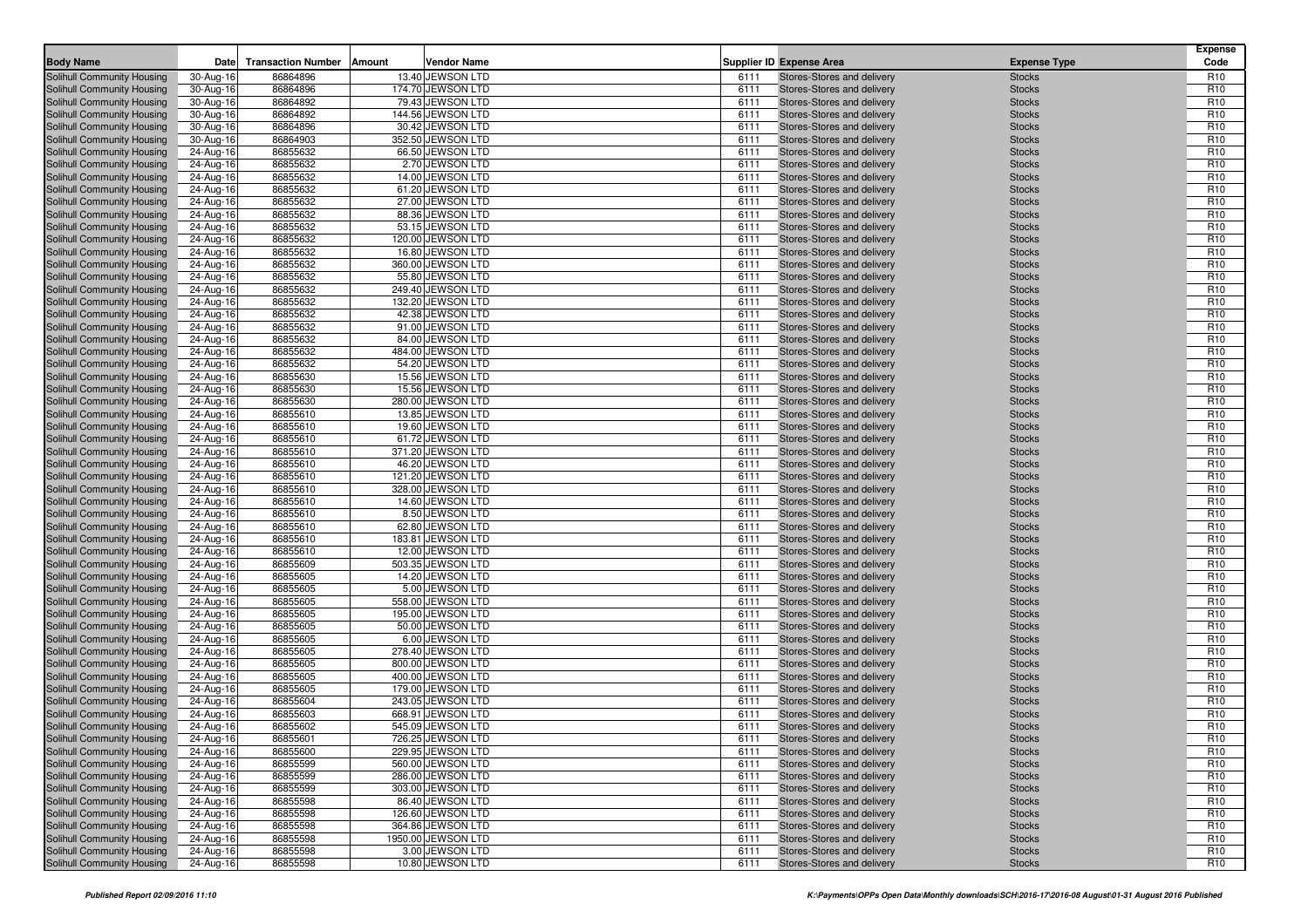| <b>Body Name</b>                                         | Date                   | <b>Transaction Number</b><br>Amount<br><b>Vendor Name</b>     |              | <b>Supplier ID Expense Area</b>                          | <b>Expense Type</b>            | <b>Expense</b><br>Code             |
|----------------------------------------------------------|------------------------|---------------------------------------------------------------|--------------|----------------------------------------------------------|--------------------------------|------------------------------------|
|                                                          | 30-Aug-16              | 86864896<br>13.40 JEWSON LTD                                  | 6111         | Stores-Stores and delivery                               |                                | R <sub>10</sub>                    |
| Solihull Community Housing<br>Solihull Community Housing | 30-Aug-16              | 174.70 JEWSON LTD<br>86864896                                 | 6111         | Stores-Stores and delivery                               | <b>Stocks</b><br><b>Stocks</b> | R <sub>10</sub>                    |
| Solihull Community Housing                               | 30-Aug-16              | 86864892<br>79.43 JEWSON LTD                                  | 6111         | Stores-Stores and delivery                               | <b>Stocks</b>                  | R <sub>10</sub>                    |
| Solihull Community Housing                               | 30-Aug-16              | 86864892<br>144.56 JEWSON LTD                                 | 6111         | Stores-Stores and delivery                               | <b>Stocks</b>                  | R <sub>10</sub>                    |
| Solihull Community Housing                               | 30-Aug-16              | 86864896<br>30.42 JEWSON LTD                                  | 6111         | Stores-Stores and delivery                               | <b>Stocks</b>                  | R <sub>10</sub>                    |
| Solihull Community Housing                               | 30-Aug-16              | 352.50 JEWSON LTD<br>86864903                                 | 6111         | Stores-Stores and delivery                               | <b>Stocks</b>                  | R <sub>10</sub>                    |
| Solihull Community Housing                               | 24-Aug-16              | 86855632<br>66.50 JEWSON LTD                                  | 6111         | Stores-Stores and delivery                               | <b>Stocks</b>                  | R <sub>10</sub>                    |
| Solihull Community Housing                               | 24-Aug-16              | 86855632<br>2.70 JEWSON LTD                                   | 6111         | Stores-Stores and delivery                               | <b>Stocks</b>                  | R <sub>10</sub>                    |
| Solihull Community Housing                               | 24-Aug-16              | 86855632<br>14.00 JEWSON LTD                                  | 6111         | Stores-Stores and delivery                               | <b>Stocks</b>                  | R <sub>10</sub>                    |
| Solihull Community Housing                               | 24-Aug-16              | 61.20 JEWSON LTD<br>86855632                                  | 6111         | Stores-Stores and delivery                               | <b>Stocks</b>                  | R <sub>10</sub>                    |
| Solihull Community Housing                               | 24-Aug-16              | 86855632<br>27.00 JEWSON LTD                                  | 6111         | Stores-Stores and delivery                               | <b>Stocks</b>                  | R <sub>10</sub>                    |
| Solihull Community Housing                               | 24-Aug-16              | 86855632<br>88.36 JEWSON LTD                                  | 6111         | Stores-Stores and delivery                               | <b>Stocks</b>                  | R <sub>10</sub>                    |
| Solihull Community Housing                               | 24-Aug-16              | 53.15 JEWSON LTD<br>86855632                                  | 6111         | Stores-Stores and delivery                               | <b>Stocks</b>                  | R <sub>10</sub>                    |
| Solihull Community Housing                               | 24-Aug-16              | 86855632<br>120.00 JEWSON LTD                                 | 6111         | Stores-Stores and delivery                               | <b>Stocks</b>                  | R <sub>10</sub>                    |
| Solihull Community Housing                               | 24-Aug-16              | 86855632<br>16.80 JEWSON LTD                                  | 6111         | Stores-Stores and delivery                               | <b>Stocks</b>                  | R <sub>10</sub>                    |
| Solihull Community Housing                               | 24-Aug-16              | 86855632<br>360.00 JEWSON LTD                                 | 6111         | Stores-Stores and delivery                               | <b>Stocks</b>                  | R <sub>10</sub>                    |
| Solihull Community Housing                               | 24-Aug-16              | 86855632<br>55.80 JEWSON LTD                                  | 6111         | Stores-Stores and delivery                               | <b>Stocks</b>                  | R <sub>10</sub>                    |
| Solihull Community Housing                               | 24-Aug-16              | 86855632<br>249.40 JEWSON LTD                                 | 6111         | Stores-Stores and delivery                               | <b>Stocks</b>                  | R <sub>10</sub>                    |
| Solihull Community Housing                               | 24-Aug-16              | 132.20 JEWSON LTD<br>86855632                                 | 6111         | Stores-Stores and delivery                               | <b>Stocks</b>                  | R <sub>10</sub>                    |
| Solihull Community Housing                               | 24-Aug-16              | 86855632<br>42.38 JEWSON LTD                                  | 6111         | Stores-Stores and delivery                               | <b>Stocks</b>                  | R <sub>10</sub>                    |
| Solihull Community Housing                               | 24-Aug-16              | 86855632<br>91.00 JEWSON LTD<br>84.00 JEWSON LTD              | 6111<br>6111 | Stores-Stores and delivery                               | <b>Stocks</b>                  | R <sub>10</sub><br>R <sub>10</sub> |
| Solihull Community Housing<br>Solihull Community Housing | 24-Aug-16<br>24-Aug-16 | 86855632<br>86855632<br>484.00 JEWSON LTD                     | 6111         | Stores-Stores and delivery<br>Stores-Stores and delivery | <b>Stocks</b><br><b>Stocks</b> | R <sub>10</sub>                    |
| Solihull Community Housing                               | 24-Aug-16              | 86855632<br>54.20 JEWSON LTD                                  | 6111         | Stores-Stores and delivery                               | <b>Stocks</b>                  | R <sub>10</sub>                    |
| Solihull Community Housing                               | 24-Aug-16              | 86855630<br>15.56 JEWSON LTD                                  | 6111         | Stores-Stores and delivery                               | <b>Stocks</b>                  | R <sub>10</sub>                    |
| Solihull Community Housing                               | 24-Aug-16              | 86855630<br>15.56 JEWSON LTD                                  | 6111         | Stores-Stores and delivery                               | <b>Stocks</b>                  | R <sub>10</sub>                    |
| Solihull Community Housing                               | 24-Aug-16              | 86855630<br>280.00 JEWSON LTD                                 | 6111         | Stores-Stores and delivery                               | <b>Stocks</b>                  | R <sub>10</sub>                    |
| Solihull Community Housing                               | 24-Aug-16              | 13.85 JEWSON LTD<br>86855610                                  | 6111         | Stores-Stores and delivery                               | <b>Stocks</b>                  | R <sub>10</sub>                    |
| Solihull Community Housing                               | 24-Aug-16              | 86855610<br>19.60 JEWSON LTD                                  | 6111         | Stores-Stores and delivery                               | <b>Stocks</b>                  | R <sub>10</sub>                    |
| Solihull Community Housing                               | 24-Aug-16              | 86855610<br>61.72 JEWSON LTD                                  | 6111         | Stores-Stores and delivery                               | <b>Stocks</b>                  | R <sub>10</sub>                    |
| Solihull Community Housing                               | 24-Aug-16              | 371.20 JEWSON LTD<br>86855610                                 | 6111         | Stores-Stores and delivery                               | <b>Stocks</b>                  | R <sub>10</sub>                    |
| Solihull Community Housing                               | 24-Aug-16              | 86855610<br>46.20 JEWSON LTD                                  | 6111         | Stores-Stores and delivery                               | <b>Stocks</b>                  | R <sub>10</sub>                    |
| Solihull Community Housing                               | 24-Aug-16              | 86855610<br>121.20 JEWSON LTD                                 | 6111         | Stores-Stores and delivery                               | <b>Stocks</b>                  | R <sub>10</sub>                    |
| Solihull Community Housing                               | 24-Aug-16              | 86855610<br>328.00 JEWSON LTD                                 | 6111         | Stores-Stores and delivery                               | <b>Stocks</b>                  | R <sub>10</sub>                    |
| Solihull Community Housing                               | 24-Aug-16              | 14.60 JEWSON LTD<br>86855610                                  | 6111         | Stores-Stores and delivery                               | <b>Stocks</b>                  | R <sub>10</sub>                    |
| Solihull Community Housing                               | 24-Aug-16              | 86855610<br>8.50 JEWSON LTD                                   | 6111         | Stores-Stores and delivery                               | <b>Stocks</b>                  | R <sub>10</sub>                    |
| Solihull Community Housing                               | 24-Aug-16              | 62.80 JEWSON LTD<br>86855610                                  | 6111         | Stores-Stores and delivery                               | <b>Stocks</b>                  | R <sub>10</sub>                    |
| Solihull Community Housing                               | 24-Aug-16              | 183.81 JEWSON LTD<br>86855610                                 | 6111         | Stores-Stores and delivery                               | <b>Stocks</b>                  | R <sub>10</sub>                    |
| Solihull Community Housing                               | 24-Aug-16              | 86855610<br>12.00 JEWSON LTD                                  | 6111         | Stores-Stores and delivery                               | <b>Stocks</b>                  | R <sub>10</sub>                    |
| Solihull Community Housing                               | 24-Aug-16              | 503.35 JEWSON LTD<br>86855609                                 | 6111         | Stores-Stores and delivery                               | <b>Stocks</b>                  | R <sub>10</sub>                    |
| Solihull Community Housing                               | 24-Aug-16              | 86855605<br>14.20 JEWSON LTD                                  | 6111         | Stores-Stores and delivery                               | <b>Stocks</b>                  | R <sub>10</sub>                    |
| Solihull Community Housing                               | 24-Aug-16              | 86855605<br>5.00 JEWSON LTD                                   | 6111         | Stores-Stores and delivery                               | <b>Stocks</b>                  | R <sub>10</sub>                    |
| Solihull Community Housing                               | 24-Aug-16              | 86855605<br>558.00 JEWSON LTD                                 | 6111         | Stores-Stores and delivery                               | <b>Stocks</b>                  | R <sub>10</sub>                    |
| Solihull Community Housing<br>Solihull Community Housing | 24-Aug-16<br>24-Aug-16 | 195.00 JEWSON LTD<br>86855605<br>86855605<br>50.00 JEWSON LTD | 6111<br>6111 | Stores-Stores and delivery<br>Stores-Stores and delivery | <b>Stocks</b><br><b>Stocks</b> | R <sub>10</sub><br>R <sub>10</sub> |
| Solihull Community Housing                               | 24-Aug-16              | 86855605<br>6.00 JEWSON LTD                                   | 6111         | Stores-Stores and delivery                               | <b>Stocks</b>                  | R <sub>10</sub>                    |
| Solihull Community Housing                               | 24-Aug-16              | 86855605<br>278.40 JEWSON LTD                                 | 6111         | Stores-Stores and delivery                               | <b>Stocks</b>                  | R <sub>10</sub>                    |
| Solihull Community Housing                               | 24-Aug-16              | 800.00 JEWSON LTD<br>86855605                                 | 6111         | Stores-Stores and delivery                               | <b>Stocks</b>                  | R <sub>10</sub>                    |
| Solihull Community Housing                               | 24-Aug-16              | 86855605<br>400.00 JEWSON LTD                                 | 6111         | Stores-Stores and delivery                               | <b>Stocks</b>                  | R <sub>10</sub>                    |
| Solihull Community Housing                               | 24-Aug-16              | 86855605<br>179.00 JEWSON LTD                                 | 6111         | Stores-Stores and delivery                               | <b>Stocks</b>                  | R <sub>10</sub>                    |
| Solihull Community Housing                               | 24-Aug-16              | 86855604<br>243.05 JEWSON LTD                                 | 6111         | Stores-Stores and delivery                               | <b>Stocks</b>                  | R <sub>10</sub>                    |
| Solihull Community Housing                               | 24-Aug-16              | 86855603<br>668.91 JEWSON LTD                                 | 6111         | Stores-Stores and delivery                               | <b>Stocks</b>                  | R <sub>10</sub>                    |
| Solihull Community Housing                               | 24-Aug-16              | 86855602<br>545.09 JEWSON LTD                                 | 6111         | Stores-Stores and delivery                               | <b>Stocks</b>                  | R <sub>10</sub>                    |
| Solihull Community Housing                               | 24-Aug-16              | 86855601<br>726.25 JEWSON LTD                                 | 6111         | Stores-Stores and delivery                               | <b>Stocks</b>                  | R <sub>10</sub>                    |
| Solihull Community Housing                               | 24-Aug-16              | 86855600<br>229.95 JEWSON LTD                                 | 6111         | Stores-Stores and delivery                               | <b>Stocks</b>                  | R <sub>10</sub>                    |
| <b>Solihull Community Housing</b>                        | 24-Aug-16              | 560.00 JEWSON LTD<br>86855599                                 | 6111         | Stores-Stores and delivery                               | <b>Stocks</b>                  | R <sub>10</sub>                    |
| Solihull Community Housing                               | 24-Aug-16              | 86855599<br>286.00 JEWSON LTD                                 | 6111         | Stores-Stores and delivery                               | <b>Stocks</b>                  | R <sub>10</sub>                    |
| Solihull Community Housing                               | 24-Aug-16              | 86855599<br>303.00 JEWSON LTD                                 | 6111         | Stores-Stores and delivery                               | <b>Stocks</b>                  | R <sub>10</sub>                    |
| Solihull Community Housing                               | 24-Aug-16              | 86.40 JEWSON LTD<br>86855598                                  | 6111         | Stores-Stores and delivery                               | <b>Stocks</b>                  | R <sub>10</sub>                    |
| Solihull Community Housing                               | 24-Aug-16              | 86855598<br>126.60 JEWSON LTD                                 | 6111         | Stores-Stores and delivery                               | <b>Stocks</b>                  | R <sub>10</sub>                    |
| Solihull Community Housing                               | 24-Aug-16              | 86855598<br>364.86 JEWSON LTD                                 | 6111         | Stores-Stores and delivery                               | <b>Stocks</b>                  | R <sub>10</sub>                    |
| <b>Solihull Community Housing</b>                        | 24-Aug-16              | 86855598<br>1950.00 JEWSON LTD                                | 6111         | Stores-Stores and delivery                               | <b>Stocks</b>                  | R <sub>10</sub>                    |
| Solihull Community Housing                               | 24-Aug-16              | 86855598<br>3.00 JEWSON LTD                                   | 6111         | Stores-Stores and delivery                               | <b>Stocks</b>                  | R <sub>10</sub>                    |
| Solihull Community Housing                               | 24-Aug-16              | 86855598<br>10.80 JEWSON LTD                                  | 6111         | Stores-Stores and delivery                               | <b>Stocks</b>                  | R <sub>10</sub>                    |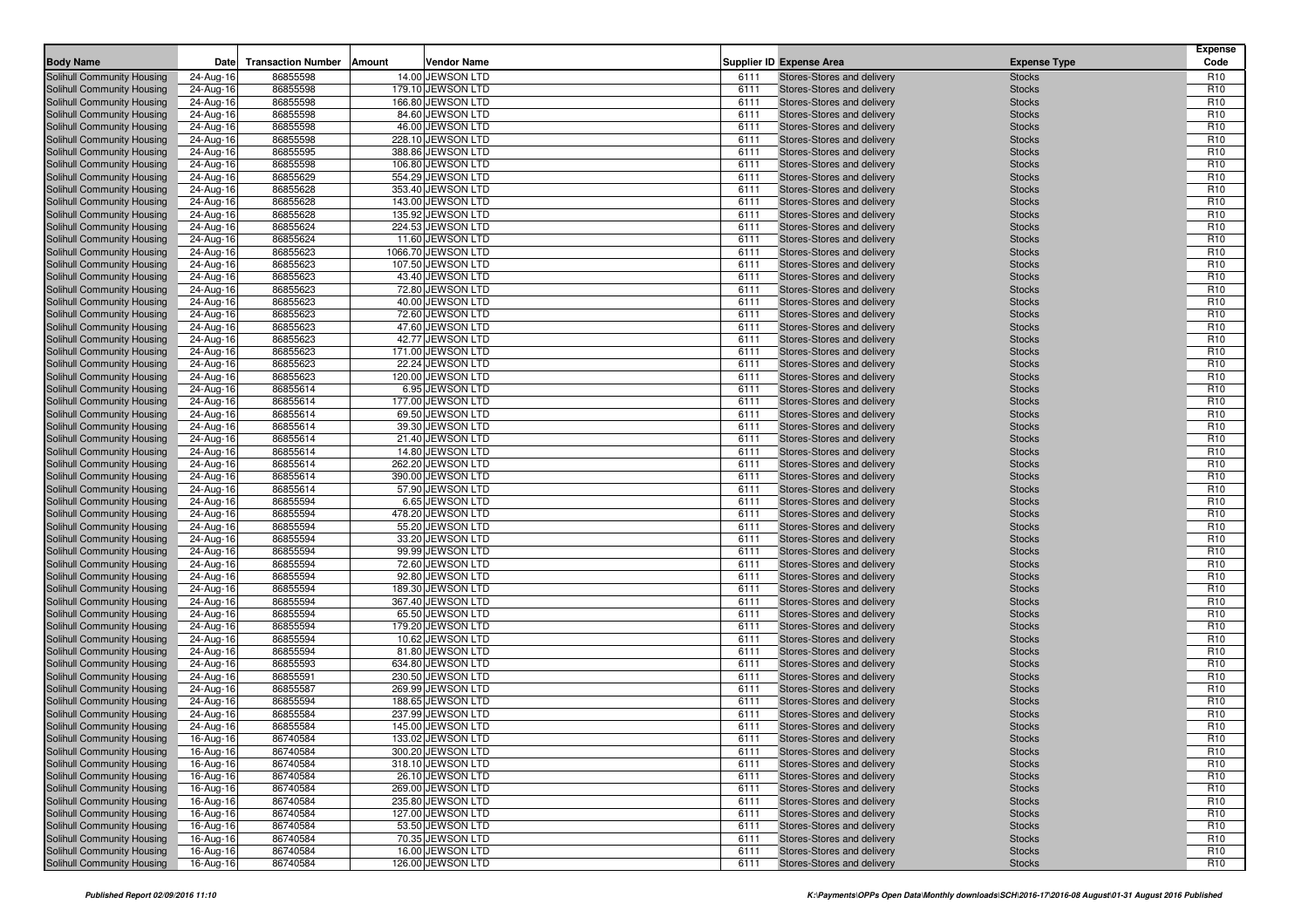|                                                          | Date                   | <b>Transaction Number</b><br>Amount | <b>Vendor Name</b>                     |              |                                                          | <b>Expense Type</b>            | <b>Expense</b><br>Code             |
|----------------------------------------------------------|------------------------|-------------------------------------|----------------------------------------|--------------|----------------------------------------------------------|--------------------------------|------------------------------------|
| <b>Body Name</b>                                         |                        |                                     |                                        |              | <b>Supplier ID Expense Area</b>                          |                                |                                    |
| Solihull Community Housing<br>Solihull Community Housing | 24-Aug-16              | 86855598                            | 14.00 JEWSON LTD                       | 6111         | Stores-Stores and delivery                               | <b>Stocks</b>                  | R <sub>10</sub>                    |
| Solihull Community Housing                               | 24-Aug-16<br>24-Aug-16 | 86855598<br>86855598                | 179.10 JEWSON LTD<br>166.80 JEWSON LTD | 6111<br>6111 | Stores-Stores and delivery<br>Stores-Stores and delivery | <b>Stocks</b><br><b>Stocks</b> | R <sub>10</sub><br>R <sub>10</sub> |
| Solihull Community Housing                               | 24-Aug-16              | 86855598                            | 84.60 JEWSON LTD                       | 6111         | Stores-Stores and delivery                               | <b>Stocks</b>                  | R <sub>10</sub>                    |
| Solihull Community Housing                               | 24-Aug-16              | 86855598                            | 46.00 JEWSON LTD                       | 6111         | Stores-Stores and delivery                               | <b>Stocks</b>                  | R <sub>10</sub>                    |
| Solihull Community Housing                               | 24-Aug-16              | 86855598                            | 228.10 JEWSON LTD                      | 6111         | Stores-Stores and delivery                               | <b>Stocks</b>                  | R <sub>10</sub>                    |
| Solihull Community Housing                               | 24-Aug-16              | 86855595                            | 388.86 JEWSON LTD                      | 6111         | Stores-Stores and delivery                               | <b>Stocks</b>                  | R <sub>10</sub>                    |
| Solihull Community Housing                               | 24-Aug-16              | 86855598                            | 106.80 JEWSON LTD                      | 6111         | Stores-Stores and delivery                               | <b>Stocks</b>                  | R <sub>10</sub>                    |
| Solihull Community Housing                               | 24-Aug-16              | 86855629                            | 554.29 JEWSON LTD                      | 6111         | Stores-Stores and delivery                               | <b>Stocks</b>                  | R <sub>10</sub>                    |
| Solihull Community Housing                               | 24-Aug-16              | 86855628                            | 353.40 JEWSON LTD                      | 6111         | Stores-Stores and delivery                               | <b>Stocks</b>                  | R <sub>10</sub>                    |
| Solihull Community Housing                               | 24-Aug-16              | 86855628                            | 143.00 JEWSON LTD                      | 6111         | Stores-Stores and delivery                               | <b>Stocks</b>                  | R <sub>10</sub>                    |
| Solihull Community Housing                               | 24-Aug-16              | 86855628                            | 135.92 JEWSON LTD                      | 6111         | Stores-Stores and delivery                               | <b>Stocks</b>                  | R <sub>10</sub>                    |
| Solihull Community Housing                               | 24-Aug-16              | 86855624                            | 224.53 JEWSON LTD                      | 6111         | Stores-Stores and delivery                               | <b>Stocks</b>                  | R <sub>10</sub>                    |
| Solihull Community Housing                               | 24-Aug-16              | 86855624                            | 11.60 JEWSON LTD                       | 6111         | Stores-Stores and delivery                               | <b>Stocks</b>                  | R <sub>10</sub>                    |
| Solihull Community Housing                               | 24-Aug-16              | 86855623                            | 1066.70 JEWSON LTD                     | 6111         | Stores-Stores and delivery                               | <b>Stocks</b>                  | R <sub>10</sub>                    |
| Solihull Community Housing                               | 24-Aug-16              | 86855623                            | 107.50 JEWSON LTD                      | 6111         | Stores-Stores and delivery                               | <b>Stocks</b>                  | R <sub>10</sub>                    |
| Solihull Community Housing                               | 24-Aug-16              | 86855623                            | 43.40 JEWSON LTD                       | 6111         | Stores-Stores and delivery                               | <b>Stocks</b>                  | R <sub>10</sub>                    |
| Solihull Community Housing                               | 24-Aug-16              | 86855623                            | 72.80 JEWSON LTD                       | 6111         | Stores-Stores and delivery                               | <b>Stocks</b>                  | R <sub>10</sub>                    |
| Solihull Community Housing                               | 24-Aug-16              | 86855623                            | 40.00 JEWSON LTD                       | 6111         | Stores-Stores and delivery                               | <b>Stocks</b>                  | R <sub>10</sub>                    |
| Solihull Community Housing                               | 24-Aug-16              | 86855623                            | 72.60 JEWSON LTD                       | 6111         | Stores-Stores and delivery                               | <b>Stocks</b>                  | R <sub>10</sub>                    |
| Solihull Community Housing                               | 24-Aug-16              | 86855623                            | 47.60 JEWSON LTD                       | 6111         | Stores-Stores and delivery                               | <b>Stocks</b>                  | R <sub>10</sub>                    |
| Solihull Community Housing                               | 24-Aug-16              | 86855623                            | 42.77 JEWSON LTD                       | 6111         | Stores-Stores and delivery                               | <b>Stocks</b>                  | R <sub>10</sub>                    |
| Solihull Community Housing                               | 24-Aug-16              | 86855623                            | 171.00 JEWSON LTD                      | 6111         | Stores-Stores and delivery                               | <b>Stocks</b>                  | R <sub>10</sub>                    |
| Solihull Community Housing                               | 24-Aug-16              | 86855623                            | 22.24 JEWSON LTD                       | 6111         | Stores-Stores and delivery                               | <b>Stocks</b>                  | R <sub>10</sub>                    |
| Solihull Community Housing                               | 24-Aug-16              | 86855623                            | 120.00 JEWSON LTD                      | 6111         | Stores-Stores and delivery                               | <b>Stocks</b>                  | R <sub>10</sub>                    |
| Solihull Community Housing                               | 24-Aug-16              | 86855614                            | 6.95 JEWSON LTD                        | 6111         | Stores-Stores and delivery                               | <b>Stocks</b>                  | R <sub>10</sub>                    |
| Solihull Community Housing                               | 24-Aug-16              | 86855614                            | 177.00 JEWSON LTD                      | 6111         | Stores-Stores and delivery                               | <b>Stocks</b>                  | R <sub>10</sub>                    |
| Solihull Community Housing                               | 24-Aug-16              | 86855614                            | 69.50 JEWSON LTD                       | 6111         | Stores-Stores and delivery                               | <b>Stocks</b>                  | R <sub>10</sub>                    |
| Solihull Community Housing                               | 24-Aug-16              | 86855614                            | 39.30 JEWSON LTD                       | 6111         | Stores-Stores and delivery                               | <b>Stocks</b>                  | R <sub>10</sub>                    |
| Solihull Community Housing                               | 24-Aug-16              | 86855614                            | 21.40 JEWSON LTD                       | 6111         | Stores-Stores and delivery                               | <b>Stocks</b>                  | R <sub>10</sub>                    |
| Solihull Community Housing                               | 24-Aug-16              | 86855614                            | 14.80 JEWSON LTD                       | 6111         | Stores-Stores and delivery                               | <b>Stocks</b>                  | R <sub>10</sub>                    |
| Solihull Community Housing                               | 24-Aug-16              | 86855614                            | 262.20 JEWSON LTD                      | 6111         | Stores-Stores and delivery                               | <b>Stocks</b>                  | R <sub>10</sub>                    |
| Solihull Community Housing<br>Solihull Community Housing | 24-Aug-16              | 86855614                            | 390.00 JEWSON LTD                      | 6111<br>6111 | Stores-Stores and delivery                               | <b>Stocks</b>                  | R <sub>10</sub>                    |
|                                                          | 24-Aug-16              | 86855614<br>86855594                | 57.90 JEWSON LTD<br>6.65 JEWSON LTD    | 6111         | Stores-Stores and delivery                               | <b>Stocks</b>                  | R <sub>10</sub><br>R <sub>10</sub> |
| Solihull Community Housing<br>Solihull Community Housing | 24-Aug-16              | 86855594                            | 478.20 JEWSON LTD                      | 6111         | Stores-Stores and delivery<br>Stores-Stores and delivery | <b>Stocks</b><br><b>Stocks</b> | R <sub>10</sub>                    |
| Solihull Community Housing                               | 24-Aug-16<br>24-Aug-16 | 86855594                            | 55.20 JEWSON LTD                       | 6111         | Stores-Stores and delivery                               | <b>Stocks</b>                  | R <sub>10</sub>                    |
| Solihull Community Housing                               | 24-Aug-16              | 86855594                            | 33.20 JEWSON LTD                       | 6111         | Stores-Stores and delivery                               | <b>Stocks</b>                  | R <sub>10</sub>                    |
| Solihull Community Housing                               | 24-Aug-16              | 86855594                            | 99.99 JEWSON LTD                       | 6111         | Stores-Stores and delivery                               | <b>Stocks</b>                  | R <sub>10</sub>                    |
| Solihull Community Housing                               | 24-Aug-16              | 86855594                            | 72.60 JEWSON LTD                       | 6111         | Stores-Stores and delivery                               | <b>Stocks</b>                  | R <sub>10</sub>                    |
| Solihull Community Housing                               | 24-Aug-16              | 86855594                            | 92.80 JEWSON LTD                       | 6111         | Stores-Stores and delivery                               | <b>Stocks</b>                  | R <sub>10</sub>                    |
| Solihull Community Housing                               | 24-Aug-16              | 86855594                            | 189.30 JEWSON LTD                      | 6111         | Stores-Stores and delivery                               | <b>Stocks</b>                  | R <sub>10</sub>                    |
| Solihull Community Housing                               | 24-Aug-16              | 86855594                            | 367.40 JEWSON LTD                      | 6111         | Stores-Stores and delivery                               | <b>Stocks</b>                  | R <sub>10</sub>                    |
| Solihull Community Housing                               | 24-Aug-16              | 86855594                            | 65.50 JEWSON LTD                       | 6111         | Stores-Stores and delivery                               | <b>Stocks</b>                  | R <sub>10</sub>                    |
| Solihull Community Housing                               | 24-Aug-16              | 86855594                            | 179.20 JEWSON LTD                      | 6111         | Stores-Stores and delivery                               | <b>Stocks</b>                  | R <sub>10</sub>                    |
| Solihull Community Housing                               | 24-Aug-16              | 86855594                            | 10.62 JEWSON LTD                       | 6111         | Stores-Stores and delivery                               | <b>Stocks</b>                  | R <sub>10</sub>                    |
| Solihull Community Housing                               | 24-Aug-16              | 86855594                            | 81.80 JEWSON LTD                       | 6111         | Stores-Stores and delivery                               | <b>Stocks</b>                  | R <sub>10</sub>                    |
| Solihull Community Housing                               | 24-Aug-16              | 86855593                            | 634.80 JEWSON LTD                      | 6111         | Stores-Stores and delivery                               | <b>Stocks</b>                  | R <sub>10</sub>                    |
| Solihull Community Housing                               | 24-Aug-16              | 86855591                            | 230.50 JEWSON LTD                      | 6111         | Stores-Stores and delivery                               | <b>Stocks</b>                  | R <sub>10</sub>                    |
| Solihull Community Housing                               | 24-Aug-16              | 86855587                            | 269.99 JEWSON LTD                      | 6111         | Stores-Stores and delivery                               | <b>Stocks</b>                  | R <sub>10</sub>                    |
| Solihull Community Housing                               | 24-Aug-16              | 86855594                            | 188.65 JEWSON LTD                      | 6111         | Stores-Stores and delivery                               | <b>Stocks</b>                  | R <sub>10</sub>                    |
| Solihull Community Housing                               | 24-Aug-16              | 86855584                            | 237.99 JEWSON LTD                      | 6111         | Stores-Stores and delivery                               | <b>Stocks</b>                  | R <sub>10</sub>                    |
| Solihull Community Housing                               | 24-Aug-16              | 86855584                            | 145.00 JEWSON LTD                      | 6111         | Stores-Stores and delivery                               | <b>Stocks</b>                  | R <sub>10</sub>                    |
| Solihull Community Housing                               | 16-Aug-16              | 86740584                            | 133.02 JEWSON LTD                      | 6111         | Stores-Stores and delivery                               | <b>Stocks</b>                  | R <sub>10</sub>                    |
| Solihull Community Housing                               | 16-Aug-16              | 86740584                            | 300.20 JEWSON LTD                      | 6111         | Stores-Stores and delivery                               | <b>Stocks</b>                  | R <sub>10</sub>                    |
| <b>Solihull Community Housing</b>                        | 16-Aug-16              | 86740584                            | 318.10 JEWSON LTD                      | 6111         | Stores-Stores and delivery                               | <b>Stocks</b>                  | R <sub>10</sub>                    |
| Solihull Community Housing                               | 16-Aug-16              | 86740584                            | 26.10 JEWSON LTD                       | 6111         | Stores-Stores and delivery                               | <b>Stocks</b>                  | R <sub>10</sub>                    |
| Solihull Community Housing<br>Solihull Community Housing | 16-Aug-16              | 86740584<br>86740584                | 269.00 JEWSON LTD<br>235.80 JEWSON LTD | 6111<br>6111 | Stores-Stores and delivery<br>Stores-Stores and delivery | <b>Stocks</b><br><b>Stocks</b> | R <sub>10</sub><br>R <sub>10</sub> |
| Solihull Community Housing                               | 16-Aug-16              | 86740584                            | 127.00 JEWSON LTD                      | 6111         | Stores-Stores and delivery                               | <b>Stocks</b>                  | R <sub>10</sub>                    |
| Solihull Community Housing                               | 16-Aug-16<br>16-Aug-16 | 86740584                            | 53.50 JEWSON LTD                       | 6111         | Stores-Stores and delivery                               | <b>Stocks</b>                  | R <sub>10</sub>                    |
| Solihull Community Housing                               | 16-Aug-16              | 86740584                            | 70.35 JEWSON LTD                       | 6111         | Stores-Stores and delivery                               | <b>Stocks</b>                  | R <sub>10</sub>                    |
| Solihull Community Housing                               | 16-Aug-16              | 86740584                            | 16.00 JEWSON LTD                       | 6111         | Stores-Stores and delivery                               | <b>Stocks</b>                  | R <sub>10</sub>                    |
| Solihull Community Housing                               | 16-Aug-16              | 86740584                            | 126.00 JEWSON LTD                      | 6111         | Stores-Stores and delivery                               | <b>Stocks</b>                  | R <sub>10</sub>                    |
|                                                          |                        |                                     |                                        |              |                                                          |                                |                                    |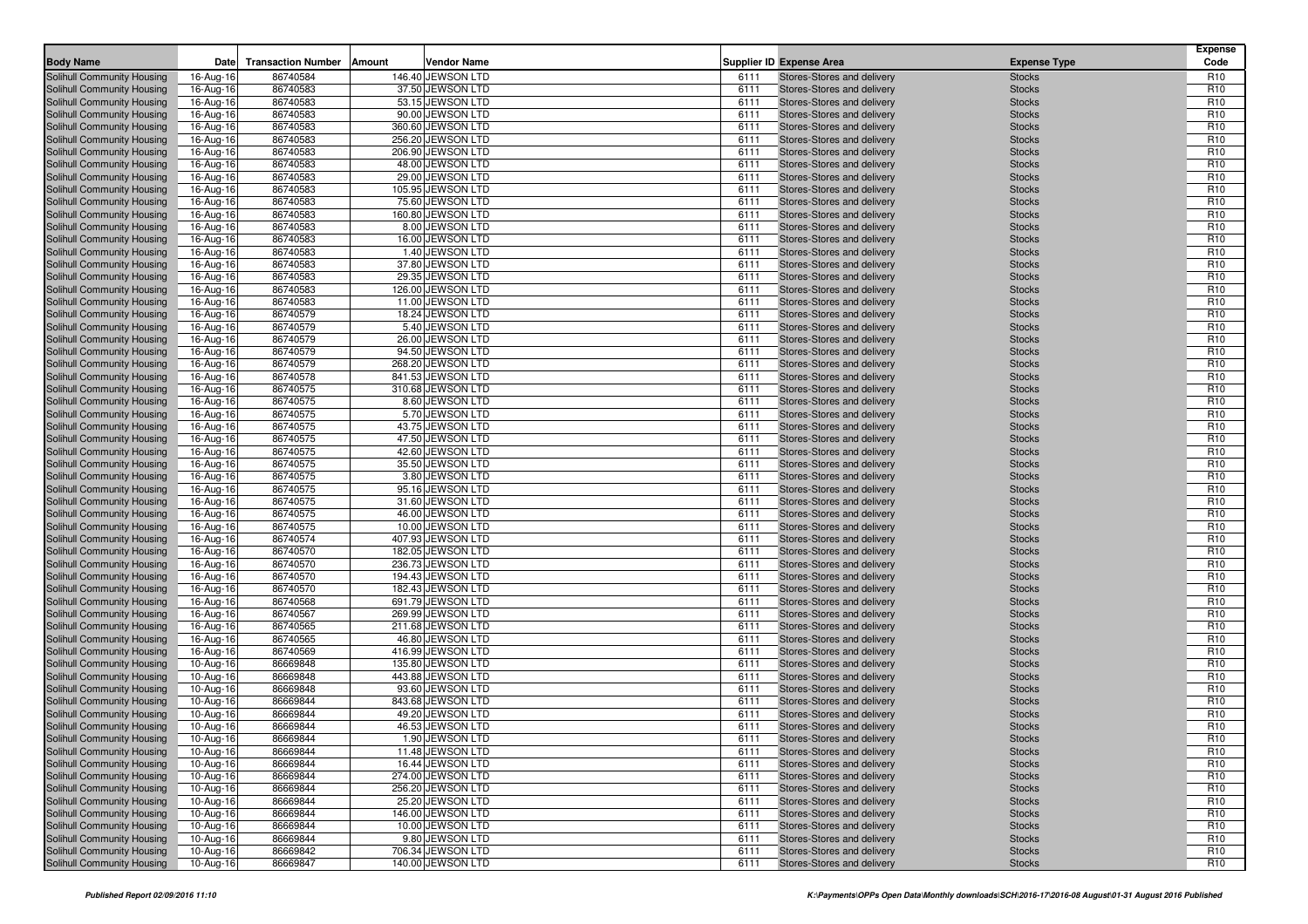| <b>Body Name</b>                                         | Date                   | <b>Transaction Number</b><br>Amount | <b>Vendor Name</b>                     |              | <b>Supplier ID Expense Area</b>                          | <b>Expense Type</b>            | <b>Expense</b><br>Code             |
|----------------------------------------------------------|------------------------|-------------------------------------|----------------------------------------|--------------|----------------------------------------------------------|--------------------------------|------------------------------------|
|                                                          |                        |                                     |                                        |              |                                                          |                                |                                    |
| Solihull Community Housing<br>Solihull Community Housing | 16-Aug-16<br>16-Aug-16 | 86740584<br>86740583                | 146.40 JEWSON LTD<br>37.50 JEWSON LTD  | 6111<br>6111 | Stores-Stores and delivery<br>Stores-Stores and delivery | <b>Stocks</b><br><b>Stocks</b> | R <sub>10</sub><br>R <sub>10</sub> |
| Solihull Community Housing                               | 16-Aug-16              | 86740583                            | 53.15 JEWSON LTD                       | 6111         | Stores-Stores and delivery                               | <b>Stocks</b>                  | R <sub>10</sub>                    |
| Solihull Community Housing                               | 16-Aug-16              | 86740583                            | 90.00 JEWSON LTD                       | 6111         | Stores-Stores and delivery                               | <b>Stocks</b>                  | R <sub>10</sub>                    |
| Solihull Community Housing                               | 16-Aug-16              | 86740583                            | 360.60 JEWSON LTD                      | 6111         | Stores-Stores and delivery                               | <b>Stocks</b>                  | R <sub>10</sub>                    |
| Solihull Community Housing                               | 16-Aug-16              | 86740583                            | 256.20 JEWSON LTD                      | 6111         | Stores-Stores and delivery                               | <b>Stocks</b>                  | R <sub>10</sub>                    |
| Solihull Community Housing                               | 16-Aug-16              | 86740583                            | 206.90 JEWSON LTD                      | 6111         | Stores-Stores and delivery                               | <b>Stocks</b>                  | R <sub>10</sub>                    |
| Solihull Community Housing                               | 16-Aug-16              | 86740583                            | 48.00 JEWSON LTD                       | 6111         | Stores-Stores and delivery                               | <b>Stocks</b>                  | R <sub>10</sub>                    |
| Solihull Community Housing                               | 16-Aug-16              | 86740583                            | 29.00 JEWSON LTD                       | 6111         | Stores-Stores and delivery                               | <b>Stocks</b>                  | R <sub>10</sub>                    |
| Solihull Community Housing                               | 16-Aug-16              | 86740583                            | 105.95 JEWSON LTD                      | 6111         | Stores-Stores and delivery                               | <b>Stocks</b>                  | R <sub>10</sub>                    |
| Solihull Community Housing                               | 16-Aug-16              | 86740583                            | 75.60 JEWSON LTD                       | 6111         | Stores-Stores and delivery                               | <b>Stocks</b>                  | R <sub>10</sub>                    |
| Solihull Community Housing                               | 16-Aug-16              | 86740583                            | 160.80 JEWSON LTD                      | 6111         | Stores-Stores and delivery                               | <b>Stocks</b>                  | R <sub>10</sub>                    |
| Solihull Community Housing                               | 16-Aug-16              | 86740583                            | 8.00 JEWSON LTD                        | 6111         | Stores-Stores and delivery                               | <b>Stocks</b>                  | R <sub>10</sub>                    |
| Solihull Community Housing                               | 16-Aug-16              | 86740583                            | 16.00 JEWSON LTD                       | 6111         | Stores-Stores and delivery                               | <b>Stocks</b>                  | R <sub>10</sub>                    |
| Solihull Community Housing                               | 16-Aug-16              | 86740583                            | 1.40 JEWSON LTD                        | 6111         | Stores-Stores and delivery                               | <b>Stocks</b>                  | R <sub>10</sub>                    |
| Solihull Community Housing                               | 16-Aug-16              | 86740583                            | 37.80 JEWSON LTD                       | 6111         | Stores-Stores and delivery                               | <b>Stocks</b>                  | R <sub>10</sub><br>R <sub>10</sub> |
| Solihull Community Housing<br>Solihull Community Housing | 16-Aug-16              | 86740583<br>86740583                | 29.35 JEWSON LTD<br>126.00 JEWSON LTD  | 6111<br>6111 | Stores-Stores and delivery<br>Stores-Stores and delivery | <b>Stocks</b><br><b>Stocks</b> | R <sub>10</sub>                    |
| Solihull Community Housing                               | 16-Aug-16<br>16-Aug-16 | 86740583                            | 11.00 JEWSON LTD                       | 6111         | Stores-Stores and delivery                               | <b>Stocks</b>                  | R <sub>10</sub>                    |
| Solihull Community Housing                               | 16-Aug-16              | 86740579                            | 18.24 JEWSON LTD                       | 6111         | Stores-Stores and delivery                               | <b>Stocks</b>                  | R <sub>10</sub>                    |
| Solihull Community Housing                               | 16-Aug-16              | 86740579                            | 5.40 JEWSON LTD                        | 6111         | Stores-Stores and delivery                               | <b>Stocks</b>                  | R <sub>10</sub>                    |
| Solihull Community Housing                               | 16-Aug-16              | 86740579                            | 26.00 JEWSON LTD                       | 6111         | Stores-Stores and delivery                               | <b>Stocks</b>                  | R <sub>10</sub>                    |
| Solihull Community Housing                               | 16-Aug-16              | 86740579                            | 94.50 JEWSON LTD                       | 6111         | Stores-Stores and delivery                               | <b>Stocks</b>                  | R <sub>10</sub>                    |
| Solihull Community Housing                               | 16-Aug-16              | 86740579                            | 268.20 JEWSON LTD                      | 6111         | Stores-Stores and delivery                               | <b>Stocks</b>                  | R <sub>10</sub>                    |
| Solihull Community Housing                               | 16-Aug-16              | 86740578                            | 841.53 JEWSON LTD                      | 6111         | Stores-Stores and delivery                               | <b>Stocks</b>                  | R <sub>10</sub>                    |
| Solihull Community Housing                               | 16-Aug-16              | 86740575                            | 310.68 JEWSON LTD                      | 6111         | Stores-Stores and delivery                               | <b>Stocks</b>                  | R <sub>10</sub>                    |
| Solihull Community Housing                               | 16-Aug-16              | 86740575                            | 8.60 JEWSON LTD                        | 6111         | Stores-Stores and delivery                               | <b>Stocks</b>                  | R <sub>10</sub>                    |
| Solihull Community Housing                               | 16-Aug-16              | 86740575                            | 5.70 JEWSON LTD                        | 6111         | Stores-Stores and delivery                               | <b>Stocks</b>                  | R <sub>10</sub>                    |
| Solihull Community Housing                               | 16-Aug-16              | 86740575                            | 43.75 JEWSON LTD                       | 6111         | Stores-Stores and delivery                               | <b>Stocks</b>                  | R <sub>10</sub>                    |
| Solihull Community Housing                               | 16-Aug-16              | 86740575                            | 47.50 JEWSON LTD                       | 6111         | Stores-Stores and delivery                               | <b>Stocks</b>                  | R <sub>10</sub>                    |
| Solihull Community Housing                               | 16-Aug-16              | 86740575                            | 42.60 JEWSON LTD                       | 6111         | Stores-Stores and delivery                               | <b>Stocks</b>                  | R <sub>10</sub>                    |
| Solihull Community Housing                               | 16-Aug-16              | 86740575                            | 35.50 JEWSON LTD                       | 6111         | Stores-Stores and delivery                               | <b>Stocks</b>                  | R <sub>10</sub>                    |
| Solihull Community Housing<br>Solihull Community Housing | 16-Aug-16              | 86740575<br>86740575                | 3.80 JEWSON LTD<br>95.16 JEWSON LTD    | 6111<br>6111 | Stores-Stores and delivery<br>Stores-Stores and delivery | <b>Stocks</b><br><b>Stocks</b> | R <sub>10</sub><br>R <sub>10</sub> |
| Solihull Community Housing                               | 16-Aug-16<br>16-Aug-16 | 86740575                            | 31.60 JEWSON LTD                       | 6111         | Stores-Stores and delivery                               | <b>Stocks</b>                  | R <sub>10</sub>                    |
| Solihull Community Housing                               | 16-Aug-16              | 86740575                            | 46.00 JEWSON LTD                       | 6111         | Stores-Stores and delivery                               | <b>Stocks</b>                  | R <sub>10</sub>                    |
| <b>Solihull Community Housing</b>                        | 16-Aug-16              | 86740575                            | 10.00 JEWSON LTD                       | 6111         | Stores-Stores and delivery                               | <b>Stocks</b>                  | R <sub>10</sub>                    |
| Solihull Community Housing                               | 16-Aug-16              | 86740574                            | 407.93 JEWSON LTD                      | 6111         | Stores-Stores and delivery                               | <b>Stocks</b>                  | R <sub>10</sub>                    |
| Solihull Community Housing                               | 16-Aug-16              | 86740570                            | 182.05 JEWSON LTD                      | 6111         | Stores-Stores and delivery                               | <b>Stocks</b>                  | R <sub>10</sub>                    |
| Solihull Community Housing                               | 16-Aug-16              | 86740570                            | 236.73 JEWSON LTD                      | 6111         | Stores-Stores and delivery                               | <b>Stocks</b>                  | R <sub>10</sub>                    |
| Solihull Community Housing                               | 16-Aug-16              | 86740570                            | 194.43 JEWSON LTD                      | 6111         | Stores-Stores and delivery                               | <b>Stocks</b>                  | R <sub>10</sub>                    |
| Solihull Community Housing                               | 16-Aug-16              | 86740570                            | 182.43 JEWSON LTD                      | 6111         | Stores-Stores and delivery                               | <b>Stocks</b>                  | R <sub>10</sub>                    |
| Solihull Community Housing                               | 16-Aug-16              | 86740568                            | 691.79 JEWSON LTD                      | 6111         | Stores-Stores and delivery                               | <b>Stocks</b>                  | R <sub>10</sub>                    |
| Solihull Community Housing                               | 16-Aug-16              | 86740567                            | 269.99 JEWSON LTD                      | 6111         | Stores-Stores and delivery                               | <b>Stocks</b>                  | R <sub>10</sub>                    |
| Solihull Community Housing                               | 16-Aug-16              | 86740565                            | 211.68 JEWSON LTD                      | 6111         | Stores-Stores and delivery                               | <b>Stocks</b>                  | R <sub>10</sub>                    |
| Solihull Community Housing                               | 16-Aug-16              | 86740565                            | 46.80 JEWSON LTD                       | 6111         | Stores-Stores and delivery                               | <b>Stocks</b>                  | R <sub>10</sub>                    |
| Solihull Community Housing<br>Solihull Community Housing | 16-Aug-16<br>10-Aug-16 | 86740569<br>86669848                | 416.99 JEWSON LTD<br>135.80 JEWSON LTD | 6111<br>6111 | Stores-Stores and delivery<br>Stores-Stores and delivery | <b>Stocks</b><br><b>Stocks</b> | R <sub>10</sub><br>R <sub>10</sub> |
| Solihull Community Housing                               | 10-Aug-16              | 86669848                            | 443.88 JEWSON LTD                      | 6111         | Stores-Stores and delivery                               | <b>Stocks</b>                  | R <sub>10</sub>                    |
| Solihull Community Housing                               | 10-Aug-16              | 86669848                            | 93.60 JEWSON LTD                       | 6111         | Stores-Stores and delivery                               | <b>Stocks</b>                  | R <sub>10</sub>                    |
| Solihull Community Housing                               | 10-Aug-16              | 86669844                            | 843.68 JEWSON LTD                      | 6111         | Stores-Stores and delivery                               | <b>Stocks</b>                  | R <sub>10</sub>                    |
| Solihull Community Housing                               | 10-Aug-16              | 86669844                            | 49.20 JEWSON LTD                       | 6111         | Stores-Stores and delivery                               | <b>Stocks</b>                  | R <sub>10</sub>                    |
| Solihull Community Housing                               | 10-Aug-16              | 86669844                            | 46.53 JEWSON LTD                       | 6111         | Stores-Stores and delivery                               | <b>Stocks</b>                  | R <sub>10</sub>                    |
| Solihull Community Housing                               | 10-Aug-16              | 86669844                            | 1.90 JEWSON LTD                        | 6111         | Stores-Stores and delivery                               | <b>Stocks</b>                  | R <sub>10</sub>                    |
| Solihull Community Housing                               | 10-Aug-16              | 86669844                            | 11.48 JEWSON LTD                       | 6111         | Stores-Stores and delivery                               | <b>Stocks</b>                  | R <sub>10</sub>                    |
| <b>Solihull Community Housing</b>                        | 10-Aug-16              | 86669844                            | 16.44 JEWSON LTD                       | 6111         | Stores-Stores and delivery                               | <b>Stocks</b>                  | R <sub>10</sub>                    |
| Solihull Community Housing                               | 10-Aug-16              | 86669844                            | 274.00 JEWSON LTD                      | 6111         | Stores-Stores and delivery                               | <b>Stocks</b>                  | R <sub>10</sub>                    |
| Solihull Community Housing                               | 10-Aug-16              | 86669844                            | 256.20 JEWSON LTD                      | 6111         | Stores-Stores and delivery                               | <b>Stocks</b>                  | R <sub>10</sub>                    |
| Solihull Community Housing                               | 10-Aug-16              | 86669844                            | 25.20 JEWSON LTD                       | 6111         | Stores-Stores and delivery                               | <b>Stocks</b>                  | R <sub>10</sub>                    |
| Solihull Community Housing                               | 10-Aug-16              | 86669844                            | 146.00 JEWSON LTD                      | 6111         | Stores-Stores and delivery                               | <b>Stocks</b>                  | R <sub>10</sub>                    |
| Solihull Community Housing                               | 10-Aug-16              | 86669844                            | 10.00 JEWSON LTD                       | 6111         | Stores-Stores and delivery                               | <b>Stocks</b>                  | R <sub>10</sub>                    |
| Solihull Community Housing                               | 10-Aug-16              | 86669844                            | 9.80 JEWSON LTD                        | 6111         | Stores-Stores and delivery                               | <b>Stocks</b>                  | R <sub>10</sub>                    |
| Solihull Community Housing                               | 10-Aug-16              | 86669842                            | 706.34 JEWSON LTD                      | 6111         | Stores-Stores and delivery                               | <b>Stocks</b>                  | R <sub>10</sub>                    |
| Solihull Community Housing                               | 10-Aug-16              | 86669847                            | 140.00 JEWSON LTD                      | 6111         | Stores-Stores and delivery                               | <b>Stocks</b>                  | R <sub>10</sub>                    |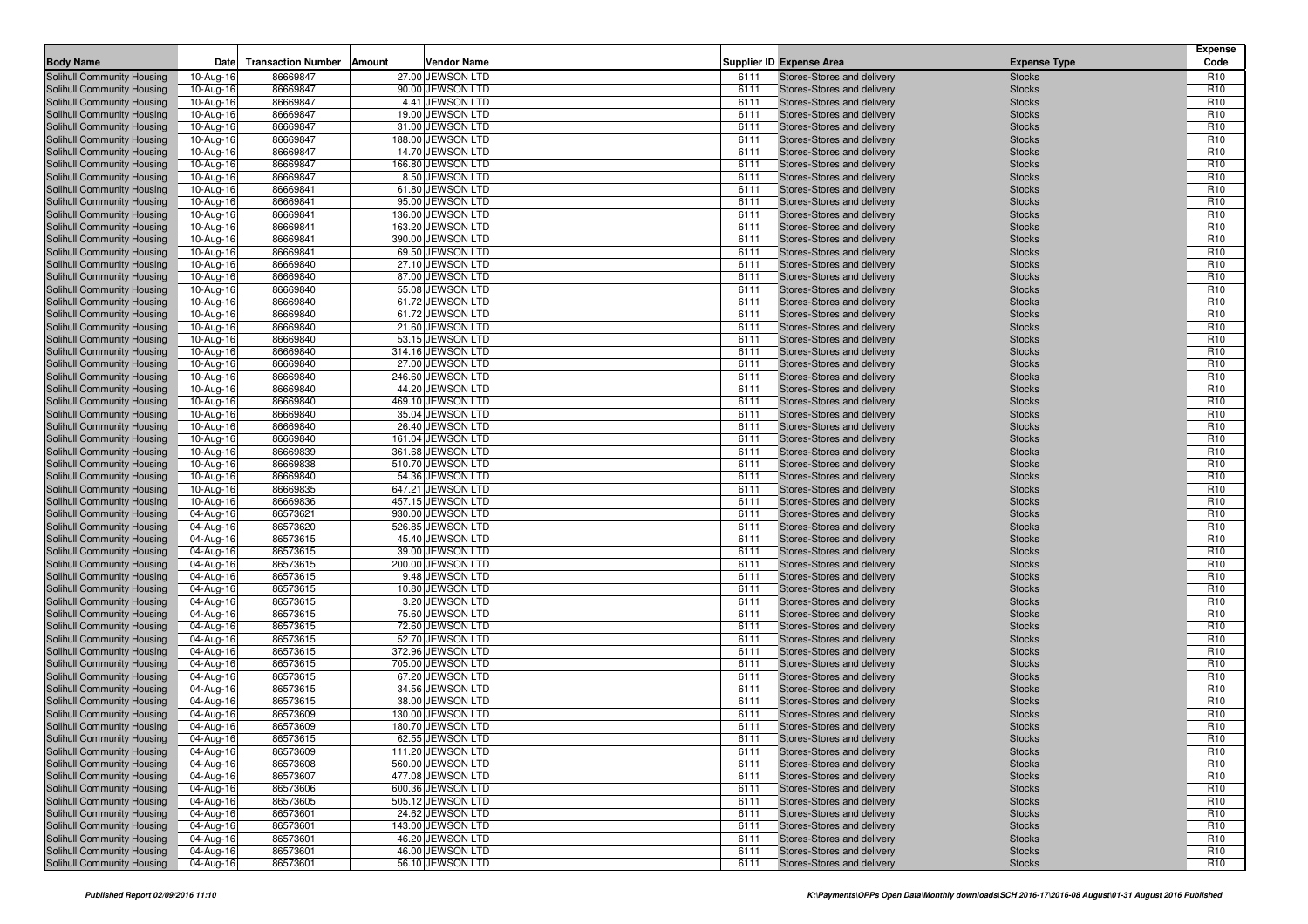| <b>Body Name</b>                                         | Date                    | <b>Transaction Number</b> | Amount | Vendor Name                           |              | <b>Supplier ID Expense Area</b>                          | <b>Expense Type</b>            | <b>Expense</b><br>Code             |
|----------------------------------------------------------|-------------------------|---------------------------|--------|---------------------------------------|--------------|----------------------------------------------------------|--------------------------------|------------------------------------|
| Solihull Community Housing                               | 10-Aug-16               | 86669847                  |        | 27.00 JEWSON LTD                      | 6111         | Stores-Stores and delivery                               | <b>Stocks</b>                  | R <sub>10</sub>                    |
| Solihull Community Housing                               | 10-Aug-16               | 86669847                  |        | 90.00 JEWSON LTD                      | 6111         | Stores-Stores and delivery                               | <b>Stocks</b>                  | R <sub>10</sub>                    |
| Solihull Community Housing                               | 10-Aug-16               | 86669847                  |        | 4.41 JEWSON LTD                       | 6111         | Stores-Stores and delivery                               | <b>Stocks</b>                  | R <sub>10</sub>                    |
| Solihull Community Housing                               | 10-Aug-16               | 86669847                  |        | 19.00 JEWSON LTD                      | 6111         | Stores-Stores and delivery                               | <b>Stocks</b>                  | R <sub>10</sub>                    |
| Solihull Community Housing                               | 10-Aug-16               | 86669847                  |        | 31.00 JEWSON LTD                      | 6111         | Stores-Stores and delivery                               | <b>Stocks</b>                  | R <sub>10</sub>                    |
| Solihull Community Housing                               | 10-Aug-16               | 86669847                  |        | 188.00 JEWSON LTD                     | 6111         | Stores-Stores and delivery                               | <b>Stocks</b>                  | R <sub>10</sub>                    |
| Solihull Community Housing                               | 10-Aug-16               | 86669847                  |        | 14.70 JEWSON LTD                      | 6111         | Stores-Stores and delivery                               | <b>Stocks</b>                  | R <sub>10</sub>                    |
| Solihull Community Housing                               | 10-Aug-16               | 86669847                  |        | 166.80 JEWSON LTD                     | 6111         | Stores-Stores and delivery                               | <b>Stocks</b>                  | R <sub>10</sub>                    |
| Solihull Community Housing                               | 10-Aug-16               | 86669847                  |        | 8.50 JEWSON LTD                       | 6111         | Stores-Stores and delivery                               | <b>Stocks</b>                  | R <sub>10</sub>                    |
| Solihull Community Housing                               | 10-Aug-16               | 86669841                  |        | 61.80 JEWSON LTD                      | 6111         | Stores-Stores and delivery                               | <b>Stocks</b>                  | R <sub>10</sub>                    |
| Solihull Community Housing                               | 10-Aug-16               | 86669841                  |        | 95.00 JEWSON LTD                      | 6111         | Stores-Stores and delivery                               | <b>Stocks</b>                  | R <sub>10</sub>                    |
| Solihull Community Housing                               | 10-Aug-16               | 86669841                  |        | 136.00 JEWSON LTD                     | 6111         | Stores-Stores and delivery                               | <b>Stocks</b>                  | R <sub>10</sub>                    |
| Solihull Community Housing                               | 10-Aug-16               | 86669841                  |        | 163.20 JEWSON LTD                     | 6111         | Stores-Stores and delivery                               | <b>Stocks</b>                  | R <sub>10</sub>                    |
| Solihull Community Housing                               | 10-Aug-16               | 86669841                  |        | 390.00 JEWSON LTD                     | 6111         | Stores-Stores and delivery                               | <b>Stocks</b>                  | R <sub>10</sub>                    |
| Solihull Community Housing                               | 10-Aug-16               | 86669841                  |        | 69.50 JEWSON LTD                      | 6111         | Stores-Stores and delivery                               | <b>Stocks</b>                  | R <sub>10</sub>                    |
| Solihull Community Housing                               | 10-Aug-16               | 86669840                  |        | 27.10 JEWSON LTD                      | 6111         | Stores-Stores and delivery                               | <b>Stocks</b>                  | R <sub>10</sub>                    |
| Solihull Community Housing                               | 10-Aug-16               | 86669840                  |        | 87.00 JEWSON LTD                      | 6111         | Stores-Stores and delivery                               | <b>Stocks</b>                  | R <sub>10</sub>                    |
| Solihull Community Housing                               | 10-Aug-16               | 86669840                  |        | 55.08 JEWSON LTD                      | 6111         | Stores-Stores and delivery                               | <b>Stocks</b>                  | R <sub>10</sub>                    |
| Solihull Community Housing                               | 10-Aug-16               | 86669840                  |        | 61.72 JEWSON LTD                      | 6111         | Stores-Stores and delivery                               | <b>Stocks</b>                  | R <sub>10</sub>                    |
| Solihull Community Housing                               | 10-Aug-16               | 86669840                  |        | 61.72 JEWSON LTD                      | 6111         | Stores-Stores and delivery                               | <b>Stocks</b>                  | R <sub>10</sub>                    |
| Solihull Community Housing                               | 10-Aug-16               | 86669840                  |        | 21.60 JEWSON LTD                      | 6111         | Stores-Stores and delivery                               | <b>Stocks</b>                  | R <sub>10</sub><br>R <sub>10</sub> |
| Solihull Community Housing<br>Solihull Community Housing | 10-Aug-16<br>10-Aug-16  | 86669840<br>86669840      |        | 53.15 JEWSON LTD<br>314.16 JEWSON LTD | 6111<br>6111 | Stores-Stores and delivery<br>Stores-Stores and delivery | <b>Stocks</b><br><b>Stocks</b> | R <sub>10</sub>                    |
|                                                          |                         | 86669840                  |        |                                       | 6111         | Stores-Stores and delivery                               |                                | R <sub>10</sub>                    |
| Solihull Community Housing<br>Solihull Community Housing | 10-Aug-16               | 86669840                  |        | 27.00 JEWSON LTD<br>246.60 JEWSON LTD | 6111         | Stores-Stores and delivery                               | <b>Stocks</b><br><b>Stocks</b> | R <sub>10</sub>                    |
| Solihull Community Housing                               | 10-Aug-16<br>10-Aug-16  | 86669840                  |        | 44.20 JEWSON LTD                      | 6111         | Stores-Stores and delivery                               | <b>Stocks</b>                  | R <sub>10</sub>                    |
| Solihull Community Housing                               | 10-Aug-16               | 86669840                  |        | 469.10 JEWSON LTD                     | 6111         | Stores-Stores and delivery                               | <b>Stocks</b>                  | R <sub>10</sub>                    |
| Solihull Community Housing                               | 10-Aug-16               | 86669840                  |        | 35.04 JEWSON LTD                      | 6111         | Stores-Stores and delivery                               | <b>Stocks</b>                  | R <sub>10</sub>                    |
| Solihull Community Housing                               | 10-Aug-16               | 86669840                  |        | 26.40 JEWSON LTD                      | 6111         | Stores-Stores and delivery                               | <b>Stocks</b>                  | R <sub>10</sub>                    |
| Solihull Community Housing                               | 10-Aug-16               | 86669840                  |        | 161.04 JEWSON LTD                     | 6111         | Stores-Stores and delivery                               | <b>Stocks</b>                  | R <sub>10</sub>                    |
| Solihull Community Housing                               | 10-Aug-16               | 86669839                  |        | 361.68 JEWSON LTD                     | 6111         | Stores-Stores and delivery                               | <b>Stocks</b>                  | R <sub>10</sub>                    |
| Solihull Community Housing                               | 10-Aug-16               | 86669838                  |        | 510.70 JEWSON LTD                     | 6111         | Stores-Stores and delivery                               | <b>Stocks</b>                  | R <sub>10</sub>                    |
| Solihull Community Housing                               | 10-Aug-16               | 86669840                  |        | 54.36 JEWSON LTD                      | 6111         | Stores-Stores and delivery                               | <b>Stocks</b>                  | R <sub>10</sub>                    |
| Solihull Community Housing                               | 10-Aug-16               | 86669835                  |        | 647.21 JEWSON LTD                     | 6111         | Stores-Stores and delivery                               | <b>Stocks</b>                  | R <sub>10</sub>                    |
| Solihull Community Housing                               | 10-Aug-16               | 86669836                  |        | 457.15 JEWSON LTD                     | 6111         | Stores-Stores and delivery                               | <b>Stocks</b>                  | R <sub>10</sub>                    |
| Solihull Community Housing                               | 04-Aug-16               | 86573621                  |        | 930.00 JEWSON LTD                     | 6111         | Stores-Stores and delivery                               | <b>Stocks</b>                  | R <sub>10</sub>                    |
| Solihull Community Housing                               | 04-Aug-16               | 86573620                  |        | 526.85 JEWSON LTD                     | 6111         | Stores-Stores and delivery                               | <b>Stocks</b>                  | R <sub>10</sub>                    |
| Solihull Community Housing                               | 04-Aug-16               | 86573615                  |        | 45.40 JEWSON LTD                      | 6111         | Stores-Stores and delivery                               | <b>Stocks</b>                  | R <sub>10</sub>                    |
| <b>Solihull Community Housing</b>                        | 04-Aug-16               | 86573615                  |        | 39.00 JEWSON LTD                      | 6111         | Stores-Stores and delivery                               | <b>Stocks</b>                  | R <sub>10</sub>                    |
| Solihull Community Housing                               | 04-Aug-16               | 86573615                  |        | 200.00 JEWSON LTD                     | 6111         | Stores-Stores and delivery                               | <b>Stocks</b>                  | R <sub>10</sub>                    |
| Solihull Community Housing                               | 04-Aug-16               | 86573615                  |        | 9.48 JEWSON LTD                       | 6111         | Stores-Stores and delivery                               | <b>Stocks</b>                  | R <sub>10</sub>                    |
| Solihull Community Housing                               | 04-Aug-16               | 86573615                  |        | 10.80 JEWSON LTD                      | 6111         | Stores-Stores and delivery                               | <b>Stocks</b>                  | R <sub>10</sub>                    |
| Solihull Community Housing                               | 04-Aug-16               | 86573615                  |        | 3.20 JEWSON LTD                       | 6111         | Stores-Stores and delivery                               | <b>Stocks</b>                  | R <sub>10</sub>                    |
| Solihull Community Housing                               | 04-Aug-16               | 86573615                  |        | 75.60 JEWSON LTD                      | 6111         | Stores-Stores and delivery                               | <b>Stocks</b>                  | R <sub>10</sub>                    |
| Solihull Community Housing                               | 04-Aug-16               | 86573615                  |        | 72.60 JEWSON LTD                      | 6111         | Stores-Stores and delivery                               | <b>Stocks</b>                  | R <sub>10</sub>                    |
| Solihull Community Housing                               | 04-Aug-16               | 86573615                  |        | 52.70 JEWSON LTD                      | 6111         | Stores-Stores and delivery                               | <b>Stocks</b>                  | R <sub>10</sub>                    |
| Solihull Community Housing                               | 04-Aug-16               | 86573615                  |        | 372.96 JEWSON LTD                     | 6111         | Stores-Stores and delivery                               | <b>Stocks</b>                  | R <sub>10</sub>                    |
| Solihull Community Housing                               | 04-Aug-16               | 86573615                  |        | 705.00 JEWSON LTD                     | 6111         | Stores-Stores and delivery                               | <b>Stocks</b>                  | R <sub>10</sub>                    |
| Solihull Community Housing                               | 04-Aug-16               | 86573615                  |        | 67.20 JEWSON LTD                      | 6111         | Stores-Stores and delivery                               | <b>Stocks</b>                  | R <sub>10</sub>                    |
| Solihull Community Housing                               | 04-Aug-16               | 86573615<br>86573615      |        | 34.56 JEWSON LTD                      | 6111         | Stores-Stores and delivery                               | <b>Stocks</b>                  | R <sub>10</sub><br>R <sub>10</sub> |
| Solihull Community Housing<br>Solihull Community Housing | 04-Aug-16               | 86573609                  |        | 38.00 JEWSON LTD<br>130.00 JEWSON LTD | 6111<br>6111 | Stores-Stores and delivery<br>Stores-Stores and delivery | <b>Stocks</b><br><b>Stocks</b> | R <sub>10</sub>                    |
| Solihull Community Housing                               | 04-Aug-16<br>04-Aug-16  | 86573609                  |        | 180.70 JEWSON LTD                     | 6111         | Stores-Stores and delivery                               | <b>Stocks</b>                  | R <sub>10</sub>                    |
| Solihull Community Housing                               | $\overline{04}$ -Aug-16 | 86573615                  |        | 62.55 JEWSON LTD                      | 6111         | Stores-Stores and delivery                               | <b>Stocks</b>                  | R <sub>10</sub>                    |
| Solihull Community Housing                               |                         | 86573609                  |        | 111.20 JEWSON LTD                     | 6111         | Stores-Stores and delivery                               | <b>Stocks</b>                  | R <sub>10</sub>                    |
| Solihull Community Housing                               | 04-Aug-16<br>04-Aug-16  | 86573608                  |        | 560.00 JEWSON LTD                     | 6111         | Stores-Stores and delivery                               | <b>Stocks</b>                  | R <sub>10</sub>                    |
| Solihull Community Housing                               | 04-Aug-16               | 86573607                  |        | 477.08 JEWSON LTD                     | 6111         | Stores-Stores and delivery                               | <b>Stocks</b>                  | R <sub>10</sub>                    |
| Solihull Community Housing                               | 04-Aug-16               | 86573606                  |        | 600.36 JEWSON LTD                     | 6111         | Stores-Stores and delivery                               | <b>Stocks</b>                  | R <sub>10</sub>                    |
| Solihull Community Housing                               | 04-Aug-16               | 86573605                  |        | 505.12 JEWSON LTD                     | 6111         | Stores-Stores and delivery                               | <b>Stocks</b>                  | R <sub>10</sub>                    |
| Solihull Community Housing                               | 04-Aug-16               | 86573601                  |        | 24.62 JEWSON LTD                      | 6111         | Stores-Stores and delivery                               | <b>Stocks</b>                  | R <sub>10</sub>                    |
| Solihull Community Housing                               | 04-Aug-16               | 86573601                  |        | 143.00 JEWSON LTD                     | 6111         | Stores-Stores and delivery                               | <b>Stocks</b>                  | R <sub>10</sub>                    |
| Solihull Community Housing                               | 04-Aug-16               | 86573601                  |        | 46.20 JEWSON LTD                      | 6111         | Stores-Stores and delivery                               | <b>Stocks</b>                  | R <sub>10</sub>                    |
| Solihull Community Housing                               | 04-Aug-16               | 86573601                  |        | 46.00 JEWSON LTD                      | 6111         | Stores-Stores and delivery                               | <b>Stocks</b>                  | R <sub>10</sub>                    |
| Solihull Community Housing                               | 04-Aug-16               | 86573601                  |        | 56.10 JEWSON LTD                      | 6111         | Stores-Stores and delivery                               | <b>Stocks</b>                  | R <sub>10</sub>                    |
|                                                          |                         |                           |        |                                       |              |                                                          |                                |                                    |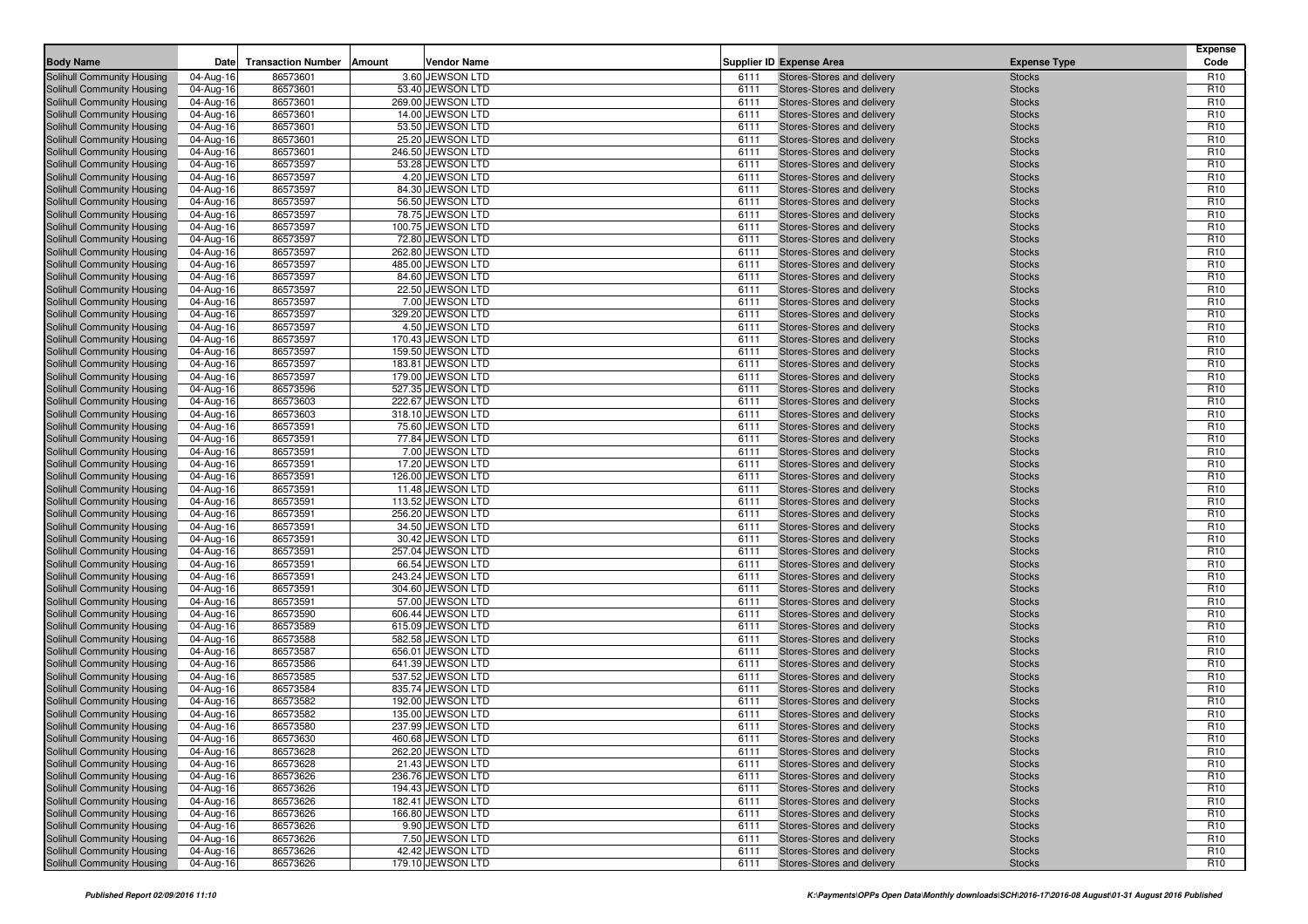| <b>Body Name</b>                                         | Date                    | <b>Transaction Number</b><br>Amount | <b>Vendor Name</b>                     |              | <b>Supplier ID Expense Area</b>                          | <b>Expense Type</b>            | <b>Expense</b><br>Code             |
|----------------------------------------------------------|-------------------------|-------------------------------------|----------------------------------------|--------------|----------------------------------------------------------|--------------------------------|------------------------------------|
|                                                          | 04-Aug-16               | 86573601                            | 3.60 JEWSON LTD                        | 6111         | Stores-Stores and delivery                               |                                | R <sub>10</sub>                    |
| Solihull Community Housing<br>Solihull Community Housing | 04-Aug-16               | 86573601                            | 53.40 JEWSON LTD                       | 6111         | Stores-Stores and delivery                               | <b>Stocks</b><br><b>Stocks</b> | R <sub>10</sub>                    |
| Solihull Community Housing                               | 04-Aug-16               | 86573601                            | 269.00 JEWSON LTD                      | 6111         | Stores-Stores and delivery                               | <b>Stocks</b>                  | R <sub>10</sub>                    |
| Solihull Community Housing                               | 04-Aug-16               | 86573601                            | 14.00 JEWSON LTD                       | 6111         | Stores-Stores and delivery                               | <b>Stocks</b>                  | R <sub>10</sub>                    |
| Solihull Community Housing                               | 04-Aug-16               | 86573601                            | 53.50 JEWSON LTD                       | 6111         | Stores-Stores and delivery                               | <b>Stocks</b>                  | R <sub>10</sub>                    |
| Solihull Community Housing                               | 04-Aug-16               | 86573601                            | 25.20 JEWSON LTD                       | 6111         | Stores-Stores and delivery                               | <b>Stocks</b>                  | R <sub>10</sub>                    |
| Solihull Community Housing                               | 04-Aug-16               | 86573601                            | 246.50 JEWSON LTD                      | 6111         | Stores-Stores and delivery                               | <b>Stocks</b>                  | R <sub>10</sub>                    |
| Solihull Community Housing                               | 04-Aug-16               | 86573597                            | 53.28 JEWSON LTD                       | 6111         | Stores-Stores and delivery                               | <b>Stocks</b>                  | R <sub>10</sub>                    |
| Solihull Community Housing                               | 04-Aug-16               | 86573597                            | 4.20 JEWSON LTD                        | 6111         | Stores-Stores and delivery                               | <b>Stocks</b>                  | R <sub>10</sub>                    |
| Solihull Community Housing                               | 04-Aug-16               | 86573597                            | 84.30 JEWSON LTD                       | 6111         | Stores-Stores and delivery                               | <b>Stocks</b>                  | R <sub>10</sub>                    |
| Solihull Community Housing                               | 04-Aug-16               | 86573597                            | 56.50 JEWSON LTD                       | 6111         | Stores-Stores and delivery                               | <b>Stocks</b>                  | R <sub>10</sub>                    |
| Solihull Community Housing                               | 04-Aug-16               | 86573597                            | 78.75 JEWSON LTD                       | 6111         | Stores-Stores and delivery                               | <b>Stocks</b>                  | R <sub>10</sub>                    |
| Solihull Community Housing                               | 04-Aug-16               | 86573597                            | 100.75 JEWSON LTD                      | 6111         | Stores-Stores and delivery                               | <b>Stocks</b>                  | R <sub>10</sub>                    |
| Solihull Community Housing                               | 04-Aug-16               | 86573597                            | 72.80 JEWSON LTD                       | 6111         | Stores-Stores and delivery                               | <b>Stocks</b>                  | R <sub>10</sub>                    |
| Solihull Community Housing                               | 04-Aug-16               | 86573597                            | 262.80 JEWSON LTD                      | 6111         | Stores-Stores and delivery                               | <b>Stocks</b>                  | R <sub>10</sub>                    |
| Solihull Community Housing                               | 04-Aug-16               | 86573597                            | 485.00 JEWSON LTD                      | 6111         | Stores-Stores and delivery                               | <b>Stocks</b>                  | R <sub>10</sub>                    |
| Solihull Community Housing                               | 04-Aug-16               | 86573597                            | 84.60 JEWSON LTD                       | 6111         | Stores-Stores and delivery                               | <b>Stocks</b>                  | R <sub>10</sub>                    |
| Solihull Community Housing                               | 04-Aug-16               | 86573597                            | 22.50 JEWSON LTD                       | 6111         | Stores-Stores and delivery                               | <b>Stocks</b>                  | R <sub>10</sub>                    |
| Solihull Community Housing                               | 04-Aug-16               | 86573597                            | 7.00 JEWSON LTD                        | 6111         | Stores-Stores and delivery                               | <b>Stocks</b>                  | R <sub>10</sub>                    |
| Solihull Community Housing                               | 04-Aug-16               | 86573597                            | 329.20 JEWSON LTD                      | 6111         | Stores-Stores and delivery                               | <b>Stocks</b>                  | R <sub>10</sub>                    |
| Solihull Community Housing                               | 04-Aug-16               | 86573597                            | 4.50 JEWSON LTD<br>170.43 JEWSON LTD   | 6111<br>6111 | Stores-Stores and delivery                               | <b>Stocks</b>                  | R <sub>10</sub><br>R <sub>10</sub> |
| Solihull Community Housing<br>Solihull Community Housing | 04-Aug-16<br>04-Aug-16  | 86573597<br>86573597                | 159.50 JEWSON LTD                      | 6111         | Stores-Stores and delivery<br>Stores-Stores and delivery | <b>Stocks</b><br><b>Stocks</b> | R <sub>10</sub>                    |
| Solihull Community Housing                               | 04-Aug-16               | 86573597                            | 183.81 JEWSON LTD                      | 6111         | Stores-Stores and delivery                               | <b>Stocks</b>                  | R <sub>10</sub>                    |
| Solihull Community Housing                               | 04-Aug-16               | 86573597                            | 179.00 JEWSON LTD                      | 6111         | Stores-Stores and delivery                               | <b>Stocks</b>                  | R <sub>10</sub>                    |
| Solihull Community Housing                               | 04-Aug-16               | 86573596                            | 527.35 JEWSON LTD                      | 6111         | Stores-Stores and delivery                               | <b>Stocks</b>                  | R <sub>10</sub>                    |
| Solihull Community Housing                               | 04-Aug-16               | 86573603                            | 222.67 JEWSON LTD                      | 6111         | Stores-Stores and delivery                               | <b>Stocks</b>                  | R <sub>10</sub>                    |
| Solihull Community Housing                               | 04-Aug-16               | 86573603                            | 318.10 JEWSON LTD                      | 6111         | Stores-Stores and delivery                               | <b>Stocks</b>                  | R <sub>10</sub>                    |
| Solihull Community Housing                               | 04-Aug-16               | 86573591                            | 75.60 JEWSON LTD                       | 6111         | Stores-Stores and delivery                               | <b>Stocks</b>                  | R <sub>10</sub>                    |
| Solihull Community Housing                               | 04-Aug-16               | 86573591                            | 77.84 JEWSON LTD                       | 6111         | Stores-Stores and delivery                               | <b>Stocks</b>                  | R <sub>10</sub>                    |
| Solihull Community Housing                               | 04-Aug-16               | 86573591                            | 7.00 JEWSON LTD                        | 6111         | Stores-Stores and delivery                               | <b>Stocks</b>                  | R <sub>10</sub>                    |
| Solihull Community Housing                               | 04-Aug-16               | 86573591                            | 17.20 JEWSON LTD                       | 6111         | Stores-Stores and delivery                               | <b>Stocks</b>                  | R <sub>10</sub>                    |
| Solihull Community Housing                               | 04-Aug-16               | 86573591                            | 126.00 JEWSON LTD                      | 6111         | Stores-Stores and delivery                               | <b>Stocks</b>                  | R <sub>10</sub>                    |
| Solihull Community Housing                               | 04-Aug-16               | 86573591                            | 11.48 JEWSON LTD                       | 6111         | Stores-Stores and delivery                               | <b>Stocks</b>                  | R <sub>10</sub>                    |
| Solihull Community Housing                               | 04-Aug-16               | 86573591                            | 113.52 JEWSON LTD                      | 6111         | Stores-Stores and delivery                               | <b>Stocks</b>                  | R <sub>10</sub>                    |
| Solihull Community Housing                               | 04-Aug-16               | 86573591                            | 256.20 JEWSON LTD                      | 6111         | Stores-Stores and delivery                               | <b>Stocks</b>                  | R <sub>10</sub>                    |
| <b>Solihull Community Housing</b>                        | 04-Aug-16               | 86573591                            | 34.50 JEWSON LTD                       | 6111         | Stores-Stores and delivery                               | <b>Stocks</b>                  | R <sub>10</sub>                    |
| Solihull Community Housing                               | 04-Aug-16               | 86573591                            | 30.42 JEWSON LTD                       | 6111         | Stores-Stores and delivery                               | <b>Stocks</b>                  | R <sub>10</sub>                    |
| Solihull Community Housing                               | 04-Aug-16               | 86573591                            | 257.04 JEWSON LTD                      | 6111         | Stores-Stores and delivery                               | <b>Stocks</b>                  | R <sub>10</sub>                    |
| Solihull Community Housing                               | 04-Aug-16               | 86573591                            | 66.54 JEWSON LTD                       | 6111         | Stores-Stores and delivery                               | <b>Stocks</b>                  | R <sub>10</sub>                    |
| Solihull Community Housing                               | 04-Aug-16               | 86573591                            | 243.24 JEWSON LTD                      | 6111         | Stores-Stores and delivery                               | <b>Stocks</b>                  | R <sub>10</sub>                    |
| Solihull Community Housing                               | 04-Aug-16               | 86573591                            | 304.60 JEWSON LTD                      | 6111         | Stores-Stores and delivery                               | <b>Stocks</b>                  | R <sub>10</sub>                    |
| Solihull Community Housing                               | 04-Aug-16               | 86573591                            | 57.00 JEWSON LTD                       | 6111         | Stores-Stores and delivery                               | <b>Stocks</b>                  | R <sub>10</sub>                    |
| Solihull Community Housing<br>Solihull Community Housing | 04-Aug-16<br>04-Aug-16  | 86573590<br>86573589                | 606.44 JEWSON LTD<br>615.09 JEWSON LTD | 6111<br>6111 | Stores-Stores and delivery<br>Stores-Stores and delivery | <b>Stocks</b><br><b>Stocks</b> | R <sub>10</sub><br>R <sub>10</sub> |
| Solihull Community Housing                               | 04-Aug-16               | 86573588                            | 582.58 JEWSON LTD                      | 6111         | Stores-Stores and delivery                               | <b>Stocks</b>                  | R <sub>10</sub>                    |
| Solihull Community Housing                               | 04-Aug-16               | 86573587                            | 656.01 JEWSON LTD                      | 6111         | Stores-Stores and delivery                               | <b>Stocks</b>                  | R <sub>10</sub>                    |
| Solihull Community Housing                               | 04-Aug-16               | 86573586                            | 641.39 JEWSON LTD                      | 6111         | Stores-Stores and delivery                               | <b>Stocks</b>                  | R <sub>10</sub>                    |
| Solihull Community Housing                               | 04-Aug-16               | 86573585                            | 537.52 JEWSON LTD                      | 6111         | Stores-Stores and delivery                               | <b>Stocks</b>                  | R <sub>10</sub>                    |
| Solihull Community Housing                               | 04-Aug-16               | 86573584                            | 835.74 JEWSON LTD                      | 6111         | Stores-Stores and delivery                               | <b>Stocks</b>                  | R <sub>10</sub>                    |
| Solihull Community Housing                               | 04-Aug-16               | 86573582                            | 192.00 JEWSON LTD                      | 6111         | Stores-Stores and delivery                               | <b>Stocks</b>                  | R <sub>10</sub>                    |
| Solihull Community Housing                               | 04-Aug-16               | 86573582                            | 135.00 JEWSON LTD                      | 6111         | Stores-Stores and delivery                               | <b>Stocks</b>                  | R <sub>10</sub>                    |
| Solihull Community Housing                               | 04-Aug-16               | 86573580                            | 237.99 JEWSON LTD                      | 6111         | Stores-Stores and delivery                               | <b>Stocks</b>                  | R <sub>10</sub>                    |
| Solihull Community Housing                               | $\overline{04}$ -Aug-16 | 86573630                            | 460.68 JEWSON LTD                      | 6111         | Stores-Stores and delivery                               | <b>Stocks</b>                  | R <sub>10</sub>                    |
| Solihull Community Housing                               | 04-Aug-16               | 86573628                            | 262.20 JEWSON LTD                      | 6111         | Stores-Stores and delivery                               | <b>Stocks</b>                  | R <sub>10</sub>                    |
| Solihull Community Housing                               | 04-Aug-16               | 86573628                            | 21.43 JEWSON LTD                       | 6111         | Stores-Stores and delivery                               | <b>Stocks</b>                  | R <sub>10</sub>                    |
| Solihull Community Housing                               | 04-Aug-16               | 86573626                            | 236.76 JEWSON LTD                      | 6111         | Stores-Stores and delivery                               | <b>Stocks</b>                  | R <sub>10</sub>                    |
| Solihull Community Housing                               | 04-Aug-16               | 86573626                            | 194.43 JEWSON LTD                      | 6111         | Stores-Stores and delivery                               | <b>Stocks</b>                  | R <sub>10</sub>                    |
| Solihull Community Housing                               | 04-Aug-16               | 86573626                            | 182.41 JEWSON LTD                      | 6111         | Stores-Stores and delivery                               | <b>Stocks</b>                  | R <sub>10</sub>                    |
| Solihull Community Housing                               | 04-Aug-16               | 86573626                            | 166.80 JEWSON LTD                      | 6111         | Stores-Stores and delivery                               | <b>Stocks</b>                  | R <sub>10</sub>                    |
| Solihull Community Housing                               | 04-Aug-16               | 86573626                            | 9.90 JEWSON LTD                        | 6111         | Stores-Stores and delivery                               | <b>Stocks</b>                  | R <sub>10</sub>                    |
| Solihull Community Housing                               | 04-Aug-16               | 86573626                            | 7.50 JEWSON LTD                        | 6111         | Stores-Stores and delivery                               | <b>Stocks</b>                  | R <sub>10</sub>                    |
| Solihull Community Housing                               | 04-Aug-16               | 86573626                            | 42.42 JEWSON LTD                       | 6111         | Stores-Stores and delivery                               | <b>Stocks</b>                  | R <sub>10</sub>                    |
| Solihull Community Housing                               | 04-Aug-16               | 86573626                            | 179.10 JEWSON LTD                      | 6111         | Stores-Stores and delivery                               | <b>Stocks</b>                  | R <sub>10</sub>                    |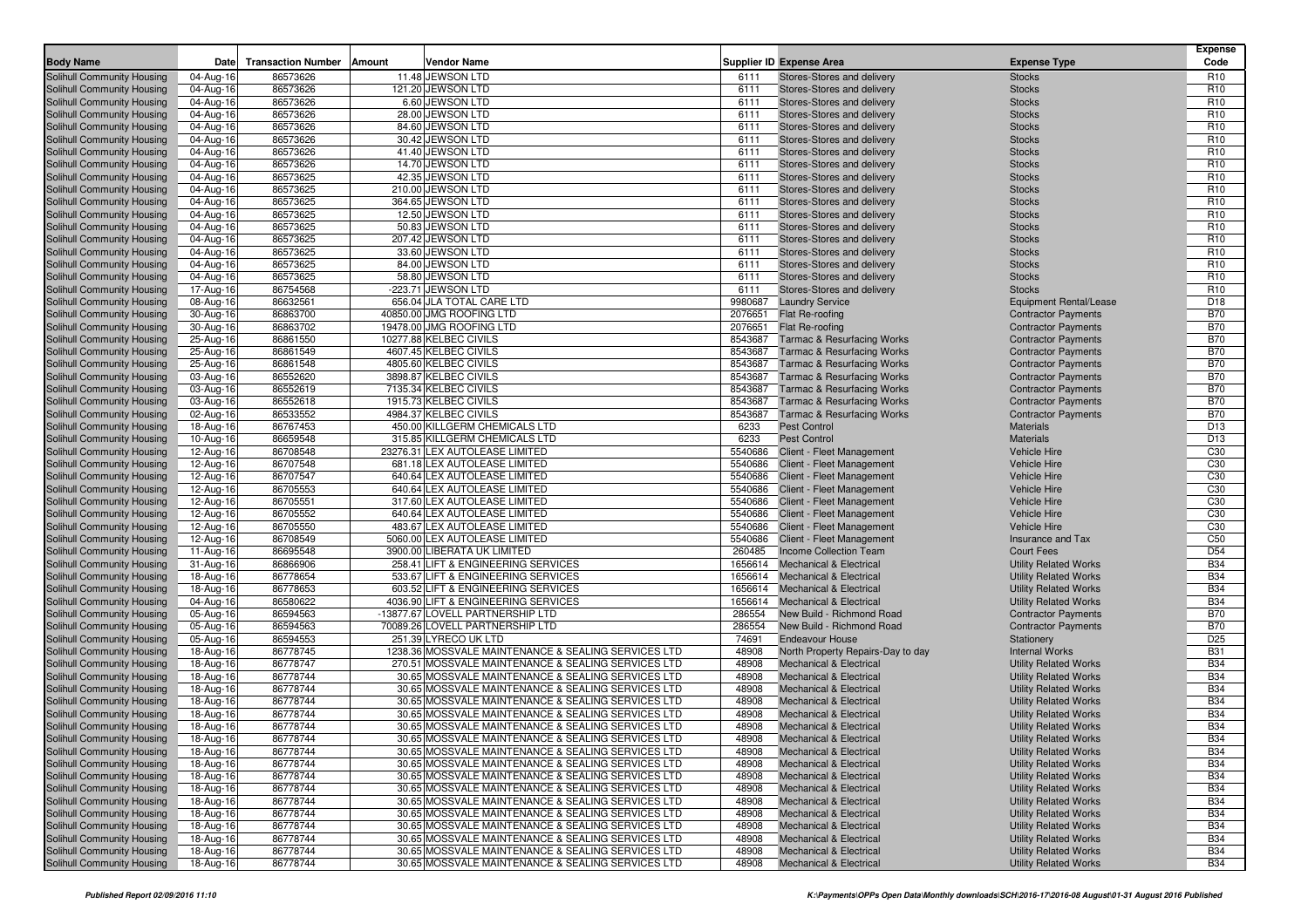|                                                          |                        |                           |        |                                                                                                        |                    |                                                                          |                                                              | <b>Expense</b>                     |
|----------------------------------------------------------|------------------------|---------------------------|--------|--------------------------------------------------------------------------------------------------------|--------------------|--------------------------------------------------------------------------|--------------------------------------------------------------|------------------------------------|
| <b>Body Name</b>                                         | Date                   | <b>Transaction Number</b> | Amount | Vendor Name                                                                                            |                    | <b>Supplier ID Expense Area</b>                                          | <b>Expense Type</b>                                          | Code                               |
| Solihull Community Housing                               | 04-Aug-16              | 86573626                  |        | 11.48 JEWSON LTD                                                                                       | 6111               | Stores-Stores and delivery                                               | <b>Stocks</b>                                                | R <sub>10</sub>                    |
| Solihull Community Housing                               | 04-Aug-16              | 86573626                  |        | 121.20 JEWSON LTD                                                                                      | 6111               | Stores-Stores and delivery                                               | <b>Stocks</b>                                                | R <sub>10</sub>                    |
| Solihull Community Housing                               | 04-Aug-16              | 86573626                  |        | 6.60 JEWSON LTD                                                                                        | 6111               | Stores-Stores and delivery                                               | <b>Stocks</b>                                                | R <sub>10</sub>                    |
| Solihull Community Housing                               | 04-Aug-16              | 86573626                  |        | 28.00 JEWSON LTD                                                                                       | 6111               | Stores-Stores and delivery                                               | <b>Stocks</b>                                                | R <sub>10</sub>                    |
| Solihull Community Housing                               | 04-Aug-16              | 86573626                  |        | 84.60 JEWSON LTD                                                                                       | 6111               | Stores-Stores and delivery                                               | <b>Stocks</b>                                                | R <sub>10</sub>                    |
| Solihull Community Housing                               | 04-Aug-16              | 86573626                  |        | 30.42 JEWSON LTD                                                                                       | 6111               | Stores-Stores and delivery                                               | <b>Stocks</b>                                                | R <sub>10</sub>                    |
| Solihull Community Housing                               | 04-Aug-16              | 86573626                  |        | 41.40 JEWSON LTD                                                                                       | 6111               | Stores-Stores and delivery                                               | <b>Stocks</b>                                                | R <sub>10</sub><br>R <sub>10</sub> |
| Solihull Community Housing<br>Solihull Community Housing | 04-Aug-16<br>04-Aug-16 | 86573626<br>86573625      |        | 14.70 JEWSON LTD<br>42.35 JEWSON LTD                                                                   | 6111<br>6111       | Stores-Stores and delivery<br>Stores-Stores and delivery                 | <b>Stocks</b><br><b>Stocks</b>                               | R <sub>10</sub>                    |
| Solihull Community Housing                               | 04-Aug-16              | 86573625                  |        | 210.00 JEWSON LTD                                                                                      | 6111               | Stores-Stores and delivery                                               | <b>Stocks</b>                                                | R <sub>10</sub>                    |
| Solihull Community Housing                               | 04-Aug-16              | 86573625                  |        | 364.65 JEWSON LTD                                                                                      | 6111               | Stores-Stores and delivery                                               | <b>Stocks</b>                                                | R <sub>10</sub>                    |
| Solihull Community Housing                               | 04-Aug-16              | 86573625                  |        | 12.50 JEWSON LTD                                                                                       | 6111               | Stores-Stores and delivery                                               | <b>Stocks</b>                                                | R <sub>10</sub>                    |
| Solihull Community Housing                               | 04-Aug-16              | 86573625                  |        | 50.83 JEWSON LTD                                                                                       | 6111               | Stores-Stores and delivery                                               | <b>Stocks</b>                                                | R <sub>10</sub>                    |
| Solihull Community Housing                               | 04-Aug-16              | 86573625                  |        | 207.42 JEWSON LTD                                                                                      | 6111               | Stores-Stores and delivery                                               | <b>Stocks</b>                                                | R <sub>10</sub>                    |
| Solihull Community Housing                               | 04-Aug-16              | 86573625                  |        | 33.60 JEWSON LTD                                                                                       | 6111               | Stores-Stores and delivery                                               | <b>Stocks</b>                                                | R <sub>10</sub>                    |
| Solihull Community Housing                               | 04-Aug-16              | 86573625                  |        | 84.00 JEWSON LTD                                                                                       | 6111               | Stores-Stores and delivery                                               | <b>Stocks</b>                                                | R <sub>10</sub>                    |
| Solihull Community Housing                               | 04-Aug-16              | 86573625                  |        | 58.80 JEWSON LTD                                                                                       | 6111               | Stores-Stores and delivery                                               | <b>Stocks</b>                                                | R <sub>10</sub>                    |
| Solihull Community Housing                               | 17-Aug-16              | 86754568                  |        | -223.71 JEWSON LTD                                                                                     | 6111               | Stores-Stores and delivery                                               | <b>Stocks</b>                                                | R <sub>10</sub>                    |
| Solihull Community Housing                               | 08-Aug-16              | 86632561                  |        | 656.04 JLA TOTAL CARE LTD                                                                              | 9980687            | <b>Laundry Service</b>                                                   | <b>Equipment Rental/Lease</b>                                | D <sub>18</sub>                    |
| Solihull Community Housing                               | 30-Aug-16              | 86863700                  |        | 40850.00 JMG ROOFING LTD                                                                               | 2076651            | Flat Re-roofing                                                          | <b>Contractor Payments</b>                                   | <b>B70</b>                         |
| Solihull Community Housing                               | 30-Aug-16              | 86863702                  |        | 19478.00 JMG ROOFING LTD                                                                               | 2076651            | Flat Re-roofing                                                          | <b>Contractor Payments</b>                                   | <b>B70</b>                         |
| Solihull Community Housing                               | 25-Aug-16              | 86861550                  |        | 10277.88 KELBEC CIVILS                                                                                 | 8543687            | <b>Tarmac &amp; Resurfacing Works</b>                                    | <b>Contractor Payments</b>                                   | <b>B70</b>                         |
| Solihull Community Housing                               | 25-Aug-16              | 86861549                  |        | 4607.45 KELBEC CIVILS                                                                                  | 8543687            | <b>Tarmac &amp; Resurfacing Works</b>                                    | <b>Contractor Payments</b>                                   | <b>B70</b>                         |
| Solihull Community Housing                               | 25-Aug-16              | 86861548                  |        | 4805.60 KELBEC CIVILS                                                                                  | 8543687            | <b>Tarmac &amp; Resurfacing Works</b>                                    | <b>Contractor Payments</b>                                   | <b>B70</b>                         |
| Solihull Community Housing                               | 03-Aug-16              | 86552620                  |        | 3898.87 KELBEC CIVILS                                                                                  | 8543687            | <b>Tarmac &amp; Resurfacing Works</b>                                    | <b>Contractor Payments</b>                                   | <b>B70</b>                         |
| Solihull Community Housing                               | 03-Aug-16              | 86552619                  |        | 7135.34 KELBEC CIVILS                                                                                  | 8543687            | <b>Tarmac &amp; Resurfacing Works</b>                                    | <b>Contractor Payments</b>                                   | <b>B70</b>                         |
| Solihull Community Housing                               | 03-Aug-16              | 86552618                  |        | 1915.73 KELBEC CIVILS                                                                                  | 8543687            | <b>Tarmac &amp; Resurfacing Works</b>                                    | <b>Contractor Payments</b>                                   | <b>B70</b>                         |
| Solihull Community Housing                               | 02-Aug-16              | 86533552                  |        | 4984.37 KELBEC CIVILS                                                                                  | 8543687            | <b>Tarmac &amp; Resurfacing Works</b>                                    | <b>Contractor Payments</b>                                   | <b>B70</b>                         |
| Solihull Community Housing                               | 18-Aug-16              | 86767453                  |        | 450.00 KILLGERM CHEMICALS LTD                                                                          | 6233               | <b>Pest Control</b>                                                      | <b>Materials</b>                                             | D <sub>13</sub>                    |
| Solihull Community Housing                               | 10-Aug-16              | 86659548                  |        | 315.85 KILLGERM CHEMICALS LTD                                                                          | 6233               | <b>Pest Control</b>                                                      | <b>Materials</b>                                             | D <sub>13</sub>                    |
| Solihull Community Housing                               | 12-Aug-16              | 86708548                  |        | 23276.31 LEX AUTOLEASE LIMITED<br>681.18 LEX AUTOLEASE LIMITED                                         | 5540686            | Client - Fleet Management                                                | <b>Vehicle Hire</b>                                          | C <sub>30</sub>                    |
| Solihull Community Housing<br>Solihull Community Housing | 12-Aug-16              | 86707548<br>86707547      |        | 640.64 LEX AUTOLEASE LIMITED                                                                           | 5540686            | Client - Fleet Management<br>Client - Fleet Management                   | <b>Vehicle Hire</b>                                          | C <sub>30</sub>                    |
| Solihull Community Housing                               | 12-Aug-16<br>12-Aug-16 | 86705553                  |        | 640.64 LEX AUTOLEASE LIMITED                                                                           | 5540686<br>5540686 | Client - Fleet Management                                                | Vehicle Hire<br><b>Vehicle Hire</b>                          | C <sub>30</sub><br>C <sub>30</sub> |
| Solihull Community Housing                               | 12-Aug-16              | 86705551                  |        | 317.60 LEX AUTOLEASE LIMITED                                                                           | 5540686            | Client - Fleet Management                                                | <b>Vehicle Hire</b>                                          | C30                                |
| Solihull Community Housing                               | 12-Aug-16              | 86705552                  |        | 640.64 LEX AUTOLEASE LIMITED                                                                           | 5540686            | Client - Fleet Management                                                | Vehicle Hire                                                 | C <sub>30</sub>                    |
| Solihull Community Housing                               | 12-Aug-16              | 86705550                  |        | 483.67 LEX AUTOLEASE LIMITED                                                                           | 5540686            | Client - Fleet Management                                                | <b>Vehicle Hire</b>                                          | C <sub>30</sub>                    |
| Solihull Community Housing                               | 12-Aug-16              | 86708549                  |        | 5060.00 LEX AUTOLEASE LIMITED                                                                          | 5540686            | Client - Fleet Management                                                | Insurance and Tax                                            | C <sub>50</sub>                    |
| Solihull Community Housing                               | 11-Aug-16              | 86695548                  |        | 3900.00 LIBERATA UK LIMITED                                                                            | 260485             | Income Collection Team                                                   | <b>Court Fees</b>                                            | D <sub>54</sub>                    |
| Solihull Community Housing                               | 31-Aug-16              | 86866906                  |        | 258.41 LIFT & ENGINEERING SERVICES                                                                     | 1656614            | <b>Mechanical &amp; Electrical</b>                                       | <b>Utility Related Works</b>                                 | <b>B34</b>                         |
| Solihull Community Housing                               | 18-Aug-16              | 86778654                  |        | 533.67 LIFT & ENGINEERING SERVICES                                                                     | 1656614            | <b>Mechanical &amp; Electrical</b>                                       | <b>Utility Related Works</b>                                 | <b>B34</b>                         |
| Solihull Community Housing                               | 18-Aug-16              | 86778653                  |        | 603.52 LIFT & ENGINEERING SERVICES                                                                     | 1656614            | <b>Mechanical &amp; Electrical</b>                                       | <b>Utility Related Works</b>                                 | <b>B34</b>                         |
| Solihull Community Housing                               | 04-Aug-16              | 86580622                  |        | 4036.90 LIFT & ENGINEERING SERVICES                                                                    | 1656614            | <b>Mechanical &amp; Electrical</b>                                       | <b>Utility Related Works</b>                                 | <b>B34</b>                         |
| Solihull Community Housing                               | 05-Aug-16              | 86594563                  |        | -13877.67 LOVELL PARTNERSHIP LTD                                                                       | 286554             | New Build - Richmond Road                                                | <b>Contractor Payments</b>                                   | <b>B70</b>                         |
| Solihull Community Housing                               | 05-Aug-16              | 86594563                  |        | 70089.26 LOVELL PARTNERSHIP LTD                                                                        | 286554             | New Build - Richmond Road                                                | <b>Contractor Payments</b>                                   | <b>B70</b>                         |
| Solihull Community Housing                               | 05-Aug-16              | 86594553                  |        | 251.39 LYRECO UK LTD                                                                                   | 74691              | <b>Endeavour House</b>                                                   | Stationery                                                   | D <sub>25</sub>                    |
| Solihull Community Housing                               | 18-Aug-16              | 86778745                  |        | 1238.36 MOSSVALE MAINTENANCE & SEALING SERVICES LTD                                                    | 48908              | North Property Repairs-Day to day                                        | <b>Internal Works</b>                                        | <b>B31</b>                         |
| Solihull Community Housing                               | 18-Aug-16              | 86778747                  |        | 270.51 MOSSVALE MAINTENANCE & SEALING SERVICES LTD                                                     | 48908              | <b>Mechanical &amp; Electrical</b>                                       | <b>Utility Related Works</b>                                 | <b>B34</b>                         |
| Solihull Community Housing                               | 18-Aug-16              | 86778744                  |        | 30.65 MOSSVALE MAINTENANCE & SEALING SERVICES LTD                                                      | 48908              | <b>Mechanical &amp; Electrical</b>                                       | <b>Utility Related Works</b>                                 | <b>B34</b>                         |
| Solihull Community Housing                               | 18-Aug-16              | 86778744                  |        | 30.65 MOSSVALE MAINTENANCE & SEALING SERVICES LTD                                                      | 48908              | <b>Mechanical &amp; Electrical</b>                                       | <b>Utility Related Works</b>                                 | <b>B34</b>                         |
| Solihull Community Housing                               | 18-Aug-16              | 86778744                  |        | 30.65 MOSSVALE MAINTENANCE & SEALING SERVICES LTD                                                      | 48908              | <b>Mechanical &amp; Electrical</b>                                       | <b>Utility Related Works</b>                                 | <b>B34</b>                         |
| Solihull Community Housing                               | 18-Aug-16              | 86778744                  |        | 30.65 MOSSVALE MAINTENANCE & SEALING SERVICES LTD                                                      | 48908              | <b>Mechanical &amp; Electrical</b>                                       | <b>Utility Related Works</b>                                 | <b>B34</b>                         |
| Solihull Community Housing                               | 18-Aug-16              | 86778744                  |        | 30.65 MOSSVALE MAINTENANCE & SEALING SERVICES LTD                                                      | 48908              | <b>Mechanical &amp; Electrical</b>                                       | <b>Utility Related Works</b>                                 | <b>B34</b>                         |
| Solihull Community Housing                               | 18-Aug-16              | 86778744                  |        | 30.65 MOSSVALE MAINTENANCE & SEALING SERVICES LTD                                                      | 48908              | Mechanical & Electrical                                                  | <b>Utility Related Works</b>                                 | <b>B34</b>                         |
| Solihull Community Housing<br>Solihull Community Housing | 18-Aug-16              | 86778744                  |        | 30.65 MOSSVALE MAINTENANCE & SEALING SERVICES LTD                                                      | 48908<br>48908     | <b>Mechanical &amp; Electrical</b><br><b>Mechanical &amp; Electrical</b> | <b>Utility Related Works</b><br><b>Utility Related Works</b> | <b>B34</b><br><b>B34</b>           |
|                                                          | 18-Aug-16              | 86778744<br>86778744      |        | 30.65 MOSSVALE MAINTENANCE & SEALING SERVICES LTD<br>30.65 MOSSVALE MAINTENANCE & SEALING SERVICES LTD |                    |                                                                          |                                                              |                                    |
| Solihull Community Housing<br>Solihull Community Housing | 18-Aug-16<br>18-Aug-16 | 86778744                  |        | 30.65 MOSSVALE MAINTENANCE & SEALING SERVICES LTD                                                      | 48908<br>48908     | <b>Mechanical &amp; Electrical</b><br><b>Mechanical &amp; Electrical</b> | <b>Utility Related Works</b><br><b>Utility Related Works</b> | <b>B34</b><br><b>B34</b>           |
| Solihull Community Housing                               | 18-Aug-16              | 86778744                  |        | 30.65 MOSSVALE MAINTENANCE & SEALING SERVICES LTD                                                      | 48908              | <b>Mechanical &amp; Electrical</b>                                       | <b>Utility Related Works</b>                                 | <b>B34</b>                         |
| Solihull Community Housing                               | 18-Aug-16              | 86778744                  |        | 30.65 MOSSVALE MAINTENANCE & SEALING SERVICES LTD                                                      | 48908              | Mechanical & Electrical                                                  | <b>Utility Related Works</b>                                 | <b>B34</b>                         |
| Solihull Community Housing                               | 18-Aug-16              | 86778744                  |        | 30.65 MOSSVALE MAINTENANCE & SEALING SERVICES LTD                                                      | 48908              | <b>Mechanical &amp; Electrical</b>                                       | <b>Utility Related Works</b>                                 | <b>B34</b>                         |
| Solihull Community Housing                               | 18-Aug-16              | 86778744                  |        | 30.65 MOSSVALE MAINTENANCE & SEALING SERVICES LTD                                                      | 48908              | <b>Mechanical &amp; Electrical</b>                                       | <b>Utility Related Works</b>                                 | <b>B34</b>                         |
| Solihull Community Housing                               | 18-Aug-16              | 86778744                  |        | 30.65 MOSSVALE MAINTENANCE & SEALING SERVICES LTD                                                      | 48908              | <b>Mechanical &amp; Electrical</b>                                       | <b>Utility Related Works</b>                                 | <b>B34</b>                         |
| Solihull Community Housing                               | 18-Aug-16              | 86778744                  |        | 30.65 MOSSVALE MAINTENANCE & SEALING SERVICES LTD                                                      | 48908              | <b>Mechanical &amp; Electrical</b>                                       | <b>Utility Related Works</b>                                 | <b>B34</b>                         |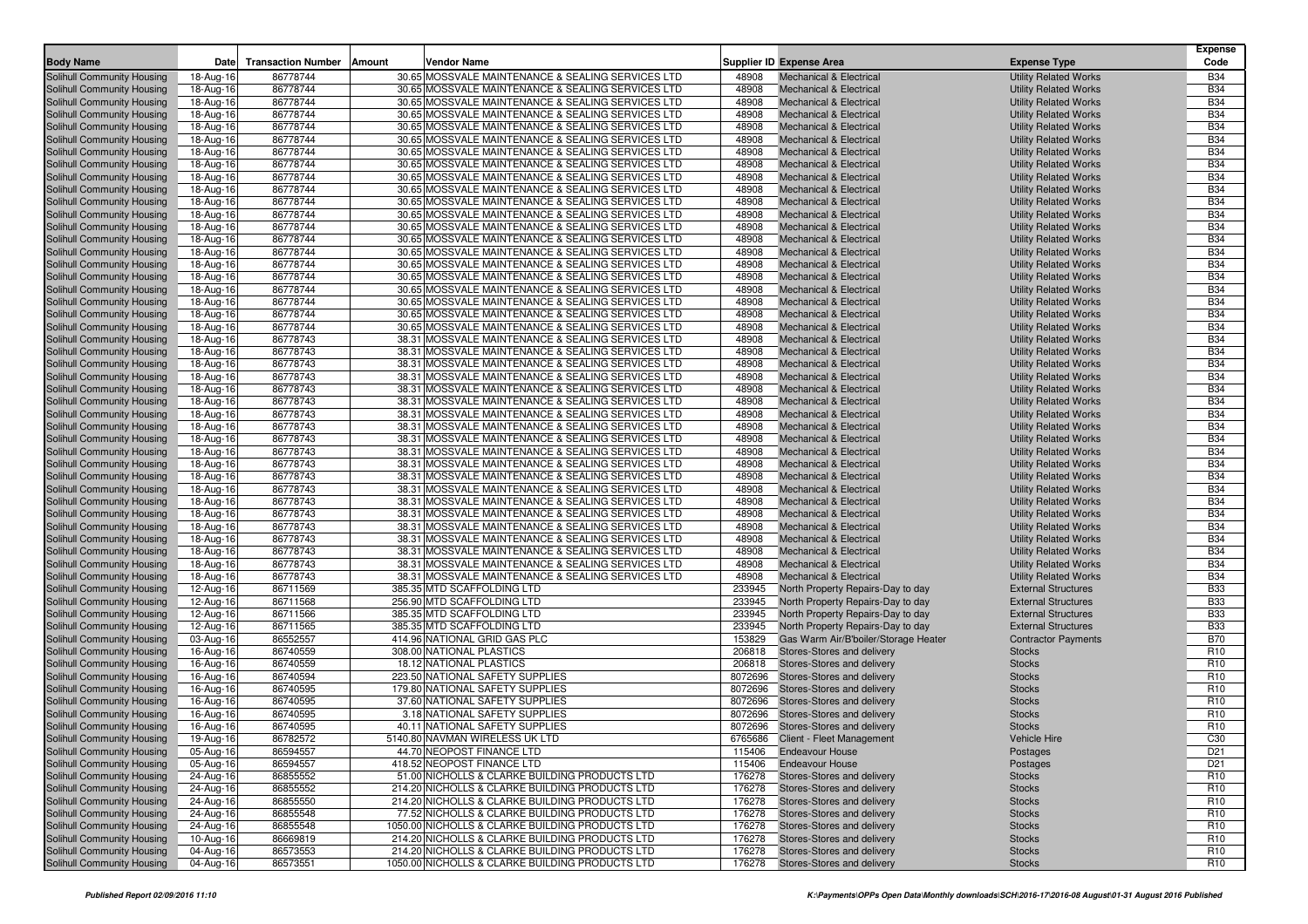| <b>Body Name</b>                                         | Date                   | <b>Transaction Number</b> | <b>Vendor Name</b><br>Amount                                                                           |                | <b>Supplier ID Expense Area</b>                                          | <b>Expense Type</b>                                          | <b>Expense</b><br>Code   |
|----------------------------------------------------------|------------------------|---------------------------|--------------------------------------------------------------------------------------------------------|----------------|--------------------------------------------------------------------------|--------------------------------------------------------------|--------------------------|
| Solihull Community Housing                               | 18-Aug-16              | 86778744                  | 30.65 MOSSVALE MAINTENANCE & SEALING SERVICES LTD                                                      | 48908          | <b>Mechanical &amp; Electrical</b>                                       | <b>Utility Related Works</b>                                 | <b>B34</b>               |
| Solihull Community Housing                               | 18-Aug-16              | 86778744                  | 30.65 MOSSVALE MAINTENANCE & SEALING SERVICES LTD                                                      | 48908          | <b>Mechanical &amp; Electrical</b>                                       | <b>Utility Related Works</b>                                 | <b>B34</b>               |
| Solihull Community Housing                               | 18-Aug-16              | 86778744                  | 30.65 MOSSVALE MAINTENANCE & SEALING SERVICES LTD                                                      | 48908          | <b>Mechanical &amp; Electrical</b>                                       | <b>Utility Related Works</b>                                 | <b>B34</b>               |
| Solihull Community Housing                               | 18-Aug-16              | 86778744                  | 30.65 MOSSVALE MAINTENANCE & SEALING SERVICES LTD                                                      | 48908          | <b>Mechanical &amp; Electrical</b>                                       | <b>Utility Related Works</b>                                 | <b>B34</b>               |
| Solihull Community Housing                               | 18-Aug-16              | 86778744                  | 30.65 MOSSVALE MAINTENANCE & SEALING SERVICES LTD                                                      | 48908          | <b>Mechanical &amp; Electrical</b>                                       | <b>Utility Related Works</b>                                 | <b>B34</b>               |
| Solihull Community Housing                               | 18-Aug-16              | 86778744                  | 30.65 MOSSVALE MAINTENANCE & SEALING SERVICES LTD                                                      | 48908          | <b>Mechanical &amp; Electrical</b>                                       | <b>Utility Related Works</b>                                 | <b>B34</b>               |
| Solihull Community Housing                               | 18-Aug-16              | 86778744                  | 30.65 MOSSVALE MAINTENANCE & SEALING SERVICES LTD                                                      | 48908          | <b>Mechanical &amp; Electrical</b>                                       | <b>Utility Related Works</b>                                 | <b>B34</b>               |
| Solihull Community Housing                               | 18-Aug-16              | 86778744                  | 30.65 MOSSVALE MAINTENANCE & SEALING SERVICES LTD                                                      | 48908          | <b>Mechanical &amp; Electrical</b>                                       | <b>Utility Related Works</b>                                 | <b>B34</b>               |
| Solihull Community Housing                               | 18-Aug-16              | 86778744                  | 30.65 MOSSVALE MAINTENANCE & SEALING SERVICES LTD                                                      | 48908          | <b>Mechanical &amp; Electrical</b>                                       | <b>Utility Related Works</b>                                 | <b>B34</b>               |
| Solihull Community Housing                               | 18-Aug-16              | 86778744                  | 30.65 MOSSVALE MAINTENANCE & SEALING SERVICES LTD                                                      | 48908          | <b>Mechanical &amp; Electrical</b>                                       | <b>Utility Related Works</b>                                 | <b>B34</b>               |
| Solihull Community Housing                               | 18-Aug-16              | 86778744                  | 30.65 MOSSVALE MAINTENANCE & SEALING SERVICES LTD                                                      | 48908          | <b>Mechanical &amp; Electrical</b>                                       | <b>Utility Related Works</b>                                 | <b>B34</b>               |
| Solihull Community Housing                               | 18-Aug-16              | 86778744                  | 30.65 MOSSVALE MAINTENANCE & SEALING SERVICES LTD                                                      | 48908          | <b>Mechanical &amp; Electrical</b>                                       | <b>Utility Related Works</b>                                 | <b>B34</b>               |
| Solihull Community Housing                               | 18-Aug-16              | 86778744                  | 30.65 MOSSVALE MAINTENANCE & SEALING SERVICES LTD                                                      | 48908          | <b>Mechanical &amp; Electrical</b>                                       | <b>Utility Related Works</b>                                 | <b>B34</b>               |
| Solihull Community Housing                               | 18-Aug-16              | 86778744                  | 30.65 MOSSVALE MAINTENANCE & SEALING SERVICES LTD                                                      | 48908          | <b>Mechanical &amp; Electrical</b>                                       | <b>Utility Related Works</b>                                 | <b>B34</b>               |
| Solihull Community Housing                               | 18-Aug-16              | 86778744                  | 30.65 MOSSVALE MAINTENANCE & SEALING SERVICES LTD                                                      | 48908          | <b>Mechanical &amp; Electrical</b>                                       | <b>Utility Related Works</b>                                 | <b>B34</b>               |
| Solihull Community Housing                               | 18-Aug-16              | 86778744                  | 30.65 MOSSVALE MAINTENANCE & SEALING SERVICES LTD                                                      | 48908          | <b>Mechanical &amp; Electrical</b>                                       | <b>Utility Related Works</b>                                 | <b>B34</b>               |
| Solihull Community Housing                               | 18-Aug-16              | 86778744                  | 30.65 MOSSVALE MAINTENANCE & SEALING SERVICES LTD                                                      | 48908          | <b>Mechanical &amp; Electrical</b>                                       | <b>Utility Related Works</b>                                 | <b>B34</b>               |
| Solihull Community Housing                               | 18-Aug-16              | 86778744                  | 30.65 MOSSVALE MAINTENANCE & SEALING SERVICES LTD                                                      | 48908          | <b>Mechanical &amp; Electrical</b>                                       | <b>Utility Related Works</b>                                 | <b>B34</b>               |
| Solihull Community Housing                               | 18-Aug-16              | 86778744                  | 30.65 MOSSVALE MAINTENANCE & SEALING SERVICES LTD                                                      | 48908          | <b>Mechanical &amp; Electrical</b>                                       | <b>Utility Related Works</b>                                 | <b>B34</b>               |
| Solihull Community Housing                               | 18-Aug-16              | 86778744                  | 30.65 MOSSVALE MAINTENANCE & SEALING SERVICES LTD                                                      | 48908          | <b>Mechanical &amp; Electrical</b>                                       | <b>Utility Related Works</b>                                 | <b>B34</b>               |
| Solihull Community Housing                               | 18-Aug-16              | 86778744                  | 30.65 MOSSVALE MAINTENANCE & SEALING SERVICES LTD                                                      | 48908          | <b>Mechanical &amp; Electrical</b>                                       | <b>Utility Related Works</b>                                 | <b>B34</b>               |
| Solihull Community Housing                               | 18-Aug-16              | 86778743                  | 38.31 MOSSVALE MAINTENANCE & SEALING SERVICES LTD                                                      | 48908          | <b>Mechanical &amp; Electrical</b>                                       | <b>Utility Related Works</b>                                 | <b>B34</b>               |
| Solihull Community Housing                               | 18-Aug-16              | 86778743                  | 38.31 MOSSVALE MAINTENANCE & SEALING SERVICES LTD                                                      | 48908          | <b>Mechanical &amp; Electrical</b>                                       | <b>Utility Related Works</b>                                 | <b>B34</b>               |
| Solihull Community Housing                               | 18-Aug-16              | 86778743                  | 38.31 MOSSVALE MAINTENANCE & SEALING SERVICES LTD                                                      | 48908          | <b>Mechanical &amp; Electrical</b>                                       | <b>Utility Related Works</b>                                 | <b>B34</b>               |
| Solihull Community Housing                               | 18-Aug-16              | 86778743                  | 38.31 MOSSVALE MAINTENANCE & SEALING SERVICES LTD                                                      | 48908          | <b>Mechanical &amp; Electrical</b>                                       | <b>Utility Related Works</b>                                 | <b>B34</b>               |
| Solihull Community Housing                               | 18-Aug-16              | 86778743                  | 38.31 MOSSVALE MAINTENANCE & SEALING SERVICES LTD                                                      | 48908          | <b>Mechanical &amp; Electrical</b>                                       | <b>Utility Related Works</b>                                 | <b>B34</b>               |
| Solihull Community Housing                               | 18-Aug-16              | 86778743                  | 38.31 MOSSVALE MAINTENANCE & SEALING SERVICES LTD                                                      | 48908          | <b>Mechanical &amp; Electrical</b>                                       | <b>Utility Related Works</b>                                 | <b>B34</b>               |
| Solihull Community Housing                               | 18-Aug-16              | 86778743                  | 38.31 MOSSVALE MAINTENANCE & SEALING SERVICES LTD                                                      | 48908          | <b>Mechanical &amp; Electrical</b>                                       | <b>Utility Related Works</b>                                 | <b>B34</b>               |
| Solihull Community Housing                               | 18-Aug-16              | 86778743                  | 38.31 MOSSVALE MAINTENANCE & SEALING SERVICES LTD                                                      | 48908          | <b>Mechanical &amp; Electrical</b>                                       | <b>Utility Related Works</b>                                 | <b>B34</b>               |
| Solihull Community Housing                               | 18-Aug-16              | 86778743                  | 38.31 MOSSVALE MAINTENANCE & SEALING SERVICES LTD                                                      | 48908          | <b>Mechanical &amp; Electrical</b>                                       | <b>Utility Related Works</b>                                 | <b>B34</b>               |
| Solihull Community Housing                               | 18-Aug-16              | 86778743                  | 38.31 MOSSVALE MAINTENANCE & SEALING SERVICES LTD                                                      | 48908          | <b>Mechanical &amp; Electrical</b>                                       | <b>Utility Related Works</b>                                 | <b>B34</b>               |
| Solihull Community Housing                               | 18-Aug-16              | 86778743                  | 38.31 MOSSVALE MAINTENANCE & SEALING SERVICES LTD                                                      | 48908          | <b>Mechanical &amp; Electrical</b>                                       | <b>Utility Related Works</b>                                 | <b>B34</b>               |
| Solihull Community Housing                               | 18-Aug-16              | 86778743                  | 38.31 MOSSVALE MAINTENANCE & SEALING SERVICES LTD                                                      | 48908          | <b>Mechanical &amp; Electrical</b>                                       | <b>Utility Related Works</b>                                 | <b>B34</b>               |
| Solihull Community Housing                               | 18-Aug-16              | 86778743                  | 38.31 MOSSVALE MAINTENANCE & SEALING SERVICES LTD                                                      | 48908          | <b>Mechanical &amp; Electrical</b>                                       | <b>Utility Related Works</b>                                 | <b>B34</b>               |
| Solihull Community Housing                               | 18-Aug-16              | 86778743                  | 38.31 MOSSVALE MAINTENANCE & SEALING SERVICES LTD                                                      | 48908          | <b>Mechanical &amp; Electrical</b>                                       | <b>Utility Related Works</b>                                 | <b>B34</b>               |
| Solihull Community Housing                               | 18-Aug-16              | 86778743                  | 38.31 MOSSVALE MAINTENANCE & SEALING SERVICES LTD                                                      | 48908          | <b>Mechanical &amp; Electrical</b>                                       | <b>Utility Related Works</b>                                 | <b>B34</b>               |
| Solihull Community Housing                               | 18-Aug-16              | 86778743<br>86778743      | 38.31 MOSSVALE MAINTENANCE & SEALING SERVICES LTD                                                      | 48908<br>48908 | <b>Mechanical &amp; Electrical</b>                                       | <b>Utility Related Works</b>                                 | <b>B34</b><br><b>B34</b> |
| Solihull Community Housing<br>Solihull Community Housing | 18-Aug-16              | 86778743                  | 38.31 MOSSVALE MAINTENANCE & SEALING SERVICES LTD<br>38.31 MOSSVALE MAINTENANCE & SEALING SERVICES LTD | 48908          | <b>Mechanical &amp; Electrical</b><br><b>Mechanical &amp; Electrical</b> | <b>Utility Related Works</b><br><b>Utility Related Works</b> | <b>B34</b>               |
| Solihull Community Housing                               | 18-Aug-16<br>18-Aug-16 | 86778743                  | 38.31 MOSSVALE MAINTENANCE & SEALING SERVICES LTD                                                      | 48908          | <b>Mechanical &amp; Electrical</b>                                       | <b>Utility Related Works</b>                                 | <b>B34</b>               |
| Solihull Community Housing                               | 18-Aug-16              | 86778743                  | 38.31 MOSSVALE MAINTENANCE & SEALING SERVICES LTD                                                      | 48908          | <b>Mechanical &amp; Electrical</b>                                       | <b>Utility Related Works</b>                                 | <b>B34</b>               |
| Solihull Community Housing                               | 12-Aug-16              | 86711569                  | 385.35 MTD SCAFFOLDING LTD                                                                             | 233945         | North Property Repairs-Day to day                                        | <b>External Structures</b>                                   | <b>B33</b>               |
| Solihull Community Housing                               | 12-Aug-16              | 86711568                  | 256.90 MTD SCAFFOLDING LTD                                                                             | 233945         | North Property Repairs-Day to day                                        | <b>External Structures</b>                                   | <b>B33</b>               |
| Solihull Community Housing                               | 12-Aug-16              | 86711566                  | 385.35 MTD SCAFFOLDING LTD                                                                             | 233945         | North Property Repairs-Day to day                                        | <b>External Structures</b>                                   | <b>B33</b>               |
| Solihull Community Housing                               | 12-Aug-16              | 86711565                  | 385.35 MTD SCAFFOLDING LTD                                                                             | 233945         | North Property Repairs-Day to day                                        | <b>External Structures</b>                                   | <b>B33</b>               |
| Solihull Community Housing                               | 03-Aug-16              | 86552557                  | 414.96 NATIONAL GRID GAS PLC                                                                           | 153829         | Gas Warm Air/B'boiler/Storage Heater                                     | <b>Contractor Payments</b>                                   | <b>B70</b>               |
| Solihull Community Housing                               | 16-Aug-16              | 86740559                  | 308.00 NATIONAL PLASTICS                                                                               | 206818         | Stores-Stores and delivery                                               | <b>Stocks</b>                                                | R <sub>10</sub>          |
| Solihull Community Housing                               | 16-Aug-16              | 86740559                  | 18.12 NATIONAL PLASTICS                                                                                | 206818         | Stores-Stores and delivery                                               | <b>Stocks</b>                                                | R <sub>10</sub>          |
| Solihull Community Housing                               | 16-Aug-16              | 86740594                  | 223.50 NATIONAL SAFETY SUPPLIES                                                                        | 8072696        | Stores-Stores and delivery                                               | <b>Stocks</b>                                                | R <sub>10</sub>          |
| Solihull Community Housing                               | 16-Aug-16              | 86740595                  | 179.80 NATIONAL SAFETY SUPPLIES                                                                        | 8072696        | Stores-Stores and delivery                                               | <b>Stocks</b>                                                | R <sub>10</sub>          |
| Solihull Community Housing                               | 16-Aug-16              | 86740595                  | 37.60 NATIONAL SAFETY SUPPLIES                                                                         | 8072696        | Stores-Stores and delivery                                               | <b>Stocks</b>                                                | R <sub>10</sub>          |
| Solihull Community Housing                               | 16-Aug-16              | 86740595                  | 3.18 NATIONAL SAFETY SUPPLIES                                                                          | 8072696        | Stores-Stores and delivery                                               | <b>Stocks</b>                                                | R <sub>10</sub>          |
| Solihull Community Housing                               | 16-Aug-16              | 86740595                  | 40.11 NATIONAL SAFETY SUPPLIES                                                                         |                | 8072696 Stores-Stores and delivery                                       | <b>Stocks</b>                                                | R <sub>10</sub>          |
| Solihull Community Housing                               | 19-Aug-16              | 86782572                  | 5140.80 NAVMAN WIRELESS UK LTD                                                                         |                | 6765686 Client - Fleet Management                                        | Vehicle Hire                                                 | C30                      |
| Solihull Community Housing                               | 05-Aug-16              | 86594557                  | 44.70 NEOPOST FINANCE LTD                                                                              |                | 115406 Endeavour House                                                   | Postages                                                     | D21                      |
| Solihull Community Housing                               | 05-Aug-16              | 86594557                  | 418.52 NEOPOST FINANCE LTD                                                                             |                | 115406 Endeavour House                                                   | Postages                                                     | D21                      |
| Solihull Community Housing                               | 24-Aug-16              | 86855552                  | 51.00 NICHOLLS & CLARKE BUILDING PRODUCTS LTD                                                          | 176278         | Stores-Stores and delivery                                               | <b>Stocks</b>                                                | R <sub>10</sub>          |
| Solihull Community Housing                               | 24-Aug-16              | 86855552                  | 214.20 NICHOLLS & CLARKE BUILDING PRODUCTS LTD                                                         | 176278         | Stores-Stores and delivery                                               | <b>Stocks</b>                                                | R <sub>10</sub>          |
| Solihull Community Housing                               | 24-Aug-16              | 86855550                  | 214.20 NICHOLLS & CLARKE BUILDING PRODUCTS LTD                                                         | 176278         | Stores-Stores and delivery                                               | <b>Stocks</b>                                                | R <sub>10</sub>          |
| Solihull Community Housing                               | 24-Aug-16              | 86855548                  | 77.52 NICHOLLS & CLARKE BUILDING PRODUCTS LTD                                                          | 176278         | Stores-Stores and delivery                                               | <b>Stocks</b>                                                | R <sub>10</sub>          |
| Solihull Community Housing                               | 24-Aug-16              | 86855548                  | 1050.00 NICHOLLS & CLARKE BUILDING PRODUCTS LTD                                                        | 176278         | Stores-Stores and delivery                                               | <b>Stocks</b>                                                | R <sub>10</sub>          |
| Solihull Community Housing                               | 10-Aug-16              | 86669819                  | 214.20 NICHOLLS & CLARKE BUILDING PRODUCTS LTD                                                         | 176278         | Stores-Stores and delivery                                               | <b>Stocks</b>                                                | R <sub>10</sub>          |
| Solihull Community Housing                               | 04-Aug-16              | 86573553                  | 214.20 NICHOLLS & CLARKE BUILDING PRODUCTS LTD                                                         | 176278         | Stores-Stores and delivery                                               | <b>Stocks</b>                                                | R <sub>10</sub>          |
| Solihull Community Housing                               | 04-Aug-16              | 86573551                  | 1050.00 NICHOLLS & CLARKE BUILDING PRODUCTS LTD                                                        |                | 176278 Stores-Stores and delivery                                        | <b>Stocks</b>                                                | R <sub>10</sub>          |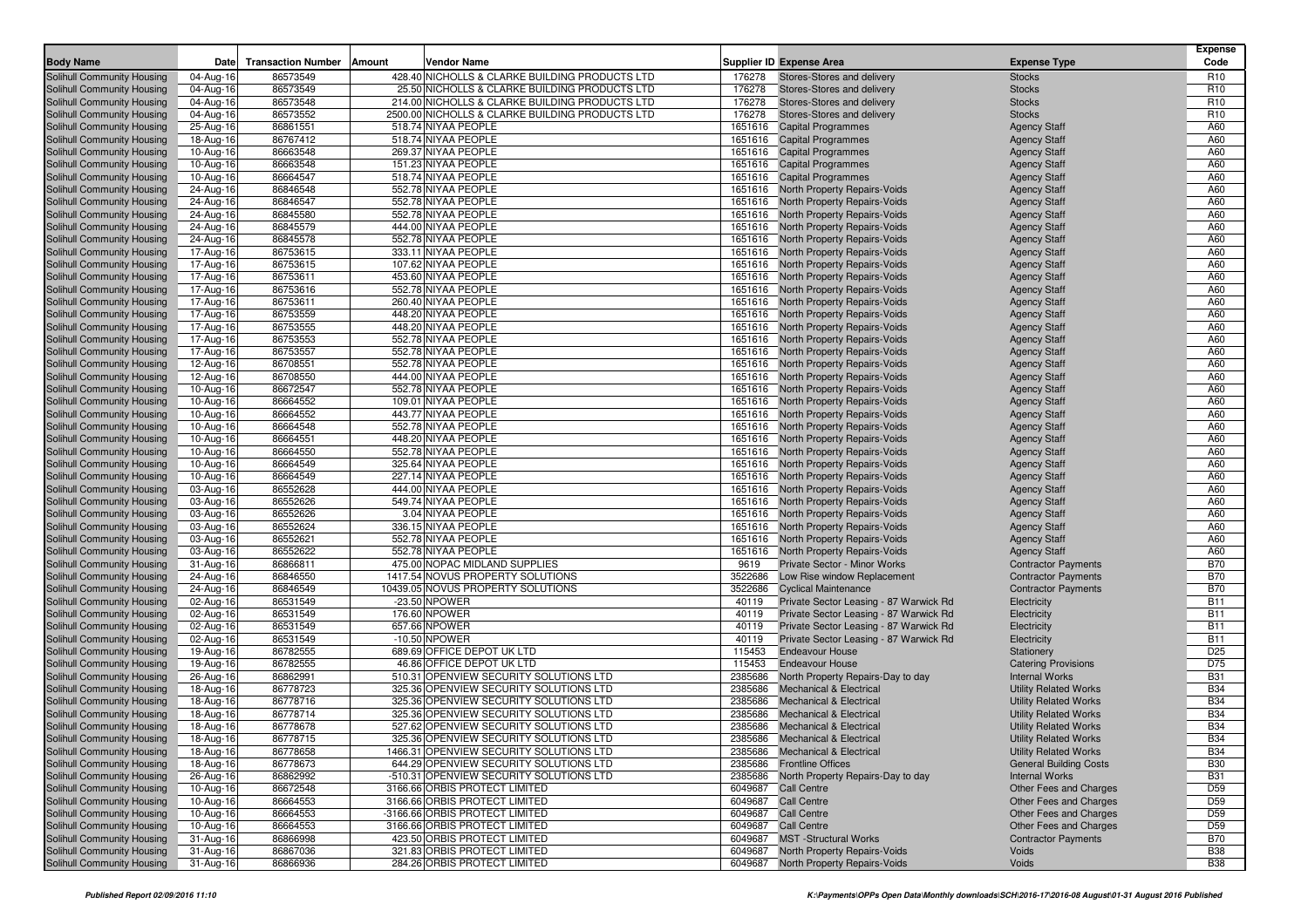| <b>Body Name</b>                                         | Date                   | <b>Transaction Number</b> | Amount | Vendor Name                                                                       |         | Supplier ID Expense Area                                                     | <b>Expense Type</b>                                           | <b>Expense</b><br>Code   |
|----------------------------------------------------------|------------------------|---------------------------|--------|-----------------------------------------------------------------------------------|---------|------------------------------------------------------------------------------|---------------------------------------------------------------|--------------------------|
| <b>Solihull Community Housing</b>                        | 04-Aug-16              | 86573549                  |        | 428.40 NICHOLLS & CLARKE BUILDING PRODUCTS LTD                                    | 176278  | Stores-Stores and delivery                                                   | <b>Stocks</b>                                                 | R <sub>10</sub>          |
| Solihull Community Housing                               | 04-Aug-16              | 86573549                  |        | 25.50 NICHOLLS & CLARKE BUILDING PRODUCTS LTD                                     | 176278  | Stores-Stores and delivery                                                   | <b>Stocks</b>                                                 | R <sub>10</sub>          |
| Solihull Community Housing                               | 04-Aug-16              | 86573548                  |        | 214.00 NICHOLLS & CLARKE BUILDING PRODUCTS LTD                                    | 176278  | Stores-Stores and delivery                                                   | <b>Stocks</b>                                                 | R <sub>10</sub>          |
| <b>Solihull Community Housing</b>                        | 04-Aug-16              | 86573552                  |        | 2500.00 NICHOLLS & CLARKE BUILDING PRODUCTS LTD                                   | 176278  | Stores-Stores and delivery                                                   | <b>Stocks</b>                                                 | R <sub>10</sub>          |
| Solihull Community Housing                               | 25-Aug-16              | 86861551                  |        | 518.74 NIYAA PEOPLE                                                               | 1651616 | <b>Capital Programmes</b>                                                    | <b>Agency Staff</b>                                           | A60                      |
| Solihull Community Housing                               | 18-Aug-16              | 86767412                  |        | 518.74 NIYAA PEOPLE                                                               |         | 1651616 Capital Programmes                                                   | <b>Agency Staff</b>                                           | A60                      |
| Solihull Community Housing                               | 10-Aug-16              | 86663548                  |        | 269.37 NIYAA PEOPLE                                                               |         | 1651616 Capital Programmes                                                   | <b>Agency Staff</b>                                           | A60                      |
| Solihull Community Housing                               | 10-Aug-16              | 86663548                  |        | 151.23 NIYAA PEOPLE                                                               |         | 1651616 Capital Programmes                                                   | <b>Agency Staff</b>                                           | A60                      |
| Solihull Community Housing                               | 10-Aug-16              | 86664547                  |        | 518.74 NIYAA PEOPLE                                                               |         | 1651616 Capital Programmes                                                   | <b>Agency Staff</b>                                           | A60                      |
| Solihull Community Housing                               | 24-Aug-16              | 86846548                  |        | 552.78 NIYAA PEOPLE                                                               |         | 1651616 North Property Repairs-Voids                                         | <b>Agency Staff</b>                                           | A60                      |
| Solihull Community Housing                               | 24-Aug-16              | 86846547                  |        | 552.78 NIYAA PEOPLE                                                               |         | 1651616 North Property Repairs-Voids                                         | <b>Agency Staff</b>                                           | A60                      |
| Solihull Community Housing                               | 24-Aug-16              | 86845580                  |        | 552.78 NIYAA PEOPLE                                                               |         | 1651616 North Property Repairs-Voids                                         | <b>Agency Staff</b>                                           | A60                      |
| Solihull Community Housing                               | 24-Aug-16              | 86845579                  |        | 444.00 NIYAA PEOPLE                                                               |         | 1651616 North Property Repairs-Voids                                         | <b>Agency Staff</b>                                           | A60                      |
| Solihull Community Housing                               | 24-Aug-16              | 86845578                  |        | 552.78 NIYAA PEOPLE                                                               |         | 1651616 North Property Repairs-Voids                                         | <b>Agency Staff</b>                                           | A60                      |
| Solihull Community Housing                               | 17-Aug-16              | 86753615                  |        | 333.11 NIYAA PEOPLE                                                               |         | 1651616 North Property Repairs-Voids                                         | <b>Agency Staff</b>                                           | A60                      |
| Solihull Community Housing                               | 17-Aug-16              | 86753615                  |        | 107.62 NIYAA PEOPLE                                                               |         | 1651616 North Property Repairs-Voids                                         | <b>Agency Staff</b>                                           | A60                      |
| Solihull Community Housing                               | 17-Aug-16              | 86753611                  |        | 453.60 NIYAA PEOPLE                                                               |         | 1651616 North Property Repairs-Voids                                         | <b>Agency Staff</b>                                           | A60                      |
| Solihull Community Housing                               | 17-Aug-16              | 86753616                  |        | 552.78 NIYAA PEOPLE                                                               |         | 1651616 North Property Repairs-Voids                                         | <b>Agency Staff</b>                                           | A60                      |
| Solihull Community Housing                               | 17-Aug-16              | 86753611                  |        | 260.40 NIYAA PEOPLE                                                               |         | 1651616 North Property Repairs-Voids                                         | <b>Agency Staff</b>                                           | A60                      |
| Solihull Community Housing                               | 17-Aug-16              | 86753559                  |        | 448.20 NIYAA PEOPLE                                                               |         | 1651616 North Property Repairs-Voids                                         | <b>Agency Staff</b>                                           | A60                      |
| Solihull Community Housing                               | 17-Aug-16              | 86753555                  |        | 448.20 NIYAA PEOPLE                                                               |         | 1651616 North Property Repairs-Voids                                         | <b>Agency Staff</b>                                           | A60                      |
| Solihull Community Housing                               | 17-Aug-16              | 86753553                  |        | 552.78 NIYAA PEOPLE                                                               |         | 1651616 North Property Repairs-Voids                                         | <b>Agency Staff</b>                                           | A60                      |
| Solihull Community Housing                               | 17-Aug-16              | 86753557                  |        | 552.78 NIYAA PEOPLE                                                               |         | 1651616 North Property Repairs-Voids                                         | <b>Agency Staff</b>                                           | A60                      |
| Solihull Community Housing                               | 12-Aug-16              | 86708551                  |        | 552.78 NIYAA PEOPLE                                                               |         | 1651616 North Property Repairs-Voids                                         | <b>Agency Staff</b>                                           | A60                      |
| Solihull Community Housing                               | 12-Aug-16              | 86708550                  |        | 444.00 NIYAA PEOPLE                                                               |         | 1651616 North Property Repairs-Voids                                         | <b>Agency Staff</b>                                           | A60                      |
| Solihull Community Housing                               | 10-Aug-16              | 86672547                  |        | 552.78 NIYAA PEOPLE                                                               |         | 1651616 North Property Repairs-Voids                                         | <b>Agency Staff</b>                                           | A60<br>A60               |
| Solihull Community Housing<br>Solihull Community Housing | 10-Aug-16              | 86664552<br>86664552      |        | 109.01 NIYAA PEOPLE<br>443.77 NIYAA PEOPLE                                        |         | 1651616 North Property Repairs-Voids<br>1651616 North Property Repairs-Voids | <b>Agency Staff</b>                                           | A60                      |
| Solihull Community Housing                               | 10-Aug-16<br>10-Aug-16 | 86664548                  |        | 552.78 NIYAA PEOPLE                                                               |         | 1651616 North Property Repairs-Voids                                         | <b>Agency Staff</b><br><b>Agency Staff</b>                    | A60                      |
| Solihull Community Housing                               | 10-Aug-16              | 86664551                  |        | 448.20 NIYAA PEOPLE                                                               |         | 1651616 North Property Repairs-Voids                                         | <b>Agency Staff</b>                                           | A60                      |
| Solihull Community Housing                               | 10-Aug-16              | 86664550                  |        | 552.78 NIYAA PEOPLE                                                               |         | 1651616 North Property Repairs-Voids                                         | <b>Agency Staff</b>                                           | A60                      |
| Solihull Community Housing                               | 10-Aug-16              | 86664549                  |        | 325.64 NIYAA PEOPLE                                                               |         | 1651616 North Property Repairs-Voids                                         | <b>Agency Staff</b>                                           | A60                      |
| Solihull Community Housing                               | 10-Aug-16              | 86664549                  |        | 227.14 NIYAA PEOPLE                                                               |         | 1651616 North Property Repairs-Voids                                         | <b>Agency Staff</b>                                           | A60                      |
| Solihull Community Housing                               | 03-Aug-16              | 86552628                  |        | 444.00 NIYAA PEOPLE                                                               |         | 1651616 North Property Repairs-Voids                                         | <b>Agency Staff</b>                                           | A60                      |
| Solihull Community Housing                               | 03-Aug-16              | 86552626                  |        | 549.74 NIYAA PEOPLE                                                               |         | 1651616 North Property Repairs-Voids                                         | <b>Agency Staff</b>                                           | A60                      |
| Solihull Community Housing                               | 03-Aug-16              | 86552626                  |        | 3.04 NIYAA PEOPLE                                                                 |         | 1651616 North Property Repairs-Voids                                         | <b>Agency Staff</b>                                           | A60                      |
| Solihull Community Housing                               | 03-Aug-16              | 86552624                  |        | 336.15 NIYAA PEOPLE                                                               |         | 1651616 North Property Repairs-Voids                                         | <b>Agency Staff</b>                                           | A60                      |
| Solihull Community Housing                               | 03-Aug-16              | 86552621                  |        | 552.78 NIYAA PEOPLE                                                               |         | 1651616 North Property Repairs-Voids                                         | <b>Agency Staff</b>                                           | A60                      |
| Solihull Community Housing                               | 03-Aug-16              | 86552622                  |        | 552.78 NIYAA PEOPLE                                                               |         | 1651616 North Property Repairs-Voids                                         | <b>Agency Staff</b>                                           | A60                      |
| Solihull Community Housing                               | 31-Aug-16              | 86866811                  |        | 475.00 NOPAC MIDLAND SUPPLIES                                                     | 9619    | <b>Private Sector - Minor Works</b>                                          | <b>Contractor Payments</b>                                    | <b>B70</b>               |
| Solihull Community Housing                               | 24-Aug-16              | 86846550                  |        | 1417.54 NOVUS PROPERTY SOLUTIONS                                                  | 3522686 | Low Rise window Replacement                                                  | <b>Contractor Payments</b>                                    | <b>B70</b>               |
| Solihull Community Housing                               | 24-Aug-16              | 86846549                  |        | 10439.05 NOVUS PROPERTY SOLUTIONS                                                 | 3522686 | <b>Cyclical Maintenance</b>                                                  | <b>Contractor Payments</b>                                    | <b>B70</b>               |
| Solihull Community Housing                               | 02-Aug-16              | 86531549                  |        | -23.50 NPOWER                                                                     | 40119   | Private Sector Leasing - 87 Warwick Rd                                       | Electricity                                                   | <b>B11</b>               |
| Solihull Community Housing                               | 02-Aug-16              | 86531549                  |        | 176.60 NPOWER                                                                     | 40119   | Private Sector Leasing - 87 Warwick Rd                                       | Electricity                                                   | <b>B11</b>               |
| Solihull Community Housing                               | 02-Aug-16              | 86531549                  |        | 657.66 NPOWER                                                                     | 40119   | Private Sector Leasing - 87 Warwick Rd                                       | Electricity                                                   | <b>B11</b>               |
| Solihull Community Housing                               | 02-Aug-16              | 86531549                  |        | $-10.50$ NPOWER                                                                   | 40119   | Private Sector Leasing - 87 Warwick Rd                                       | Electricity                                                   | <b>B11</b>               |
| Solihull Community Housing                               | 19-Aug-16              | 86782555                  |        | 689.69 OFFICE DEPOT UK LTD                                                        | 115453  | <b>Endeavour House</b>                                                       | Stationery                                                    | D <sub>25</sub>          |
| Solihull Community Housing                               | 19-Aug-16              | 86782555                  |        | 46.86 OFFICE DEPOT UK LTD                                                         | 115453  | <b>Endeavour House</b>                                                       | <b>Catering Provisions</b>                                    | D75                      |
| Solihull Community Housing                               | 26-Aug-16              | 86862991                  |        | 510.31 OPENVIEW SECURITY SOLUTIONS LTD                                            | 2385686 | North Property Repairs-Day to day                                            | <b>Internal Works</b>                                         | <b>B31</b>               |
| Solihull Community Housing                               | 18-Aug-16              | 86778723                  |        | 325.36 OPENVIEW SECURITY SOLUTIONS LTD                                            | 2385686 | <b>Mechanical &amp; Electrical</b>                                           | <b>Utility Related Works</b>                                  | <b>B34</b>               |
| Solihull Community Housing                               | 18-Aug-16              | 86778716                  |        | 325.36 OPENVIEW SECURITY SOLUTIONS LTD                                            | 2385686 | <b>Mechanical &amp; Electrical</b>                                           | <b>Utility Related Works</b>                                  | <b>B34</b>               |
| Solihull Community Housing                               | 18-Aug-16              | 86778714                  |        | 325.36 OPENVIEW SECURITY SOLUTIONS LTD                                            | 2385686 | <b>Mechanical &amp; Electrical</b>                                           | <b>Utility Related Works</b>                                  | <b>B34</b>               |
| Solihull Community Housing<br>Solihull Community Housing | 18-Aug-16              | 86778678                  |        | 527.62 OPENVIEW SECURITY SOLUTIONS LTD                                            |         | 2385686 Mechanical & Electrical                                              | <b>Utility Related Works</b><br><b>Utility Related Works</b>  | <b>B34</b>               |
| Solihull Community Housing                               | 18-Aug-16              | 86778715                  |        | 325.36 OPENVIEW SECURITY SOLUTIONS LTD<br>1466.31 OPENVIEW SECURITY SOLUTIONS LTD |         | 2385686 Mechanical & Electrical                                              |                                                               | <b>B34</b><br><b>B34</b> |
| Solihull Community Housing                               | 18-Aug-16<br>18-Aug-16 | 86778658<br>86778673      |        | 644.29 OPENVIEW SECURITY SOLUTIONS LTD                                            |         | 2385686 Mechanical & Electrical<br>2385686 Frontline Offices                 | <b>Utility Related Works</b><br><b>General Building Costs</b> | <b>B30</b>               |
| Solihull Community Housing                               | 26-Aug-16              | 86862992                  |        | -510.31 OPENVIEW SECURITY SOLUTIONS LTD                                           |         | 2385686 North Property Repairs-Day to day                                    | <b>Internal Works</b>                                         | <b>B31</b>               |
| Solihull Community Housing                               | 10-Aug-16              | 86672548                  |        | 3166.66 ORBIS PROTECT LIMITED                                                     |         | 6049687 Call Centre                                                          | Other Fees and Charges                                        | D <sub>59</sub>          |
| Solihull Community Housing                               | 10-Aug-16              | 86664553                  |        | 3166.66 ORBIS PROTECT LIMITED                                                     |         | 6049687 Call Centre                                                          | Other Fees and Charges                                        | D <sub>59</sub>          |
| Solihull Community Housing                               | 10-Aug-16              | 86664553                  |        | -3166.66 ORBIS PROTECT LIMITED                                                    |         | 6049687 Call Centre                                                          | Other Fees and Charges                                        | D59                      |
| Solihull Community Housing                               | 10-Aug-16              | 86664553                  |        | 3166.66 ORBIS PROTECT LIMITED                                                     |         | 6049687 Call Centre                                                          | Other Fees and Charges                                        | D <sub>59</sub>          |
| Solihull Community Housing                               | 31-Aug-16              | 86866998                  |        | 423.50 ORBIS PROTECT LIMITED                                                      |         | 6049687 MST -Structural Works                                                | <b>Contractor Payments</b>                                    | <b>B70</b>               |
| Solihull Community Housing                               | 31-Aug-16              | 86867036                  |        | 321.83 ORBIS PROTECT LIMITED                                                      |         | 6049687 North Property Repairs-Voids                                         | Voids                                                         | <b>B38</b>               |
| Solihull Community Housing                               | 31-Aug-16              | 86866936                  |        | 284.26 ORBIS PROTECT LIMITED                                                      |         | 6049687 North Property Repairs-Voids                                         | Voids                                                         | <b>B38</b>               |
|                                                          |                        |                           |        |                                                                                   |         |                                                                              |                                                               |                          |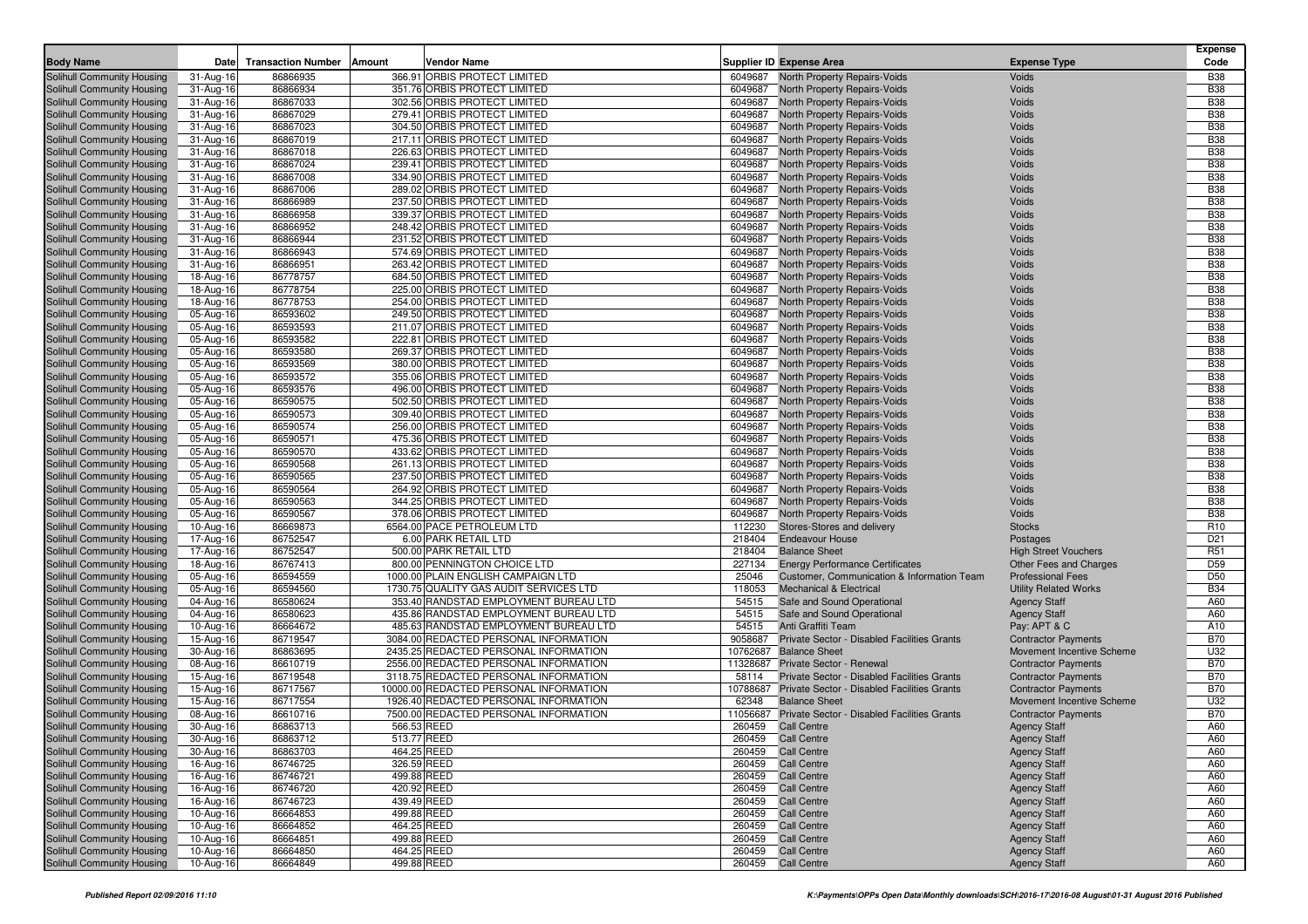|                                                          |                        |                           |        |                                                                    |                    |                                                                                  |                                                     | <b>Expense</b>                     |
|----------------------------------------------------------|------------------------|---------------------------|--------|--------------------------------------------------------------------|--------------------|----------------------------------------------------------------------------------|-----------------------------------------------------|------------------------------------|
| <b>Body Name</b>                                         | Date                   | <b>Transaction Number</b> | Amount | Vendor Name                                                        |                    | <b>Supplier ID Expense Area</b>                                                  | <b>Expense Type</b>                                 | Code                               |
| Solihull Community Housing                               | 31-Aug-16              | 86866935                  |        | 366.91 ORBIS PROTECT LIMITED                                       | 6049687            | <b>North Property Repairs-Voids</b>                                              | Voids                                               | <b>B38</b>                         |
| Solihull Community Housing                               | 31-Aug-16              | 86866934                  |        | 351.76 ORBIS PROTECT LIMITED                                       | 6049687            | North Property Repairs-Voids                                                     | Voids                                               | <b>B38</b><br><b>B38</b>           |
| Solihull Community Housing<br>Solihull Community Housing | 31-Aug-16<br>31-Aug-16 | 86867033<br>86867029      |        | 302.56 ORBIS PROTECT LIMITED<br>279.41 ORBIS PROTECT LIMITED       | 6049687<br>6049687 | North Property Repairs-Voids<br>North Property Repairs-Voids                     | Voids<br>Voids                                      | <b>B38</b>                         |
| Solihull Community Housing                               | 31-Aug-16              | 86867023                  |        | 304.50 ORBIS PROTECT LIMITED                                       | 6049687            | North Property Repairs-Voids                                                     | Voids                                               | <b>B38</b>                         |
| Solihull Community Housing                               | 31-Aug-16              | 86867019                  |        | 217.11 ORBIS PROTECT LIMITED                                       | 6049687            | North Property Repairs-Voids                                                     | Voids                                               | <b>B38</b>                         |
| Solihull Community Housing                               | 31-Aug-16              | 86867018                  |        | 226.63 ORBIS PROTECT LIMITED                                       | 6049687            | North Property Repairs-Voids                                                     | Voids                                               | <b>B38</b>                         |
| Solihull Community Housing                               | 31-Aug-16              | 86867024                  |        | 239.41 ORBIS PROTECT LIMITED                                       | 6049687            | North Property Repairs-Voids                                                     | Voids                                               | <b>B38</b>                         |
| Solihull Community Housing                               | 31-Aug-16              | 86867008                  |        | 334.90 ORBIS PROTECT LIMITED                                       | 6049687            | North Property Repairs-Voids                                                     | Voids                                               | <b>B38</b>                         |
| Solihull Community Housing                               | 31-Aug-16              | 86867006                  |        | 289.02 ORBIS PROTECT LIMITED                                       | 6049687            | North Property Repairs-Voids                                                     | Voids                                               | <b>B38</b>                         |
| Solihull Community Housing                               | 31-Aug-16              | 86866989                  |        | 237.50 ORBIS PROTECT LIMITED                                       | 6049687            | North Property Repairs-Voids                                                     | Voids                                               | <b>B38</b>                         |
| Solihull Community Housing                               | 31-Aug-16              | 86866958                  |        | 339.37 ORBIS PROTECT LIMITED                                       | 6049687            | North Property Repairs-Voids                                                     | Voids                                               | <b>B38</b>                         |
| Solihull Community Housing                               | 31-Aug-16              | 86866952                  |        | 248.42 ORBIS PROTECT LIMITED                                       | 6049687            | North Property Repairs-Voids                                                     | Voids                                               | <b>B38</b>                         |
| Solihull Community Housing                               | 31-Aug-16              | 86866944                  |        | 231.52 ORBIS PROTECT LIMITED                                       | 6049687            | North Property Repairs-Voids                                                     | Voids                                               | <b>B38</b>                         |
| Solihull Community Housing                               | 31-Aug-16              | 86866943                  |        | 574.69 ORBIS PROTECT LIMITED                                       | 6049687            | North Property Repairs-Voids                                                     | Voids                                               | <b>B38</b>                         |
| Solihull Community Housing                               | 31-Aug-16              | 86866951                  |        | 263.42 ORBIS PROTECT LIMITED                                       | 6049687            | North Property Repairs-Voids                                                     | Voids                                               | <b>B38</b>                         |
| Solihull Community Housing                               | 18-Aug-16              | 86778757                  |        | 684.50 ORBIS PROTECT LIMITED                                       | 6049687            | <b>North Property Repairs-Voids</b>                                              | Voids                                               | <b>B38</b>                         |
| Solihull Community Housing                               | 18-Aug-16              | 86778754                  |        | 225.00 ORBIS PROTECT LIMITED                                       | 6049687            | North Property Repairs-Voids                                                     | Voids                                               | <b>B38</b>                         |
| Solihull Community Housing                               | 18-Aug-16              | 86778753                  |        | 254.00 ORBIS PROTECT LIMITED                                       | 6049687            | <b>North Property Repairs-Voids</b>                                              | Voids                                               | <b>B38</b>                         |
| Solihull Community Housing                               | 05-Aug-16              | 86593602                  |        | 249.50 ORBIS PROTECT LIMITED                                       | 6049687            | North Property Repairs-Voids                                                     | Voids                                               | <b>B38</b>                         |
| <b>Solihull Community Housing</b>                        | 05-Aug-16              | 86593593                  |        | 211.07 ORBIS PROTECT LIMITED                                       | 6049687            | North Property Repairs-Voids                                                     | Voids                                               | <b>B38</b>                         |
| Solihull Community Housing<br>Solihull Community Housing | 05-Aug-16              | 86593582<br>86593580      |        | 222.81 ORBIS PROTECT LIMITED<br>269.37 ORBIS PROTECT LIMITED       | 6049687            | North Property Repairs-Voids                                                     | Voids                                               | <b>B38</b><br><b>B38</b>           |
|                                                          | 05-Aug-16              |                           |        |                                                                    | 6049687            | North Property Repairs-Voids                                                     | Voids<br>Voids                                      | <b>B38</b>                         |
| Solihull Community Housing<br>Solihull Community Housing | 05-Aug-16<br>05-Aug-16 | 86593569<br>86593572      |        | 380.00 ORBIS PROTECT LIMITED<br>355.06 ORBIS PROTECT LIMITED       | 6049687<br>6049687 | <b>North Property Repairs-Voids</b><br>North Property Repairs-Voids              | Voids                                               | <b>B38</b>                         |
| Solihull Community Housing                               | 05-Aug-16              | 86593576                  |        | 496.00 ORBIS PROTECT LIMITED                                       | 6049687            | <b>North Property Repairs-Voids</b>                                              | Voids                                               | <b>B38</b>                         |
| <b>Solihull Community Housing</b>                        | 05-Aug-16              | 86590575                  |        | 502.50 ORBIS PROTECT LIMITED                                       | 6049687            | North Property Repairs-Voids                                                     | Voids                                               | <b>B38</b>                         |
| Solihull Community Housing                               | 05-Aug-16              | 86590573                  |        | 309.40 ORBIS PROTECT LIMITED                                       | 6049687            | North Property Repairs-Voids                                                     | Voids                                               | <b>B38</b>                         |
| Solihull Community Housing                               | 05-Aug-16              | 86590574                  |        | 256.00 ORBIS PROTECT LIMITED                                       | 6049687            | North Property Repairs-Voids                                                     | Voids                                               | <b>B38</b>                         |
| <b>Solihull Community Housing</b>                        | 05-Aug-16              | 86590571                  |        | 475.36 ORBIS PROTECT LIMITED                                       | 6049687            | <b>North Property Repairs-Voids</b>                                              | Voids                                               | <b>B38</b>                         |
| Solihull Community Housing                               | 05-Aug-16              | 86590570                  |        | 433.62 ORBIS PROTECT LIMITED                                       | 6049687            | North Property Repairs-Voids                                                     | Voids                                               | <b>B38</b>                         |
| Solihull Community Housing                               | 05-Aug-16              | 86590568                  |        | 261.13 ORBIS PROTECT LIMITED                                       | 6049687            | North Property Repairs-Voids                                                     | Voids                                               | <b>B38</b>                         |
| Solihull Community Housing                               | 05-Aug-16              | 86590565                  |        | 237.50 ORBIS PROTECT LIMITED                                       | 6049687            | <b>North Property Repairs-Voids</b>                                              | Voids                                               | <b>B38</b>                         |
| Solihull Community Housing                               | 05-Aug-16              | 86590564                  |        | 264.92 ORBIS PROTECT LIMITED                                       | 6049687            | North Property Repairs-Voids                                                     | Voids                                               | <b>B38</b>                         |
| Solihull Community Housing                               | 05-Aug-16              | 86590563                  |        | 344.25 ORBIS PROTECT LIMITED                                       | 6049687            | North Property Repairs-Voids                                                     | Voids                                               | <b>B38</b>                         |
| Solihull Community Housing                               | 05-Aug-16              | 86590567                  |        | 378.06 ORBIS PROTECT LIMITED                                       | 6049687            | North Property Repairs-Voids                                                     | Voids                                               | <b>B38</b>                         |
| Solihull Community Housing                               | 10-Aug-16              | 86669873                  |        | 6564.00 PACE PETROLEUM LTD                                         | 112230             | Stores-Stores and delivery                                                       | <b>Stocks</b>                                       | R <sub>10</sub>                    |
| Solihull Community Housing                               | 17-Aug-16              | 86752547                  |        | 6.00 PARK RETAIL LTD                                               | 218404             | <b>Endeavour House</b>                                                           | Postages                                            | D <sub>21</sub>                    |
| Solihull Community Housing                               | 17-Aug-16              | 86752547                  |        | 500.00 PARK RETAIL LTD                                             | 218404             | <b>Balance Sheet</b>                                                             | <b>High Street Vouchers</b>                         | R <sub>51</sub>                    |
| Solihull Community Housing                               | 18-Aug-16              | 86767413                  |        | 800.00 PENNINGTON CHOICE LTD<br>1000.00 PLAIN ENGLISH CAMPAIGN LTD | 227134             | <b>Energy Performance Certificates</b>                                           | <b>Other Fees and Charges</b>                       | D <sub>59</sub><br>D <sub>50</sub> |
| Solihull Community Housing                               | 05-Aug-16              | 86594559<br>86594560      |        | 1730.75 QUALITY GAS AUDIT SERVICES LTD                             | 25046<br>118053    | Customer, Communication & Information Team<br><b>Mechanical &amp; Electrical</b> | <b>Professional Fees</b>                            | <b>B34</b>                         |
| Solihull Community Housing<br>Solihull Community Housing | 05-Aug-16<br>04-Aug-16 | 86580624                  |        | 353.40 RANDSTAD EMPLOYMENT BUREAU LTD                              | 54515              | Safe and Sound Operational                                                       | <b>Utility Related Works</b><br><b>Agency Staff</b> | A60                                |
| Solihull Community Housing                               | 04-Aug-16              | 86580623                  |        | 435.86 RANDSTAD EMPLOYMENT BUREAU LTD                              | 54515              | Safe and Sound Operational                                                       | <b>Agency Staff</b>                                 | A60                                |
| Solihull Community Housing                               | 10-Aug-16              | 86664672                  |        | 485.63 RANDSTAD EMPLOYMENT BUREAU LTD                              | 54515              | Anti Graffiti Team                                                               | Pay: APT & C                                        | A10                                |
| Solihull Community Housing                               | 15-Aug-16              | 86719547                  |        | 3084.00 REDACTED PERSONAL INFORMATION                              | 9058687            | Private Sector - Disabled Facilities Grants                                      | <b>Contractor Payments</b>                          | <b>B70</b>                         |
| Solihull Community Housing                               | 30-Aug-16              | 86863695                  |        | 2435.25 REDACTED PERSONAL INFORMATION                              | 10762687           | <b>Balance Sheet</b>                                                             | Movement Incentive Scheme                           | U32                                |
| Solihull Community Housing                               | 08-Aug-16              | 86610719                  |        | 2556.00 REDACTED PERSONAL INFORMATION                              | 11328687           | Private Sector - Renewal                                                         | <b>Contractor Payments</b>                          | <b>B70</b>                         |
| Solihull Community Housing                               | 15-Aug-16              | 86719548                  |        | 3118.75 REDACTED PERSONAL INFORMATION                              | 58114              | Private Sector - Disabled Facilities Grants                                      | <b>Contractor Payments</b>                          | <b>B70</b>                         |
| Solihull Community Housing                               | 15-Aug-16              | 86717567                  |        | 10000.00 REDACTED PERSONAL INFORMATION                             | 10788687           | Private Sector - Disabled Facilities Grants                                      | <b>Contractor Payments</b>                          | <b>B70</b>                         |
| Solihull Community Housing                               | 15-Aug-16              | 86717554                  |        | 1926.40 REDACTED PERSONAL INFORMATION                              | 62348              | <b>Balance Sheet</b>                                                             | Movement Incentive Scheme                           | U32                                |
| Solihull Community Housing                               | 08-Aug-16              | 86610716                  |        | 7500.00 REDACTED PERSONAL INFORMATION                              | 11056687           | Private Sector - Disabled Facilities Grants                                      | <b>Contractor Payments</b>                          | <b>B70</b>                         |
| Solihull Community Housing                               | 30-Aug-16              | 86863713                  |        | 566.53 REED                                                        | 260459             | <b>Call Centre</b>                                                               | <b>Agency Staff</b>                                 | A60                                |
| Solihull Community Housing                               | 30-Aug-16              | 86863712                  |        | 513.77 REED                                                        |                    | 260459 Call Centre                                                               | <b>Agency Staff</b>                                 | A60                                |
| Solihull Community Housing                               | 30-Aug-16              | 86863703                  |        | 464.25 REED                                                        | 260459             | <b>Call Centre</b>                                                               | <b>Agency Staff</b>                                 | A60                                |
| Solihull Community Housing                               | 16-Aug-16              | 86746725                  |        | 326.59 REED                                                        | 260459             | <b>Call Centre</b>                                                               | <b>Agency Staff</b>                                 | A60                                |
| Solihull Community Housing                               | 16-Aug-16              | 86746721                  |        | 499.88 REED                                                        | 260459             | <b>Call Centre</b>                                                               | <b>Agency Staff</b>                                 | A60                                |
| Solihull Community Housing                               | 16-Aug-16              | 86746720                  |        | 420.92 REED                                                        | 260459             | <b>Call Centre</b>                                                               | <b>Agency Staff</b>                                 | A60                                |
| Solihull Community Housing                               | 16-Aug-16              | 86746723                  |        | 439.49 REED                                                        | 260459             | <b>Call Centre</b>                                                               | <b>Agency Staff</b>                                 | A60                                |
| Solihull Community Housing<br>Solihull Community Housing | 10-Aug-16              | 86664853<br>86664852      |        | 499.88 REED<br>464.25 REED                                         | 260459             | <b>Call Centre</b>                                                               | <b>Agency Staff</b>                                 | A60                                |
| Solihull Community Housing                               | 10-Aug-16              | 86664851                  |        | 499.88 REED                                                        | 260459<br>260459   | <b>Call Centre</b><br><b>Call Centre</b>                                         | <b>Agency Staff</b><br><b>Agency Staff</b>          | A60<br>A60                         |
| Solihull Community Housing                               | 10-Aug-16<br>10-Aug-16 | 86664850                  |        | 464.25 REED                                                        | 260459             | <b>Call Centre</b>                                                               | <b>Agency Staff</b>                                 | A60                                |
| Solihull Community Housing                               | 10-Aug-16              | 86664849                  |        | 499.88 REED                                                        | 260459             | <b>Call Centre</b>                                                               | <b>Agency Staff</b>                                 | A60                                |
|                                                          |                        |                           |        |                                                                    |                    |                                                                                  |                                                     |                                    |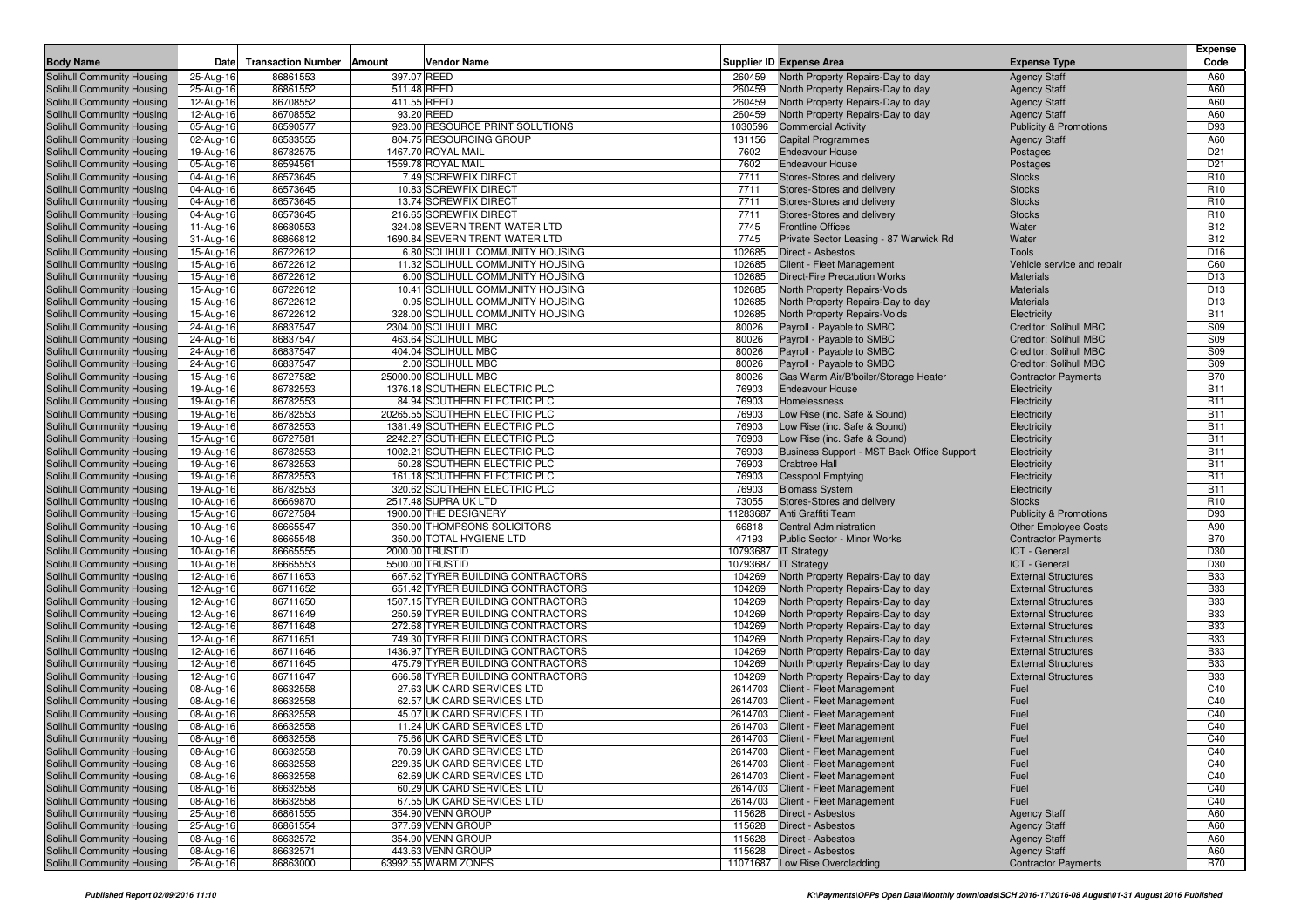|                                                          | Date                   | <b>Transaction Number</b> | Amount<br><b>Vendor Name</b>                                            |                  | <b>Supplier ID Expense Area</b>                                        |                                                                | <b>Expense</b><br>Code   |
|----------------------------------------------------------|------------------------|---------------------------|-------------------------------------------------------------------------|------------------|------------------------------------------------------------------------|----------------------------------------------------------------|--------------------------|
| <b>Body Name</b>                                         |                        |                           |                                                                         |                  |                                                                        | <b>Expense Type</b>                                            |                          |
| Solihull Community Housing<br>Solihull Community Housing | 25-Aug-16<br>25-Aug-16 | 86861553<br>86861552      | 397.07 REED<br>511.48 REED                                              | 260459<br>260459 | North Property Repairs-Day to day<br>North Property Repairs-Day to day | <b>Agency Staff</b><br><b>Agency Staff</b>                     | A60<br>A60               |
| Solihull Community Housing                               | 12-Aug-16              | 86708552                  | 411.55 REED                                                             | 260459           | North Property Repairs-Day to day                                      | <b>Agency Staff</b>                                            | A60                      |
| Solihull Community Housing                               | 12-Aug-16              | 86708552                  | 93.20 REED                                                              | 260459           | North Property Repairs-Day to day                                      | <b>Agency Staff</b>                                            | A60                      |
| Solihull Community Housing                               | 05-Aug-16              | 86590577                  | 923.00 RESOURCE PRINT SOLUTIONS                                         | 1030596          | <b>Commercial Activity</b>                                             | <b>Publicity &amp; Promotions</b>                              | D93                      |
| Solihull Community Housing                               | 02-Aug-16              | 86533555                  | 804.75 RESOURCING GROUP                                                 | 131156           | <b>Capital Programmes</b>                                              | <b>Agency Staff</b>                                            | A60                      |
| Solihull Community Housing                               | 19-Aug-16              | 86782575                  | 1467.70 ROYAL MAIL                                                      | 7602             | <b>Endeavour House</b>                                                 | Postages                                                       | D <sub>21</sub>          |
| Solihull Community Housing                               | 05-Aug-16              | 86594561                  | 1559.78 ROYAL MAIL                                                      | 7602             | <b>Endeavour House</b>                                                 | Postages                                                       | D <sub>21</sub>          |
| Solihull Community Housing                               | 04-Aug-16              | 86573645                  | 7.49 SCREWFIX DIRECT                                                    | 7711             | Stores-Stores and delivery                                             | <b>Stocks</b>                                                  | R <sub>10</sub>          |
| Solihull Community Housing                               | 04-Aug-16              | 86573645                  | 10.83 SCREWFIX DIRECT                                                   | 7711             | Stores-Stores and delivery                                             | <b>Stocks</b>                                                  | R <sub>10</sub>          |
| Solihull Community Housing                               | 04-Aug-16              | 86573645                  | 13.74 SCREWFIX DIRECT                                                   | 7711             | Stores-Stores and delivery                                             | <b>Stocks</b>                                                  | R <sub>10</sub>          |
| Solihull Community Housing                               | 04-Aug-16              | 86573645                  | 216.65 SCREWFIX DIRECT                                                  | 7711             | Stores-Stores and delivery                                             | <b>Stocks</b>                                                  | R <sub>10</sub>          |
| Solihull Community Housing                               | 11-Aug-16              | 86680553                  | 324.08 SEVERN TRENT WATER LTD                                           | 7745             | <b>Frontline Offices</b>                                               | Water                                                          | <b>B12</b>               |
| Solihull Community Housing                               | 31-Aug-16              | 86866812                  | 1690.84 SEVERN TRENT WATER LTD                                          | 7745             | Private Sector Leasing - 87 Warwick Rd                                 | Water                                                          | <b>B12</b>               |
| Solihull Community Housing                               | 15-Aug-16              | 86722612                  | 6.80 SOLIHULL COMMUNITY HOUSING                                         | 102685           | <b>Direct - Asbestos</b>                                               | Tools                                                          | D <sub>16</sub>          |
| Solihull Community Housing                               | 15-Aug-16              | 86722612                  | 11.32 SOLIHULL COMMUNITY HOUSING                                        | 102685           | Client - Fleet Management                                              | Vehicle service and repair                                     | C60                      |
| Solihull Community Housing                               | 15-Aug-16              | 86722612                  | 6.00 SOLIHULL COMMUNITY HOUSING                                         | 102685           | <b>Direct-Fire Precaution Works</b>                                    | <b>Materials</b>                                               | D <sub>13</sub>          |
| Solihull Community Housing                               | 15-Aug-16              | 86722612                  | 10.41 SOLIHULL COMMUNITY HOUSING                                        | 102685           | North Property Repairs-Voids                                           | <b>Materials</b>                                               | D <sub>13</sub>          |
| Solihull Community Housing                               | 15-Aug-16              | 86722612                  | 0.95 SOLIHULL COMMUNITY HOUSING                                         | 102685           | North Property Repairs-Day to day                                      | <b>Materials</b>                                               | D <sub>13</sub>          |
| Solihull Community Housing                               | 15-Aug-16              | 86722612                  | 328.00 SOLIHULL COMMUNITY HOUSING                                       | 102685           | North Property Repairs-Voids                                           | Electricity                                                    | <b>B11</b>               |
| Solihull Community Housing                               | 24-Aug-16              | 86837547                  | 2304.00 SOLIHULL MBC                                                    | 80026            | Payroll - Payable to SMBC                                              | <b>Creditor: Solihull MBC</b>                                  | S09<br>S09               |
| Solihull Community Housing<br>Solihull Community Housing | 24-Aug-16<br>24-Aug-16 | 86837547<br>86837547      | 463.64 SOLIHULL MBC<br>404.04 SOLIHULL MBC                              | 80026<br>80026   | Payroll - Payable to SMBC<br>Payroll - Payable to SMBC                 | <b>Creditor: Solihull MBC</b><br><b>Creditor: Solihull MBC</b> | S09                      |
| Solihull Community Housing                               |                        | 86837547                  | 2.00 SOLIHULL MBC                                                       | 80026            | Payroll - Payable to SMBC                                              | <b>Creditor: Solihull MBC</b>                                  | S09                      |
| Solihull Community Housing                               | 24-Aug-16<br>15-Aug-16 | 86727582                  | 25000.00 SOLIHULL MBC                                                   | 80026            | Gas Warm Air/B'boiler/Storage Heater                                   | <b>Contractor Payments</b>                                     | <b>B70</b>               |
| Solihull Community Housing                               | 19-Aug-16              | 86782553                  | 1376.18 SOUTHERN ELECTRIC PLC                                           | 76903            | <b>Endeavour House</b>                                                 | Electricity                                                    | <b>B11</b>               |
| Solihull Community Housing                               | 19-Aug-16              | 86782553                  | 84.94 SOUTHERN ELECTRIC PLC                                             | 76903            | Homelessness                                                           | Electricity                                                    | <b>B11</b>               |
| Solihull Community Housing                               | 19-Aug-16              | 86782553                  | 20265.55 SOUTHERN ELECTRIC PLC                                          | 76903            | Low Rise (inc. Safe & Sound)                                           | Electricity                                                    | <b>B11</b>               |
| Solihull Community Housing                               | 19-Aug-16              | 86782553                  | 1381.49 SOUTHERN ELECTRIC PLC                                           | 76903            | Low Rise (inc. Safe & Sound)                                           | Electricity                                                    | <b>B11</b>               |
| <b>Solihull Community Housing</b>                        | 15-Aug-16              | 86727581                  | 2242.27 SOUTHERN ELECTRIC PLC                                           | 76903            | Low Rise (inc. Safe & Sound)                                           | Electricity                                                    | <b>B11</b>               |
| Solihull Community Housing                               | 19-Aug-16              | 86782553                  | 1002.21 SOUTHERN ELECTRIC PLC                                           | 76903            | Business Support - MST Back Office Support                             | Electricity                                                    | <b>B11</b>               |
| Solihull Community Housing                               | 19-Aug-16              | 86782553                  | 50.28 SOUTHERN ELECTRIC PLC                                             | 76903            | <b>Crabtree Hall</b>                                                   | Electricity                                                    | <b>B11</b>               |
| Solihull Community Housing                               | 19-Aug-16              | 86782553                  | 161.18 SOUTHERN ELECTRIC PLC                                            | 76903            | <b>Cesspool Emptying</b>                                               | Electricity                                                    | <b>B11</b>               |
| Solihull Community Housing                               | 19-Aug-16              | 86782553                  | 320.62 SOUTHERN ELECTRIC PLC                                            | 76903            | <b>Biomass System</b>                                                  | Electricity                                                    | <b>B11</b>               |
| Solihull Community Housing                               | 10-Aug-16              | 86669870                  | 2517.48 SUPRA UK LTD                                                    | 73055            | Stores-Stores and delivery                                             | <b>Stocks</b>                                                  | R <sub>10</sub>          |
| Solihull Community Housing                               | 15-Aug-16              | 86727584                  | 1900.00 THE DESIGNERY                                                   | 11283687         | Anti Graffiti Team                                                     | <b>Publicity &amp; Promotions</b>                              | D93                      |
| Solihull Community Housing                               | 10-Aug-16              | 86665547                  | 350.00 THOMPSONS SOLICITORS                                             | 66818            | <b>Central Administration</b>                                          | <b>Other Employee Costs</b>                                    | A90                      |
| Solihull Community Housing                               | 10-Aug-16              | 86665548                  | 350.00 TOTAL HYGIENE LTD                                                | 47193            | Public Sector - Minor Works                                            | <b>Contractor Payments</b>                                     | <b>B70</b>               |
| Solihull Community Housing                               | 10-Aug-16              | 86665555                  | 2000.00 TRUSTID                                                         | 10793687         | <b>IT Strategy</b>                                                     | ICT - General                                                  | D30                      |
| Solihull Community Housing                               | 10-Aug-16              | 86665553                  | 5500.00 TRUSTID                                                         | 10793687         | <b>IT Strategy</b>                                                     | ICT - General                                                  | D30                      |
| Solihull Community Housing                               | 12-Aug-16              | 86711653                  | 667.62 TYRER BUILDING CONTRACTORS                                       | 104269           | North Property Repairs-Day to day                                      | <b>External Structures</b>                                     | <b>B33</b>               |
| Solihull Community Housing                               | 12-Aug-16              | 86711652                  | 651.42 TYRER BUILDING CONTRACTORS                                       | 104269           | North Property Repairs-Day to day                                      | <b>External Structures</b>                                     | <b>B33</b><br><b>B33</b> |
| Solihull Community Housing                               | 12-Aug-16              | 86711650<br>86711649      | 1507.15 TYRER BUILDING CONTRACTORS<br>250.59 TYRER BUILDING CONTRACTORS | 104269<br>104269 | North Property Repairs-Day to day                                      | <b>External Structures</b><br><b>External Structures</b>       | <b>B33</b>               |
| Solihull Community Housing<br>Solihull Community Housing | 12-Aug-16<br>12-Aug-16 | 86711648                  | 272.68 TYRER BUILDING CONTRACTORS                                       | 104269           | North Property Repairs-Day to day<br>North Property Repairs-Day to day | <b>External Structures</b>                                     | <b>B33</b>               |
| Solihull Community Housing                               | 12-Aug-16              | 86711651                  | 749.30 TYRER BUILDING CONTRACTORS                                       | 104269           | North Property Repairs-Day to day                                      | <b>External Structures</b>                                     | <b>B33</b>               |
| Solihull Community Housing                               | 12-Aug-16              | 86711646                  | 1436.97 TYRER BUILDING CONTRACTORS                                      | 104269           | North Property Repairs-Day to day                                      | <b>External Structures</b>                                     | <b>B33</b>               |
| Solihull Community Housing                               | 12-Aug-16              | 86711645                  | 475.79 TYRER BUILDING CONTRACTORS                                       | 104269           | North Property Repairs-Day to day                                      | <b>External Structures</b>                                     | <b>B33</b>               |
| Solihull Community Housing                               | 12-Aug-16              | 86711647                  | 666.58 TYRER BUILDING CONTRACTORS                                       | 104269           | North Property Repairs-Day to day                                      | <b>External Structures</b>                                     | <b>B33</b>               |
| Solihull Community Housing                               | 08-Aug-16              | 86632558                  | 27.63 UK CARD SERVICES LTD                                              | 2614703          | Client - Fleet Management                                              | Fuel                                                           | C40                      |
| Solihull Community Housing                               | 08-Aug-16              | 86632558                  | 62.57 UK CARD SERVICES LTD                                              | 2614703          | Client - Fleet Management                                              | Fuel                                                           | C40                      |
| Solihull Community Housing                               | 08-Aug-16              | 86632558                  | 45.07 UK CARD SERVICES LTD                                              | 2614703          | Client - Fleet Management                                              | Fuel                                                           | C40                      |
| Solihull Community Housing                               | 08-Aug-16              | 86632558                  | 11.24 UK CARD SERVICES LTD                                              |                  | 2614703 Client - Fleet Management                                      | Fuel                                                           | C40                      |
| Solihull Community Housing                               | 08-Aug-16              | 86632558                  | 75.66 UK CARD SERVICES LTD                                              |                  | 2614703 Client - Fleet Management                                      | Fuel                                                           | C40                      |
| Solihull Community Housing                               | 08-Aug-16              | 86632558                  | 70.69 UK CARD SERVICES LTD                                              |                  | 2614703 Client - Fleet Management                                      | Fuel                                                           | C40                      |
| Solihull Community Housing                               | 08-Aug-16              | 86632558                  | 229.35 UK CARD SERVICES LTD                                             |                  | 2614703 Client - Fleet Management                                      | Fuel                                                           | C40                      |
| Solihull Community Housing                               | 08-Aug-16              | 86632558                  | 62.69 UK CARD SERVICES LTD                                              |                  | 2614703 Client - Fleet Management                                      | Fuel                                                           | C40                      |
| Solihull Community Housing                               | 08-Aug-16              | 86632558                  | 60.29 UK CARD SERVICES LTD                                              |                  | 2614703 Client - Fleet Management                                      | Fuel                                                           | C40                      |
| Solihull Community Housing                               | 08-Aug-16              | 86632558                  | 67.55 UK CARD SERVICES LTD                                              |                  | 2614703 Client - Fleet Management                                      | Fuel                                                           | C40                      |
| Solihull Community Housing                               | 25-Aug-16              | 86861555                  | 354.90 VENN GROUP                                                       |                  | 115628 Direct - Asbestos                                               | <b>Agency Staff</b>                                            | A60                      |
| Solihull Community Housing                               | 25-Aug-16              | 86861554                  | 377.69 VENN GROUP                                                       | 115628           | Direct - Asbestos                                                      | <b>Agency Staff</b>                                            | A60                      |
| Solihull Community Housing                               | 08-Aug-16              | 86632572                  | 354.90 VENN GROUP                                                       | 115628           | Direct - Asbestos                                                      | <b>Agency Staff</b>                                            | A60                      |
| Solihull Community Housing                               | 08-Aug-16              | 86632571                  | 443.63 VENN GROUP                                                       |                  | 115628 Direct - Asbestos                                               | <b>Agency Staff</b>                                            | A60                      |
| Solihull Community Housing                               | 26-Aug-16              | 86863000                  | 63992.55 WARM ZONES                                                     |                  | 11071687 Low Rise Overcladding                                         | <b>Contractor Payments</b>                                     | <b>B70</b>               |